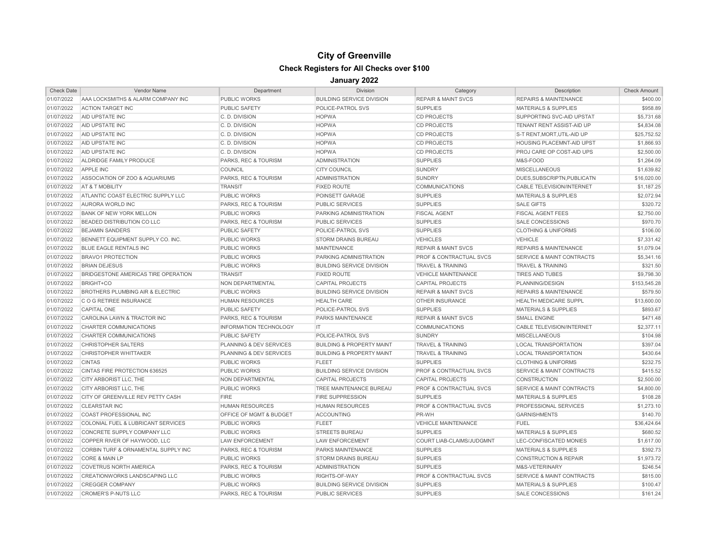## **City of Greenville Check Registers for All Checks over \$100**

## **January 2022**

| <b>Check Date</b> | Vendor Name                                   | Department                         | <b>Division</b>                      | Category                           | Description                          | <b>Check Amount</b> |
|-------------------|-----------------------------------------------|------------------------------------|--------------------------------------|------------------------------------|--------------------------------------|---------------------|
| 01/07/2022        | AAA LOCKSMITHS & ALARM COMPANY INC            | <b>PUBLIC WORKS</b>                | <b>BUILDING SERVICE DIVISION</b>     | <b>REPAIR &amp; MAINT SVCS</b>     | <b>REPAIRS &amp; MAINTENANCE</b>     | \$400.00            |
| 01/07/2022        | <b>ACTION TARGET INC</b>                      | PUBLIC SAFETY                      | POLICE-PATROL SVS                    | <b>SUPPLIES</b>                    | <b>MATERIALS &amp; SUPPLIES</b>      | \$958.89            |
| 01/07/2022        | AID UPSTATE INC                               | C. D. DIVISION                     | <b>HOPWA</b>                         | <b>CD PROJECTS</b>                 | SUPPORTING SVC-AID UPSTAT            | \$5,731.68          |
| 01/07/2022        | AID UPSTATE INC                               | C.D. DIVISION                      | <b>HOPWA</b>                         | <b>CD PROJECTS</b>                 | TENANT RENT ASSIST-AID UP            | \$4,834.08          |
| 01/07/2022        | AID UPSTATE INC                               | C.D. DIVISION                      | <b>HOPWA</b>                         | <b>CD PROJECTS</b>                 | S-T RENT, MORT, UTIL-AID UP          | \$25,752.52         |
| 01/07/2022        | AID UPSTATE INC                               | C.D. DIVISION                      | <b>HOPWA</b>                         | <b>CD PROJECTS</b>                 | <b>HOUSING PLACEMNT-AID UPST</b>     | \$1,866.93          |
| 01/07/2022        | AID UPSTATE INC                               | C.D. DIVISION                      | <b>HOPWA</b>                         | <b>CD PROJECTS</b>                 | PROJ CARE OP COST-AID UPS            | \$2,500.00          |
| 01/07/2022        | ALDRIDGE FAMILY PRODUCE                       | <b>PARKS, REC &amp; TOURISM</b>    | <b>ADMINISTRATION</b>                | <b>SUPPLIES</b>                    | M&S-FOOD                             | \$1,264.09          |
| 01/07/2022        | APPLE INC                                     | COUNCIL                            | <b>CITY COUNCIL</b>                  | <b>SUNDRY</b>                      | <b>MISCELLANEOUS</b>                 | \$1,639.82          |
| 01/07/2022        | ASSOCIATION OF ZOO & AQUARIUMS                | PARKS, REC & TOURISM               | <b>ADMINISTRATION</b>                | <b>SUNDRY</b>                      | DUES, SUBSCRIPTN, PUBLICATN          | \$16,020.00         |
| 01/07/2022        | AT & T MOBILITY                               | <b>TRANSIT</b>                     | <b>FIXED ROUTE</b>                   | <b>COMMUNICATIONS</b>              | <b>CABLE TELEVISION/INTERNET</b>     | \$1,187.25          |
| 01/07/2022        | ATLANTIC COAST ELECTRIC SUPPLY LLC            | <b>PUBLIC WORKS</b>                | POINSETT GARAGE                      | <b>SUPPLIES</b>                    | <b>MATERIALS &amp; SUPPLIES</b>      | \$2,072.94          |
| 01/07/2022        | AURORA WORLD INC                              | <b>PARKS, REC &amp; TOURISM</b>    | <b>PUBLIC SERVICES</b>               | <b>SUPPLIES</b>                    | <b>SALE GIFTS</b>                    | \$320.72            |
| 01/07/2022        | <b>BANK OF NEW YORK MELLON</b>                | <b>PUBLIC WORKS</b>                | PARKING ADMINISTRATION               | <b>FISCAL AGENT</b>                | <b>FISCAL AGENT FEES</b>             | \$2,750.00          |
| 01/07/2022        | <b>BEADED DISTRIBUTION CO LLC</b>             | PARKS, REC & TOURISM               | <b>PUBLIC SERVICES</b>               | <b>SUPPLIES</b>                    | <b>SALE CONCESSIONS</b>              | \$970.70            |
| 01/07/2022        | <b>BEJAMIN SANDERS</b>                        | <b>PUBLIC SAFETY</b>               | POLICE-PATROL SVS                    | <b>SUPPLIES</b>                    | <b>CLOTHING &amp; UNIFORMS</b>       | \$106.00            |
| 01/07/2022        | BENNETT EQUIPMENT SUPPLY CO. INC.             | PUBLIC WORKS                       | <b>STORM DRAINS BUREAU</b>           | <b>VEHICLES</b>                    | <b>VEHICLE</b>                       | \$7,331.42          |
| 01/07/2022        | <b>BLUE EAGLE RENTALS INC</b>                 | <b>PUBLIC WORKS</b>                | <b>MAINTENANCE</b>                   | <b>REPAIR &amp; MAINT SVCS</b>     | <b>REPAIRS &amp; MAINTENANCE</b>     | \$1,079.04          |
| 01/07/2022        | <b>BRAVO1 PROTECTION</b>                      | <b>PUBLIC WORKS</b>                | PARKING ADMINISTRATION               | PROF & CONTRACTUAL SVCS            | SERVICE & MAINT CONTRACTS            | \$5,341.16          |
| 01/07/2022        | <b>BRIAN DEJESUS</b>                          | PUBLIC WORKS                       | <b>BUILDING SERVICE DIVISION</b>     | <b>TRAVEL &amp; TRAINING</b>       | <b>TRAVEL &amp; TRAINING</b>         | \$321.50            |
| 01/07/2022        | BRIDGESTONE AMERICAS TIRE OPERATION           | <b>TRANSIT</b>                     | <b>FIXED ROUTE</b>                   | <b>VEHICLE MAINTENANCE</b>         | <b>TIRES AND TUBES</b>               | \$9,798.30          |
| 01/07/2022        | <b>BRIGHT+CO</b>                              | <b>NON DEPARTMENTAL</b>            | <b>CAPITAL PROJECTS</b>              | <b>CAPITAL PROJECTS</b>            | PLANNING/DESIGN                      | \$153,545.28        |
| 01/07/2022        | <b>BROTHERS PLUMBING AIR &amp; ELECTRIC</b>   | <b>PUBLIC WORKS</b>                | <b>BUILDING SERVICE DIVISION</b>     | <b>REPAIR &amp; MAINT SVCS</b>     | <b>REPAIRS &amp; MAINTENANCE</b>     | \$579.50            |
| 01/07/2022        | C O G RETIREE INSURANCE                       | <b>HUMAN RESOURCES</b>             | <b>HEALTH CARE</b>                   | <b>OTHER INSURANCE</b>             | <b>HEALTH MEDICARE SUPPL</b>         | \$13,600.00         |
| 01/07/2022        | <b>CAPITAL ONE</b>                            | <b>PUBLIC SAFETY</b>               | POLICE-PATROL SVS                    | <b>SUPPLIES</b>                    | <b>MATERIALS &amp; SUPPLIES</b>      | \$893.67            |
| 01/07/2022        | CAROLINA LAWN & TRACTOR INC                   | <b>PARKS, REC &amp; TOURISM</b>    | PARKS MAINTENANCE                    | <b>REPAIR &amp; MAINT SVCS</b>     | <b>SMALL ENGINE</b>                  | \$471.48            |
| 01/07/2022        | CHARTER COMMUNICATIONS                        | INFORMATION TECHNOLOGY             | <b>IT</b>                            | <b>COMMUNICATIONS</b>              | CABLE TELEVISION/INTERNET            | \$2,377.11          |
| 01/07/2022        | CHARTER COMMUNICATIONS                        | <b>PUBLIC SAFETY</b>               | POLICE-PATROL SVS                    | <b>SUNDRY</b>                      | <b>MISCELLANEOUS</b>                 | \$104.98            |
| 01/07/2022        | <b>CHRISTOPHER SALTERS</b>                    | <b>PLANNING &amp; DEV SERVICES</b> | <b>BUILDING &amp; PROPERTY MAINT</b> | <b>TRAVEL &amp; TRAINING</b>       | <b>LOCAL TRANSPORTATION</b>          | \$397.04            |
| 01/07/2022        | <b>CHRISTOPHER WHITTAKER</b>                  | <b>PLANNING &amp; DEV SERVICES</b> | <b>BUILDING &amp; PROPERTY MAINT</b> | <b>TRAVEL &amp; TRAINING</b>       | <b>LOCAL TRANSPORTATION</b>          | \$430.64            |
| 01/07/2022        | <b>CINTAS</b>                                 | <b>PUBLIC WORKS</b>                | <b>FLEET</b>                         | <b>SUPPLIES</b>                    | <b>CLOTHING &amp; UNIFORMS</b>       | \$232.75            |
| 01/07/2022        | CINTAS FIRE PROTECTION 636525                 | PUBLIC WORKS                       | <b>BUILDING SERVICE DIVISION</b>     | <b>PROF &amp; CONTRACTUAL SVCS</b> | <b>SERVICE &amp; MAINT CONTRACTS</b> | \$415.52            |
| 01/07/2022        | CITY ARBORIST LLC, THE                        | <b>NON DEPARTMENTAL</b>            | <b>CAPITAL PROJECTS</b>              | <b>CAPITAL PROJECTS</b>            | <b>CONSTRUCTION</b>                  | \$2,500.00          |
| 01/07/2022        | CITY ARBORIST LLC, THE                        | <b>PUBLIC WORKS</b>                | TREE MAINTENANCE BUREAU              | PROF & CONTRACTUAL SVCS            | <b>SERVICE &amp; MAINT CONTRACTS</b> | \$4,800.00          |
| 01/07/2022        | CITY OF GREENVILLE REV PETTY CASH             | <b>FIRE</b>                        | <b>FIRE SUPPRESSION</b>              | <b>SUPPLIES</b>                    | <b>MATERIALS &amp; SUPPLIES</b>      | \$108.28            |
| 01/07/2022        | <b>CLEARSTAR INC</b>                          | <b>HUMAN RESOURCES</b>             | <b>HUMAN RESOURCES</b>               | <b>PROF &amp; CONTRACTUAL SVCS</b> | PROFESSIONAL SERVICES                | \$1,273.10          |
| 01/07/2022        | COAST PROFESSIONAL INC                        | OFFICE OF MGMT & BUDGET            | <b>ACCOUNTING</b>                    | PR-WH                              | <b>GARNISHMENTS</b>                  | \$140.70            |
| 01/07/2022        | <b>COLONIAL FUEL &amp; LUBRICANT SERVICES</b> | <b>PUBLIC WORKS</b>                | <b>FLEET</b>                         | <b>VEHICLE MAINTENANCE</b>         | <b>FUEL</b>                          | \$36,424.64         |
| 01/07/2022        | CONCRETE SUPPLY COMPANY LLC                   | <b>PUBLIC WORKS</b>                | <b>STREETS BUREAU</b>                | <b>SUPPLIES</b>                    | <b>MATERIALS &amp; SUPPLIES</b>      | \$680.52            |
| 01/07/2022        | COPPER RIVER OF HAYWOOD, LLC                  | <b>LAW ENFORCEMENT</b>             | <b>LAW ENFORCEMENT</b>               | COURT LIAB-CLAIMS/JUDGMNT          | LEC-CONFISCATED MONIES               | \$1,617.00          |
| 01/07/2022        | CORBIN TURF & ORNAMENTAL SUPPLY INC           | PARKS, REC & TOURISM               | PARKS MAINTENANCE                    | <b>SUPPLIES</b>                    | <b>MATERIALS &amp; SUPPLIES</b>      | \$392.73            |
| 01/07/2022        | CORE & MAIN LP                                | <b>PUBLIC WORKS</b>                | <b>STORM DRAINS BUREAU</b>           | <b>SUPPLIES</b>                    | <b>CONSTRUCTION &amp; REPAIR</b>     | \$1,973.72          |
| 01/07/2022        | <b>COVETRUS NORTH AMERICA</b>                 | <b>PARKS, REC &amp; TOURISM</b>    | <b>ADMINISTRATION</b>                | <b>SUPPLIES</b>                    | M&S-VETERINARY                       | \$246.54            |
| 01/07/2022        | CREATIONWORKS LANDSCAPING LLC                 | <b>PUBLIC WORKS</b>                | RIGHTS-OF-WAY                        | <b>PROF &amp; CONTRACTUAL SVCS</b> | SERVICE & MAINT CONTRACTS            | \$815.00            |
| 01/07/2022        | <b>CREGGER COMPANY</b>                        | <b>PUBLIC WORKS</b>                | <b>BUILDING SERVICE DIVISION</b>     | <b>SUPPLIES</b>                    | <b>MATERIALS &amp; SUPPLIES</b>      | \$100.47            |
| 01/07/2022        | CROMER'S P-NUTS LLC                           | PARKS, REC & TOURISM               | <b>PUBLIC SERVICES</b>               | <b>SUPPLIES</b>                    | <b>SALE CONCESSIONS</b>              | \$161.24            |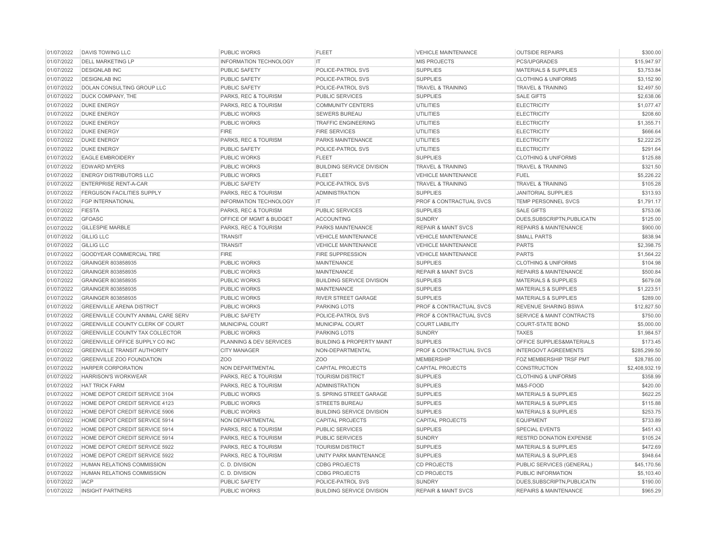| 01/07/2022<br><b>INFORMATION TECHNOLOGY</b><br><b>MIS PROJECTS</b><br><b>DELL MARKETING LP</b><br>IT.<br>PCS/UPGRADES<br>01/07/2022<br><b>SUPPLIES</b><br><b>DESIGNLAB INC</b><br><b>PUBLIC SAFETY</b><br>POLICE-PATROL SVS<br><b>MATERIALS &amp; SUPPLIES</b><br>01/07/2022<br><b>DESIGNLAB INC</b><br><b>PUBLIC SAFETY</b><br>POLICE-PATROL SVS<br><b>SUPPLIES</b><br><b>CLOTHING &amp; UNIFORMS</b><br>01/07/2022<br>DOLAN CONSULTING GROUP LLC<br><b>PUBLIC SAFETY</b><br>POLICE-PATROL SVS<br><b>TRAVEL &amp; TRAINING</b><br><b>TRAVEL &amp; TRAINING</b><br>01/07/2022<br><b>SALE GIFTS</b><br>DUCK COMPANY, THE<br>PARKS, REC & TOURISM<br>PUBLIC SERVICES<br><b>SUPPLIES</b><br>01/07/2022<br><b>DUKE ENERGY</b><br><b>UTILITIES</b><br><b>ELECTRICITY</b><br>PARKS, REC & TOURISM<br><b>COMMUNITY CENTERS</b><br>01/07/2022<br><b>DUKE ENERGY</b><br><b>PUBLIC WORKS</b><br><b>SEWERS BUREAU</b><br><b>UTILITIES</b><br><b>ELECTRICITY</b><br>01/07/2022<br><b>DUKE ENERGY</b><br>PUBLIC WORKS<br><b>UTILITIES</b><br><b>ELECTRICITY</b><br><b>TRAFFIC ENGINEERING</b><br>01/07/2022<br><b>DUKE ENERGY</b><br><b>FIRE</b><br><b>FIRE SERVICES</b><br><b>UTILITIES</b><br><b>ELECTRICITY</b><br>01/07/2022<br><b>DUKE ENERGY</b><br>PARKS, REC & TOURISM<br>PARKS MAINTENANCE<br><b>UTILITIES</b><br><b>ELECTRICITY</b><br>01/07/2022<br><b>DUKE ENERGY</b><br><b>PUBLIC SAFETY</b><br>POLICE-PATROL SVS<br><b>UTILITIES</b><br><b>ELECTRICITY</b><br><b>EAGLE EMBROIDERY</b><br>PUBLIC WORKS<br><b>SUPPLIES</b><br>01/07/2022<br><b>FLEET</b><br><b>CLOTHING &amp; UNIFORMS</b><br>01/07/2022<br><b>EDWARD MYERS</b><br><b>PUBLIC WORKS</b><br><b>BUILDING SERVICE DIVISION</b><br><b>TRAVEL &amp; TRAINING</b><br><b>TRAVEL &amp; TRAINING</b><br>01/07/2022<br><b>ENERGY DISTRIBUTORS LLC</b><br><b>PUBLIC WORKS</b><br><b>FLEET</b><br><b>VEHICLE MAINTENANCE</b><br><b>FUEL</b><br>01/07/2022<br><b>ENTERPRISE RENT-A-CAR</b><br><b>PUBLIC SAFETY</b><br>POLICE-PATROL SVS<br><b>TRAVEL &amp; TRAINING</b><br><b>TRAVEL &amp; TRAINING</b><br>01/07/2022<br><b>FERGUSON FACILITIES SUPPLY</b><br>PARKS, REC & TOURISM<br><b>ADMINISTRATION</b><br><b>SUPPLIES</b><br><b>JANITORIAL SUPPLIES</b><br>01/07/2022<br><b>FGP INTERNATIONAL</b><br>PROF & CONTRACTUAL SVCS<br><b>TEMP PERSONNEL SVCS</b><br><b>INFORMATION TECHNOLOGY</b><br>IT<br>01/07/2022<br><b>FIESTA</b><br>PARKS, REC & TOURISM<br>PUBLIC SERVICES<br><b>SUPPLIES</b><br><b>SALE GIFTS</b><br><b>GFOASC</b><br>01/07/2022<br>OFFICE OF MGMT & BUDGET<br><b>ACCOUNTING</b><br><b>SUNDRY</b><br>DUES.SUBSCRIPTN.PUBLICATN<br>01/07/2022<br><b>GILLESPIE MARBLE</b><br><b>REPAIR &amp; MAINT SVCS</b><br><b>REPAIRS &amp; MAINTENANCE</b><br>PARKS, REC & TOURISM<br>PARKS MAINTENANCE<br>01/07/2022<br><b>GILLIG LLC</b><br><b>VEHICLE MAINTENANCE</b><br><b>VEHICLE MAINTENANCE</b><br><b>SMALL PARTS</b><br><b>TRANSIT</b><br>01/07/2022<br><b>GILLIG LLC</b><br><b>TRANSIT</b><br><b>VEHICLE MAINTENANCE</b><br><b>VEHICLE MAINTENANCE</b><br><b>PARTS</b><br>01/07/2022<br><b>GOODYEAR COMMERCIAL TIRE</b><br><b>FIRE</b><br><b>FIRE SUPPRESSION</b><br><b>VEHICLE MAINTENANCE</b><br><b>PARTS</b><br>01/07/2022<br><b>SUPPLIES</b><br><b>CLOTHING &amp; UNIFORMS</b><br>GRAINGER 803858935<br><b>PUBLIC WORKS</b><br><b>MAINTENANCE</b><br>01/07/2022<br><b>REPAIR &amp; MAINT SVCS</b><br><b>REPAIRS &amp; MAINTENANCE</b><br>GRAINGER 803858935<br><b>PUBLIC WORKS</b><br><b>MAINTENANCE</b><br>01/07/2022<br>GRAINGER 803858935<br><b>PUBLIC WORKS</b><br><b>BUILDING SERVICE DIVISION</b><br><b>SUPPLIES</b><br><b>MATERIALS &amp; SUPPLIES</b><br>01/07/2022<br>GRAINGER 803858935<br><b>PUBLIC WORKS</b><br><b>MAINTENANCE</b><br><b>SUPPLIES</b><br><b>MATERIALS &amp; SUPPLIES</b><br><b>SUPPLIES</b><br><b>MATERIALS &amp; SUPPLIES</b><br>01/07/2022<br>GRAINGER 803858935<br><b>PUBLIC WORKS</b><br>RIVER STREET GARAGE<br>01/07/2022<br><b>GREENVILLE ARENA DISTRICT</b><br><b>PUBLIC WORKS</b><br><b>PARKING LOTS</b><br><b>PROF &amp; CONTRACTUAL SVCS</b><br><b>REVENUE SHARING BSWA</b><br>01/07/2022<br><b>GREENVILLE COUNTY ANIMAL CARE SERV</b><br><b>PUBLIC SAFETY</b><br>POLICE-PATROL SVS<br><b>PROF &amp; CONTRACTUAL SVCS</b><br><b>SERVICE &amp; MAINT CONTRACTS</b><br>01/07/2022<br>GREENVILLE COUNTY CLERK OF COURT<br><b>MUNICIPAL COURT</b><br><b>MUNICIPAL COURT</b><br><b>COURT LIABILITY</b><br><b>COURT-STATE BOND</b><br>01/07/2022<br>PUBLIC WORKS<br>GREENVILLE COUNTY TAX COLLECTOR<br><b>PARKING LOTS</b><br><b>SUNDRY</b><br><b>TAXES</b><br>01/07/2022<br><b>GREENVILLE OFFICE SUPPLY CO INC</b><br>PLANNING & DEV SERVICES<br><b>BUILDING &amp; PROPERTY MAINT</b><br><b>SUPPLIES</b><br><b>OFFICE SUPPLIES&amp;MATERIALS</b><br>01/07/2022<br><b>GREENVILLE TRANSIT AUTHORITY</b><br><b>CITY MANAGER</b><br>NON-DEPARTMENTAL<br>PROF & CONTRACTUAL SVCS<br><b>INTERGOVT AGREEMENTS</b><br>01/07/2022<br><b>GREENVILLE ZOO FOUNDATION</b><br>Z <sub>O</sub> O<br>Z <sub>O</sub> O<br><b>MEMBERSHIP</b><br><b>FOZ MEMBERSHIP TRSF PMT</b><br>01/07/2022<br><b>HARPER CORPORATION</b><br>NON DEPARTMENTAL<br><b>CAPITAL PROJECTS</b><br>CAPITAL PROJECTS<br><b>CONSTRUCTION</b><br>01/07/2022<br><b>HARRISON'S WORKWEAR</b><br>PARKS, REC & TOURISM<br><b>TOURISM DISTRICT</b><br><b>SUPPLIES</b><br><b>CLOTHING &amp; UNIFORMS</b><br>01/07/2022<br><b>HAT TRICK FARM</b><br><b>PARKS, REC &amp; TOURISM</b><br><b>ADMINISTRATION</b><br><b>SUPPLIES</b><br>M&S-FOOD<br>01/07/2022<br>HOME DEPOT CREDIT SERVICE 3104<br>PUBLIC WORKS<br>S. SPRING STREET GARAGE<br><b>SUPPLIES</b><br><b>MATERIALS &amp; SUPPLIES</b><br>01/07/2022<br>HOME DEPOT CREDIT SERVICE 4123<br><b>PUBLIC WORKS</b><br><b>STREETS BUREAU</b><br><b>SUPPLIES</b><br><b>MATERIALS &amp; SUPPLIES</b><br>01/07/2022<br>HOME DEPOT CREDIT SERVICE 5906<br><b>BUILDING SERVICE DIVISION</b><br>MATERIALS & SUPPLIES<br>PUBLIC WORKS<br><b>SUPPLIES</b><br>01/07/2022<br>HOME DEPOT CREDIT SERVICE 5914<br>NON DEPARTMENTAL<br><b>CAPITAL PROJECTS</b><br><b>CAPITAL PROJECTS</b><br><b>EQUIPMENT</b><br>01/07/2022<br>HOME DEPOT CREDIT SERVICE 5914<br>PARKS, REC & TOURISM<br><b>SUPPLIES</b><br><b>SPECIAL EVENTS</b><br><b>PUBLIC SERVICES</b><br>01/07/2022<br>HOME DEPOT CREDIT SERVICE 5914<br>PARKS, REC & TOURISM<br>PUBLIC SERVICES<br><b>SUNDRY</b><br><b>RESTRD DONATION EXPENSE</b><br>01/07/2022<br>HOME DEPOT CREDIT SERVICE 5922<br>PARKS, REC & TOURISM<br><b>TOURISM DISTRICT</b><br><b>SUPPLIES</b><br><b>MATERIALS &amp; SUPPLIES</b> | 01/07/2022 | <b>DAVIS TOWING LLC</b>        | <b>PUBLIC WORKS</b>  | <b>FLEET</b>                  | <b>VEHICLE MAINTENANCE</b> | <b>OUTSIDE REPAIRS</b>          | \$300.00       |
|----------------------------------------------------------------------------------------------------------------------------------------------------------------------------------------------------------------------------------------------------------------------------------------------------------------------------------------------------------------------------------------------------------------------------------------------------------------------------------------------------------------------------------------------------------------------------------------------------------------------------------------------------------------------------------------------------------------------------------------------------------------------------------------------------------------------------------------------------------------------------------------------------------------------------------------------------------------------------------------------------------------------------------------------------------------------------------------------------------------------------------------------------------------------------------------------------------------------------------------------------------------------------------------------------------------------------------------------------------------------------------------------------------------------------------------------------------------------------------------------------------------------------------------------------------------------------------------------------------------------------------------------------------------------------------------------------------------------------------------------------------------------------------------------------------------------------------------------------------------------------------------------------------------------------------------------------------------------------------------------------------------------------------------------------------------------------------------------------------------------------------------------------------------------------------------------------------------------------------------------------------------------------------------------------------------------------------------------------------------------------------------------------------------------------------------------------------------------------------------------------------------------------------------------------------------------------------------------------------------------------------------------------------------------------------------------------------------------------------------------------------------------------------------------------------------------------------------------------------------------------------------------------------------------------------------------------------------------------------------------------------------------------------------------------------------------------------------------------------------------------------------------------------------------------------------------------------------------------------------------------------------------------------------------------------------------------------------------------------------------------------------------------------------------------------------------------------------------------------------------------------------------------------------------------------------------------------------------------------------------------------------------------------------------------------------------------------------------------------------------------------------------------------------------------------------------------------------------------------------------------------------------------------------------------------------------------------------------------------------------------------------------------------------------------------------------------------------------------------------------------------------------------------------------------------------------------------------------------------------------------------------------------------------------------------------------------------------------------------------------------------------------------------------------------------------------------------------------------------------------------------------------------------------------------------------------------------------------------------------------------------------------------------------------------------------------------------------------------------------------------------------------------------------------------------------------------------------------------------------------------------------------------------------------------------------------------------------------------------------------------------------------------------------------------------------------------------------------------------------------------------------------------------------------------------------------------------------------------------------------------------------------------------------------------------------------------------------------------------------------------------------------------------------------------------------------------------------------------------------------------------------------------------------------------------------------------------------------------------------------------------------------------------------------------------------------------------------------------------------------------------------------------------------------------------------------------------------------------------------------------------------------------------------------------------------------------------------------------------------------------------------------------------------------------------------------------------------------------------------------------------------------------------------------------------------------------------------------------------------------------------------------------------------------------------------------------------------------------------------------------------------------------------------------------------------------------------------------------------------------------------------------------------------------------------|------------|--------------------------------|----------------------|-------------------------------|----------------------------|---------------------------------|----------------|
|                                                                                                                                                                                                                                                                                                                                                                                                                                                                                                                                                                                                                                                                                                                                                                                                                                                                                                                                                                                                                                                                                                                                                                                                                                                                                                                                                                                                                                                                                                                                                                                                                                                                                                                                                                                                                                                                                                                                                                                                                                                                                                                                                                                                                                                                                                                                                                                                                                                                                                                                                                                                                                                                                                                                                                                                                                                                                                                                                                                                                                                                                                                                                                                                                                                                                                                                                                                                                                                                                                                                                                                                                                                                                                                                                                                                                                                                                                                                                                                                                                                                                                                                                                                                                                                                                                                                                                                                                                                                                                                                                                                                                                                                                                                                                                                                                                                                                                                                                                                                                                                                                                                                                                                                                                                                                                                                                                                                                                                                                                                                                                                                                                                                                                                                                                                                                                                                                                                                                                                                                                                                                                                                                                                                                                                                                                                                                                                                                                                                                                                                                          |            |                                |                      |                               |                            |                                 | \$15,947.97    |
|                                                                                                                                                                                                                                                                                                                                                                                                                                                                                                                                                                                                                                                                                                                                                                                                                                                                                                                                                                                                                                                                                                                                                                                                                                                                                                                                                                                                                                                                                                                                                                                                                                                                                                                                                                                                                                                                                                                                                                                                                                                                                                                                                                                                                                                                                                                                                                                                                                                                                                                                                                                                                                                                                                                                                                                                                                                                                                                                                                                                                                                                                                                                                                                                                                                                                                                                                                                                                                                                                                                                                                                                                                                                                                                                                                                                                                                                                                                                                                                                                                                                                                                                                                                                                                                                                                                                                                                                                                                                                                                                                                                                                                                                                                                                                                                                                                                                                                                                                                                                                                                                                                                                                                                                                                                                                                                                                                                                                                                                                                                                                                                                                                                                                                                                                                                                                                                                                                                                                                                                                                                                                                                                                                                                                                                                                                                                                                                                                                                                                                                                                          |            |                                |                      |                               |                            |                                 | \$3,753.84     |
|                                                                                                                                                                                                                                                                                                                                                                                                                                                                                                                                                                                                                                                                                                                                                                                                                                                                                                                                                                                                                                                                                                                                                                                                                                                                                                                                                                                                                                                                                                                                                                                                                                                                                                                                                                                                                                                                                                                                                                                                                                                                                                                                                                                                                                                                                                                                                                                                                                                                                                                                                                                                                                                                                                                                                                                                                                                                                                                                                                                                                                                                                                                                                                                                                                                                                                                                                                                                                                                                                                                                                                                                                                                                                                                                                                                                                                                                                                                                                                                                                                                                                                                                                                                                                                                                                                                                                                                                                                                                                                                                                                                                                                                                                                                                                                                                                                                                                                                                                                                                                                                                                                                                                                                                                                                                                                                                                                                                                                                                                                                                                                                                                                                                                                                                                                                                                                                                                                                                                                                                                                                                                                                                                                                                                                                                                                                                                                                                                                                                                                                                                          |            |                                |                      |                               |                            |                                 | \$3,152.90     |
|                                                                                                                                                                                                                                                                                                                                                                                                                                                                                                                                                                                                                                                                                                                                                                                                                                                                                                                                                                                                                                                                                                                                                                                                                                                                                                                                                                                                                                                                                                                                                                                                                                                                                                                                                                                                                                                                                                                                                                                                                                                                                                                                                                                                                                                                                                                                                                                                                                                                                                                                                                                                                                                                                                                                                                                                                                                                                                                                                                                                                                                                                                                                                                                                                                                                                                                                                                                                                                                                                                                                                                                                                                                                                                                                                                                                                                                                                                                                                                                                                                                                                                                                                                                                                                                                                                                                                                                                                                                                                                                                                                                                                                                                                                                                                                                                                                                                                                                                                                                                                                                                                                                                                                                                                                                                                                                                                                                                                                                                                                                                                                                                                                                                                                                                                                                                                                                                                                                                                                                                                                                                                                                                                                                                                                                                                                                                                                                                                                                                                                                                                          |            |                                |                      |                               |                            |                                 | \$2,497.50     |
|                                                                                                                                                                                                                                                                                                                                                                                                                                                                                                                                                                                                                                                                                                                                                                                                                                                                                                                                                                                                                                                                                                                                                                                                                                                                                                                                                                                                                                                                                                                                                                                                                                                                                                                                                                                                                                                                                                                                                                                                                                                                                                                                                                                                                                                                                                                                                                                                                                                                                                                                                                                                                                                                                                                                                                                                                                                                                                                                                                                                                                                                                                                                                                                                                                                                                                                                                                                                                                                                                                                                                                                                                                                                                                                                                                                                                                                                                                                                                                                                                                                                                                                                                                                                                                                                                                                                                                                                                                                                                                                                                                                                                                                                                                                                                                                                                                                                                                                                                                                                                                                                                                                                                                                                                                                                                                                                                                                                                                                                                                                                                                                                                                                                                                                                                                                                                                                                                                                                                                                                                                                                                                                                                                                                                                                                                                                                                                                                                                                                                                                                                          |            |                                |                      |                               |                            |                                 | \$2,638.06     |
|                                                                                                                                                                                                                                                                                                                                                                                                                                                                                                                                                                                                                                                                                                                                                                                                                                                                                                                                                                                                                                                                                                                                                                                                                                                                                                                                                                                                                                                                                                                                                                                                                                                                                                                                                                                                                                                                                                                                                                                                                                                                                                                                                                                                                                                                                                                                                                                                                                                                                                                                                                                                                                                                                                                                                                                                                                                                                                                                                                                                                                                                                                                                                                                                                                                                                                                                                                                                                                                                                                                                                                                                                                                                                                                                                                                                                                                                                                                                                                                                                                                                                                                                                                                                                                                                                                                                                                                                                                                                                                                                                                                                                                                                                                                                                                                                                                                                                                                                                                                                                                                                                                                                                                                                                                                                                                                                                                                                                                                                                                                                                                                                                                                                                                                                                                                                                                                                                                                                                                                                                                                                                                                                                                                                                                                                                                                                                                                                                                                                                                                                                          |            |                                |                      |                               |                            |                                 | \$1,077.47     |
|                                                                                                                                                                                                                                                                                                                                                                                                                                                                                                                                                                                                                                                                                                                                                                                                                                                                                                                                                                                                                                                                                                                                                                                                                                                                                                                                                                                                                                                                                                                                                                                                                                                                                                                                                                                                                                                                                                                                                                                                                                                                                                                                                                                                                                                                                                                                                                                                                                                                                                                                                                                                                                                                                                                                                                                                                                                                                                                                                                                                                                                                                                                                                                                                                                                                                                                                                                                                                                                                                                                                                                                                                                                                                                                                                                                                                                                                                                                                                                                                                                                                                                                                                                                                                                                                                                                                                                                                                                                                                                                                                                                                                                                                                                                                                                                                                                                                                                                                                                                                                                                                                                                                                                                                                                                                                                                                                                                                                                                                                                                                                                                                                                                                                                                                                                                                                                                                                                                                                                                                                                                                                                                                                                                                                                                                                                                                                                                                                                                                                                                                                          |            |                                |                      |                               |                            |                                 | \$208.60       |
|                                                                                                                                                                                                                                                                                                                                                                                                                                                                                                                                                                                                                                                                                                                                                                                                                                                                                                                                                                                                                                                                                                                                                                                                                                                                                                                                                                                                                                                                                                                                                                                                                                                                                                                                                                                                                                                                                                                                                                                                                                                                                                                                                                                                                                                                                                                                                                                                                                                                                                                                                                                                                                                                                                                                                                                                                                                                                                                                                                                                                                                                                                                                                                                                                                                                                                                                                                                                                                                                                                                                                                                                                                                                                                                                                                                                                                                                                                                                                                                                                                                                                                                                                                                                                                                                                                                                                                                                                                                                                                                                                                                                                                                                                                                                                                                                                                                                                                                                                                                                                                                                                                                                                                                                                                                                                                                                                                                                                                                                                                                                                                                                                                                                                                                                                                                                                                                                                                                                                                                                                                                                                                                                                                                                                                                                                                                                                                                                                                                                                                                                                          |            |                                |                      |                               |                            |                                 | \$1,355.71     |
|                                                                                                                                                                                                                                                                                                                                                                                                                                                                                                                                                                                                                                                                                                                                                                                                                                                                                                                                                                                                                                                                                                                                                                                                                                                                                                                                                                                                                                                                                                                                                                                                                                                                                                                                                                                                                                                                                                                                                                                                                                                                                                                                                                                                                                                                                                                                                                                                                                                                                                                                                                                                                                                                                                                                                                                                                                                                                                                                                                                                                                                                                                                                                                                                                                                                                                                                                                                                                                                                                                                                                                                                                                                                                                                                                                                                                                                                                                                                                                                                                                                                                                                                                                                                                                                                                                                                                                                                                                                                                                                                                                                                                                                                                                                                                                                                                                                                                                                                                                                                                                                                                                                                                                                                                                                                                                                                                                                                                                                                                                                                                                                                                                                                                                                                                                                                                                                                                                                                                                                                                                                                                                                                                                                                                                                                                                                                                                                                                                                                                                                                                          |            |                                |                      |                               |                            |                                 | \$666.64       |
|                                                                                                                                                                                                                                                                                                                                                                                                                                                                                                                                                                                                                                                                                                                                                                                                                                                                                                                                                                                                                                                                                                                                                                                                                                                                                                                                                                                                                                                                                                                                                                                                                                                                                                                                                                                                                                                                                                                                                                                                                                                                                                                                                                                                                                                                                                                                                                                                                                                                                                                                                                                                                                                                                                                                                                                                                                                                                                                                                                                                                                                                                                                                                                                                                                                                                                                                                                                                                                                                                                                                                                                                                                                                                                                                                                                                                                                                                                                                                                                                                                                                                                                                                                                                                                                                                                                                                                                                                                                                                                                                                                                                                                                                                                                                                                                                                                                                                                                                                                                                                                                                                                                                                                                                                                                                                                                                                                                                                                                                                                                                                                                                                                                                                                                                                                                                                                                                                                                                                                                                                                                                                                                                                                                                                                                                                                                                                                                                                                                                                                                                                          |            |                                |                      |                               |                            |                                 | \$2,222.25     |
|                                                                                                                                                                                                                                                                                                                                                                                                                                                                                                                                                                                                                                                                                                                                                                                                                                                                                                                                                                                                                                                                                                                                                                                                                                                                                                                                                                                                                                                                                                                                                                                                                                                                                                                                                                                                                                                                                                                                                                                                                                                                                                                                                                                                                                                                                                                                                                                                                                                                                                                                                                                                                                                                                                                                                                                                                                                                                                                                                                                                                                                                                                                                                                                                                                                                                                                                                                                                                                                                                                                                                                                                                                                                                                                                                                                                                                                                                                                                                                                                                                                                                                                                                                                                                                                                                                                                                                                                                                                                                                                                                                                                                                                                                                                                                                                                                                                                                                                                                                                                                                                                                                                                                                                                                                                                                                                                                                                                                                                                                                                                                                                                                                                                                                                                                                                                                                                                                                                                                                                                                                                                                                                                                                                                                                                                                                                                                                                                                                                                                                                                                          |            |                                |                      |                               |                            |                                 | \$291.64       |
|                                                                                                                                                                                                                                                                                                                                                                                                                                                                                                                                                                                                                                                                                                                                                                                                                                                                                                                                                                                                                                                                                                                                                                                                                                                                                                                                                                                                                                                                                                                                                                                                                                                                                                                                                                                                                                                                                                                                                                                                                                                                                                                                                                                                                                                                                                                                                                                                                                                                                                                                                                                                                                                                                                                                                                                                                                                                                                                                                                                                                                                                                                                                                                                                                                                                                                                                                                                                                                                                                                                                                                                                                                                                                                                                                                                                                                                                                                                                                                                                                                                                                                                                                                                                                                                                                                                                                                                                                                                                                                                                                                                                                                                                                                                                                                                                                                                                                                                                                                                                                                                                                                                                                                                                                                                                                                                                                                                                                                                                                                                                                                                                                                                                                                                                                                                                                                                                                                                                                                                                                                                                                                                                                                                                                                                                                                                                                                                                                                                                                                                                                          |            |                                |                      |                               |                            |                                 | \$125.88       |
|                                                                                                                                                                                                                                                                                                                                                                                                                                                                                                                                                                                                                                                                                                                                                                                                                                                                                                                                                                                                                                                                                                                                                                                                                                                                                                                                                                                                                                                                                                                                                                                                                                                                                                                                                                                                                                                                                                                                                                                                                                                                                                                                                                                                                                                                                                                                                                                                                                                                                                                                                                                                                                                                                                                                                                                                                                                                                                                                                                                                                                                                                                                                                                                                                                                                                                                                                                                                                                                                                                                                                                                                                                                                                                                                                                                                                                                                                                                                                                                                                                                                                                                                                                                                                                                                                                                                                                                                                                                                                                                                                                                                                                                                                                                                                                                                                                                                                                                                                                                                                                                                                                                                                                                                                                                                                                                                                                                                                                                                                                                                                                                                                                                                                                                                                                                                                                                                                                                                                                                                                                                                                                                                                                                                                                                                                                                                                                                                                                                                                                                                                          |            |                                |                      |                               |                            |                                 | \$321.50       |
|                                                                                                                                                                                                                                                                                                                                                                                                                                                                                                                                                                                                                                                                                                                                                                                                                                                                                                                                                                                                                                                                                                                                                                                                                                                                                                                                                                                                                                                                                                                                                                                                                                                                                                                                                                                                                                                                                                                                                                                                                                                                                                                                                                                                                                                                                                                                                                                                                                                                                                                                                                                                                                                                                                                                                                                                                                                                                                                                                                                                                                                                                                                                                                                                                                                                                                                                                                                                                                                                                                                                                                                                                                                                                                                                                                                                                                                                                                                                                                                                                                                                                                                                                                                                                                                                                                                                                                                                                                                                                                                                                                                                                                                                                                                                                                                                                                                                                                                                                                                                                                                                                                                                                                                                                                                                                                                                                                                                                                                                                                                                                                                                                                                                                                                                                                                                                                                                                                                                                                                                                                                                                                                                                                                                                                                                                                                                                                                                                                                                                                                                                          |            |                                |                      |                               |                            |                                 | \$5,226,22     |
|                                                                                                                                                                                                                                                                                                                                                                                                                                                                                                                                                                                                                                                                                                                                                                                                                                                                                                                                                                                                                                                                                                                                                                                                                                                                                                                                                                                                                                                                                                                                                                                                                                                                                                                                                                                                                                                                                                                                                                                                                                                                                                                                                                                                                                                                                                                                                                                                                                                                                                                                                                                                                                                                                                                                                                                                                                                                                                                                                                                                                                                                                                                                                                                                                                                                                                                                                                                                                                                                                                                                                                                                                                                                                                                                                                                                                                                                                                                                                                                                                                                                                                                                                                                                                                                                                                                                                                                                                                                                                                                                                                                                                                                                                                                                                                                                                                                                                                                                                                                                                                                                                                                                                                                                                                                                                                                                                                                                                                                                                                                                                                                                                                                                                                                                                                                                                                                                                                                                                                                                                                                                                                                                                                                                                                                                                                                                                                                                                                                                                                                                                          |            |                                |                      |                               |                            |                                 | \$105.28       |
|                                                                                                                                                                                                                                                                                                                                                                                                                                                                                                                                                                                                                                                                                                                                                                                                                                                                                                                                                                                                                                                                                                                                                                                                                                                                                                                                                                                                                                                                                                                                                                                                                                                                                                                                                                                                                                                                                                                                                                                                                                                                                                                                                                                                                                                                                                                                                                                                                                                                                                                                                                                                                                                                                                                                                                                                                                                                                                                                                                                                                                                                                                                                                                                                                                                                                                                                                                                                                                                                                                                                                                                                                                                                                                                                                                                                                                                                                                                                                                                                                                                                                                                                                                                                                                                                                                                                                                                                                                                                                                                                                                                                                                                                                                                                                                                                                                                                                                                                                                                                                                                                                                                                                                                                                                                                                                                                                                                                                                                                                                                                                                                                                                                                                                                                                                                                                                                                                                                                                                                                                                                                                                                                                                                                                                                                                                                                                                                                                                                                                                                                                          |            |                                |                      |                               |                            |                                 | \$313.93       |
|                                                                                                                                                                                                                                                                                                                                                                                                                                                                                                                                                                                                                                                                                                                                                                                                                                                                                                                                                                                                                                                                                                                                                                                                                                                                                                                                                                                                                                                                                                                                                                                                                                                                                                                                                                                                                                                                                                                                                                                                                                                                                                                                                                                                                                                                                                                                                                                                                                                                                                                                                                                                                                                                                                                                                                                                                                                                                                                                                                                                                                                                                                                                                                                                                                                                                                                                                                                                                                                                                                                                                                                                                                                                                                                                                                                                                                                                                                                                                                                                                                                                                                                                                                                                                                                                                                                                                                                                                                                                                                                                                                                                                                                                                                                                                                                                                                                                                                                                                                                                                                                                                                                                                                                                                                                                                                                                                                                                                                                                                                                                                                                                                                                                                                                                                                                                                                                                                                                                                                                                                                                                                                                                                                                                                                                                                                                                                                                                                                                                                                                                                          |            |                                |                      |                               |                            |                                 | \$1,791.17     |
|                                                                                                                                                                                                                                                                                                                                                                                                                                                                                                                                                                                                                                                                                                                                                                                                                                                                                                                                                                                                                                                                                                                                                                                                                                                                                                                                                                                                                                                                                                                                                                                                                                                                                                                                                                                                                                                                                                                                                                                                                                                                                                                                                                                                                                                                                                                                                                                                                                                                                                                                                                                                                                                                                                                                                                                                                                                                                                                                                                                                                                                                                                                                                                                                                                                                                                                                                                                                                                                                                                                                                                                                                                                                                                                                                                                                                                                                                                                                                                                                                                                                                                                                                                                                                                                                                                                                                                                                                                                                                                                                                                                                                                                                                                                                                                                                                                                                                                                                                                                                                                                                                                                                                                                                                                                                                                                                                                                                                                                                                                                                                                                                                                                                                                                                                                                                                                                                                                                                                                                                                                                                                                                                                                                                                                                                                                                                                                                                                                                                                                                                                          |            |                                |                      |                               |                            |                                 | \$753.06       |
|                                                                                                                                                                                                                                                                                                                                                                                                                                                                                                                                                                                                                                                                                                                                                                                                                                                                                                                                                                                                                                                                                                                                                                                                                                                                                                                                                                                                                                                                                                                                                                                                                                                                                                                                                                                                                                                                                                                                                                                                                                                                                                                                                                                                                                                                                                                                                                                                                                                                                                                                                                                                                                                                                                                                                                                                                                                                                                                                                                                                                                                                                                                                                                                                                                                                                                                                                                                                                                                                                                                                                                                                                                                                                                                                                                                                                                                                                                                                                                                                                                                                                                                                                                                                                                                                                                                                                                                                                                                                                                                                                                                                                                                                                                                                                                                                                                                                                                                                                                                                                                                                                                                                                                                                                                                                                                                                                                                                                                                                                                                                                                                                                                                                                                                                                                                                                                                                                                                                                                                                                                                                                                                                                                                                                                                                                                                                                                                                                                                                                                                                                          |            |                                |                      |                               |                            |                                 | \$125.00       |
|                                                                                                                                                                                                                                                                                                                                                                                                                                                                                                                                                                                                                                                                                                                                                                                                                                                                                                                                                                                                                                                                                                                                                                                                                                                                                                                                                                                                                                                                                                                                                                                                                                                                                                                                                                                                                                                                                                                                                                                                                                                                                                                                                                                                                                                                                                                                                                                                                                                                                                                                                                                                                                                                                                                                                                                                                                                                                                                                                                                                                                                                                                                                                                                                                                                                                                                                                                                                                                                                                                                                                                                                                                                                                                                                                                                                                                                                                                                                                                                                                                                                                                                                                                                                                                                                                                                                                                                                                                                                                                                                                                                                                                                                                                                                                                                                                                                                                                                                                                                                                                                                                                                                                                                                                                                                                                                                                                                                                                                                                                                                                                                                                                                                                                                                                                                                                                                                                                                                                                                                                                                                                                                                                                                                                                                                                                                                                                                                                                                                                                                                                          |            |                                |                      |                               |                            |                                 | \$900.00       |
|                                                                                                                                                                                                                                                                                                                                                                                                                                                                                                                                                                                                                                                                                                                                                                                                                                                                                                                                                                                                                                                                                                                                                                                                                                                                                                                                                                                                                                                                                                                                                                                                                                                                                                                                                                                                                                                                                                                                                                                                                                                                                                                                                                                                                                                                                                                                                                                                                                                                                                                                                                                                                                                                                                                                                                                                                                                                                                                                                                                                                                                                                                                                                                                                                                                                                                                                                                                                                                                                                                                                                                                                                                                                                                                                                                                                                                                                                                                                                                                                                                                                                                                                                                                                                                                                                                                                                                                                                                                                                                                                                                                                                                                                                                                                                                                                                                                                                                                                                                                                                                                                                                                                                                                                                                                                                                                                                                                                                                                                                                                                                                                                                                                                                                                                                                                                                                                                                                                                                                                                                                                                                                                                                                                                                                                                                                                                                                                                                                                                                                                                                          |            |                                |                      |                               |                            |                                 | \$838.94       |
|                                                                                                                                                                                                                                                                                                                                                                                                                                                                                                                                                                                                                                                                                                                                                                                                                                                                                                                                                                                                                                                                                                                                                                                                                                                                                                                                                                                                                                                                                                                                                                                                                                                                                                                                                                                                                                                                                                                                                                                                                                                                                                                                                                                                                                                                                                                                                                                                                                                                                                                                                                                                                                                                                                                                                                                                                                                                                                                                                                                                                                                                                                                                                                                                                                                                                                                                                                                                                                                                                                                                                                                                                                                                                                                                                                                                                                                                                                                                                                                                                                                                                                                                                                                                                                                                                                                                                                                                                                                                                                                                                                                                                                                                                                                                                                                                                                                                                                                                                                                                                                                                                                                                                                                                                                                                                                                                                                                                                                                                                                                                                                                                                                                                                                                                                                                                                                                                                                                                                                                                                                                                                                                                                                                                                                                                                                                                                                                                                                                                                                                                                          |            |                                |                      |                               |                            |                                 | \$2,398.75     |
|                                                                                                                                                                                                                                                                                                                                                                                                                                                                                                                                                                                                                                                                                                                                                                                                                                                                                                                                                                                                                                                                                                                                                                                                                                                                                                                                                                                                                                                                                                                                                                                                                                                                                                                                                                                                                                                                                                                                                                                                                                                                                                                                                                                                                                                                                                                                                                                                                                                                                                                                                                                                                                                                                                                                                                                                                                                                                                                                                                                                                                                                                                                                                                                                                                                                                                                                                                                                                                                                                                                                                                                                                                                                                                                                                                                                                                                                                                                                                                                                                                                                                                                                                                                                                                                                                                                                                                                                                                                                                                                                                                                                                                                                                                                                                                                                                                                                                                                                                                                                                                                                                                                                                                                                                                                                                                                                                                                                                                                                                                                                                                                                                                                                                                                                                                                                                                                                                                                                                                                                                                                                                                                                                                                                                                                                                                                                                                                                                                                                                                                                                          |            |                                |                      |                               |                            |                                 | \$1,564.22     |
|                                                                                                                                                                                                                                                                                                                                                                                                                                                                                                                                                                                                                                                                                                                                                                                                                                                                                                                                                                                                                                                                                                                                                                                                                                                                                                                                                                                                                                                                                                                                                                                                                                                                                                                                                                                                                                                                                                                                                                                                                                                                                                                                                                                                                                                                                                                                                                                                                                                                                                                                                                                                                                                                                                                                                                                                                                                                                                                                                                                                                                                                                                                                                                                                                                                                                                                                                                                                                                                                                                                                                                                                                                                                                                                                                                                                                                                                                                                                                                                                                                                                                                                                                                                                                                                                                                                                                                                                                                                                                                                                                                                                                                                                                                                                                                                                                                                                                                                                                                                                                                                                                                                                                                                                                                                                                                                                                                                                                                                                                                                                                                                                                                                                                                                                                                                                                                                                                                                                                                                                                                                                                                                                                                                                                                                                                                                                                                                                                                                                                                                                                          |            |                                |                      |                               |                            |                                 | \$104.98       |
|                                                                                                                                                                                                                                                                                                                                                                                                                                                                                                                                                                                                                                                                                                                                                                                                                                                                                                                                                                                                                                                                                                                                                                                                                                                                                                                                                                                                                                                                                                                                                                                                                                                                                                                                                                                                                                                                                                                                                                                                                                                                                                                                                                                                                                                                                                                                                                                                                                                                                                                                                                                                                                                                                                                                                                                                                                                                                                                                                                                                                                                                                                                                                                                                                                                                                                                                                                                                                                                                                                                                                                                                                                                                                                                                                                                                                                                                                                                                                                                                                                                                                                                                                                                                                                                                                                                                                                                                                                                                                                                                                                                                                                                                                                                                                                                                                                                                                                                                                                                                                                                                                                                                                                                                                                                                                                                                                                                                                                                                                                                                                                                                                                                                                                                                                                                                                                                                                                                                                                                                                                                                                                                                                                                                                                                                                                                                                                                                                                                                                                                                                          |            |                                |                      |                               |                            |                                 | \$500.84       |
|                                                                                                                                                                                                                                                                                                                                                                                                                                                                                                                                                                                                                                                                                                                                                                                                                                                                                                                                                                                                                                                                                                                                                                                                                                                                                                                                                                                                                                                                                                                                                                                                                                                                                                                                                                                                                                                                                                                                                                                                                                                                                                                                                                                                                                                                                                                                                                                                                                                                                                                                                                                                                                                                                                                                                                                                                                                                                                                                                                                                                                                                                                                                                                                                                                                                                                                                                                                                                                                                                                                                                                                                                                                                                                                                                                                                                                                                                                                                                                                                                                                                                                                                                                                                                                                                                                                                                                                                                                                                                                                                                                                                                                                                                                                                                                                                                                                                                                                                                                                                                                                                                                                                                                                                                                                                                                                                                                                                                                                                                                                                                                                                                                                                                                                                                                                                                                                                                                                                                                                                                                                                                                                                                                                                                                                                                                                                                                                                                                                                                                                                                          |            |                                |                      |                               |                            |                                 | \$679.08       |
|                                                                                                                                                                                                                                                                                                                                                                                                                                                                                                                                                                                                                                                                                                                                                                                                                                                                                                                                                                                                                                                                                                                                                                                                                                                                                                                                                                                                                                                                                                                                                                                                                                                                                                                                                                                                                                                                                                                                                                                                                                                                                                                                                                                                                                                                                                                                                                                                                                                                                                                                                                                                                                                                                                                                                                                                                                                                                                                                                                                                                                                                                                                                                                                                                                                                                                                                                                                                                                                                                                                                                                                                                                                                                                                                                                                                                                                                                                                                                                                                                                                                                                                                                                                                                                                                                                                                                                                                                                                                                                                                                                                                                                                                                                                                                                                                                                                                                                                                                                                                                                                                                                                                                                                                                                                                                                                                                                                                                                                                                                                                                                                                                                                                                                                                                                                                                                                                                                                                                                                                                                                                                                                                                                                                                                                                                                                                                                                                                                                                                                                                                          |            |                                |                      |                               |                            |                                 | \$1,223.51     |
|                                                                                                                                                                                                                                                                                                                                                                                                                                                                                                                                                                                                                                                                                                                                                                                                                                                                                                                                                                                                                                                                                                                                                                                                                                                                                                                                                                                                                                                                                                                                                                                                                                                                                                                                                                                                                                                                                                                                                                                                                                                                                                                                                                                                                                                                                                                                                                                                                                                                                                                                                                                                                                                                                                                                                                                                                                                                                                                                                                                                                                                                                                                                                                                                                                                                                                                                                                                                                                                                                                                                                                                                                                                                                                                                                                                                                                                                                                                                                                                                                                                                                                                                                                                                                                                                                                                                                                                                                                                                                                                                                                                                                                                                                                                                                                                                                                                                                                                                                                                                                                                                                                                                                                                                                                                                                                                                                                                                                                                                                                                                                                                                                                                                                                                                                                                                                                                                                                                                                                                                                                                                                                                                                                                                                                                                                                                                                                                                                                                                                                                                                          |            |                                |                      |                               |                            |                                 | \$289.00       |
|                                                                                                                                                                                                                                                                                                                                                                                                                                                                                                                                                                                                                                                                                                                                                                                                                                                                                                                                                                                                                                                                                                                                                                                                                                                                                                                                                                                                                                                                                                                                                                                                                                                                                                                                                                                                                                                                                                                                                                                                                                                                                                                                                                                                                                                                                                                                                                                                                                                                                                                                                                                                                                                                                                                                                                                                                                                                                                                                                                                                                                                                                                                                                                                                                                                                                                                                                                                                                                                                                                                                                                                                                                                                                                                                                                                                                                                                                                                                                                                                                                                                                                                                                                                                                                                                                                                                                                                                                                                                                                                                                                                                                                                                                                                                                                                                                                                                                                                                                                                                                                                                                                                                                                                                                                                                                                                                                                                                                                                                                                                                                                                                                                                                                                                                                                                                                                                                                                                                                                                                                                                                                                                                                                                                                                                                                                                                                                                                                                                                                                                                                          |            |                                |                      |                               |                            |                                 | \$12,827.50    |
|                                                                                                                                                                                                                                                                                                                                                                                                                                                                                                                                                                                                                                                                                                                                                                                                                                                                                                                                                                                                                                                                                                                                                                                                                                                                                                                                                                                                                                                                                                                                                                                                                                                                                                                                                                                                                                                                                                                                                                                                                                                                                                                                                                                                                                                                                                                                                                                                                                                                                                                                                                                                                                                                                                                                                                                                                                                                                                                                                                                                                                                                                                                                                                                                                                                                                                                                                                                                                                                                                                                                                                                                                                                                                                                                                                                                                                                                                                                                                                                                                                                                                                                                                                                                                                                                                                                                                                                                                                                                                                                                                                                                                                                                                                                                                                                                                                                                                                                                                                                                                                                                                                                                                                                                                                                                                                                                                                                                                                                                                                                                                                                                                                                                                                                                                                                                                                                                                                                                                                                                                                                                                                                                                                                                                                                                                                                                                                                                                                                                                                                                                          |            |                                |                      |                               |                            |                                 | \$750.00       |
|                                                                                                                                                                                                                                                                                                                                                                                                                                                                                                                                                                                                                                                                                                                                                                                                                                                                                                                                                                                                                                                                                                                                                                                                                                                                                                                                                                                                                                                                                                                                                                                                                                                                                                                                                                                                                                                                                                                                                                                                                                                                                                                                                                                                                                                                                                                                                                                                                                                                                                                                                                                                                                                                                                                                                                                                                                                                                                                                                                                                                                                                                                                                                                                                                                                                                                                                                                                                                                                                                                                                                                                                                                                                                                                                                                                                                                                                                                                                                                                                                                                                                                                                                                                                                                                                                                                                                                                                                                                                                                                                                                                                                                                                                                                                                                                                                                                                                                                                                                                                                                                                                                                                                                                                                                                                                                                                                                                                                                                                                                                                                                                                                                                                                                                                                                                                                                                                                                                                                                                                                                                                                                                                                                                                                                                                                                                                                                                                                                                                                                                                                          |            |                                |                      |                               |                            |                                 | \$5,000.00     |
|                                                                                                                                                                                                                                                                                                                                                                                                                                                                                                                                                                                                                                                                                                                                                                                                                                                                                                                                                                                                                                                                                                                                                                                                                                                                                                                                                                                                                                                                                                                                                                                                                                                                                                                                                                                                                                                                                                                                                                                                                                                                                                                                                                                                                                                                                                                                                                                                                                                                                                                                                                                                                                                                                                                                                                                                                                                                                                                                                                                                                                                                                                                                                                                                                                                                                                                                                                                                                                                                                                                                                                                                                                                                                                                                                                                                                                                                                                                                                                                                                                                                                                                                                                                                                                                                                                                                                                                                                                                                                                                                                                                                                                                                                                                                                                                                                                                                                                                                                                                                                                                                                                                                                                                                                                                                                                                                                                                                                                                                                                                                                                                                                                                                                                                                                                                                                                                                                                                                                                                                                                                                                                                                                                                                                                                                                                                                                                                                                                                                                                                                                          |            |                                |                      |                               |                            |                                 | \$1,984.57     |
|                                                                                                                                                                                                                                                                                                                                                                                                                                                                                                                                                                                                                                                                                                                                                                                                                                                                                                                                                                                                                                                                                                                                                                                                                                                                                                                                                                                                                                                                                                                                                                                                                                                                                                                                                                                                                                                                                                                                                                                                                                                                                                                                                                                                                                                                                                                                                                                                                                                                                                                                                                                                                                                                                                                                                                                                                                                                                                                                                                                                                                                                                                                                                                                                                                                                                                                                                                                                                                                                                                                                                                                                                                                                                                                                                                                                                                                                                                                                                                                                                                                                                                                                                                                                                                                                                                                                                                                                                                                                                                                                                                                                                                                                                                                                                                                                                                                                                                                                                                                                                                                                                                                                                                                                                                                                                                                                                                                                                                                                                                                                                                                                                                                                                                                                                                                                                                                                                                                                                                                                                                                                                                                                                                                                                                                                                                                                                                                                                                                                                                                                                          |            |                                |                      |                               |                            |                                 | \$173.45       |
|                                                                                                                                                                                                                                                                                                                                                                                                                                                                                                                                                                                                                                                                                                                                                                                                                                                                                                                                                                                                                                                                                                                                                                                                                                                                                                                                                                                                                                                                                                                                                                                                                                                                                                                                                                                                                                                                                                                                                                                                                                                                                                                                                                                                                                                                                                                                                                                                                                                                                                                                                                                                                                                                                                                                                                                                                                                                                                                                                                                                                                                                                                                                                                                                                                                                                                                                                                                                                                                                                                                                                                                                                                                                                                                                                                                                                                                                                                                                                                                                                                                                                                                                                                                                                                                                                                                                                                                                                                                                                                                                                                                                                                                                                                                                                                                                                                                                                                                                                                                                                                                                                                                                                                                                                                                                                                                                                                                                                                                                                                                                                                                                                                                                                                                                                                                                                                                                                                                                                                                                                                                                                                                                                                                                                                                                                                                                                                                                                                                                                                                                                          |            |                                |                      |                               |                            |                                 | \$285,299.50   |
|                                                                                                                                                                                                                                                                                                                                                                                                                                                                                                                                                                                                                                                                                                                                                                                                                                                                                                                                                                                                                                                                                                                                                                                                                                                                                                                                                                                                                                                                                                                                                                                                                                                                                                                                                                                                                                                                                                                                                                                                                                                                                                                                                                                                                                                                                                                                                                                                                                                                                                                                                                                                                                                                                                                                                                                                                                                                                                                                                                                                                                                                                                                                                                                                                                                                                                                                                                                                                                                                                                                                                                                                                                                                                                                                                                                                                                                                                                                                                                                                                                                                                                                                                                                                                                                                                                                                                                                                                                                                                                                                                                                                                                                                                                                                                                                                                                                                                                                                                                                                                                                                                                                                                                                                                                                                                                                                                                                                                                                                                                                                                                                                                                                                                                                                                                                                                                                                                                                                                                                                                                                                                                                                                                                                                                                                                                                                                                                                                                                                                                                                                          |            |                                |                      |                               |                            |                                 | \$28,785.00    |
|                                                                                                                                                                                                                                                                                                                                                                                                                                                                                                                                                                                                                                                                                                                                                                                                                                                                                                                                                                                                                                                                                                                                                                                                                                                                                                                                                                                                                                                                                                                                                                                                                                                                                                                                                                                                                                                                                                                                                                                                                                                                                                                                                                                                                                                                                                                                                                                                                                                                                                                                                                                                                                                                                                                                                                                                                                                                                                                                                                                                                                                                                                                                                                                                                                                                                                                                                                                                                                                                                                                                                                                                                                                                                                                                                                                                                                                                                                                                                                                                                                                                                                                                                                                                                                                                                                                                                                                                                                                                                                                                                                                                                                                                                                                                                                                                                                                                                                                                                                                                                                                                                                                                                                                                                                                                                                                                                                                                                                                                                                                                                                                                                                                                                                                                                                                                                                                                                                                                                                                                                                                                                                                                                                                                                                                                                                                                                                                                                                                                                                                                                          |            |                                |                      |                               |                            |                                 | \$2,408,932.19 |
|                                                                                                                                                                                                                                                                                                                                                                                                                                                                                                                                                                                                                                                                                                                                                                                                                                                                                                                                                                                                                                                                                                                                                                                                                                                                                                                                                                                                                                                                                                                                                                                                                                                                                                                                                                                                                                                                                                                                                                                                                                                                                                                                                                                                                                                                                                                                                                                                                                                                                                                                                                                                                                                                                                                                                                                                                                                                                                                                                                                                                                                                                                                                                                                                                                                                                                                                                                                                                                                                                                                                                                                                                                                                                                                                                                                                                                                                                                                                                                                                                                                                                                                                                                                                                                                                                                                                                                                                                                                                                                                                                                                                                                                                                                                                                                                                                                                                                                                                                                                                                                                                                                                                                                                                                                                                                                                                                                                                                                                                                                                                                                                                                                                                                                                                                                                                                                                                                                                                                                                                                                                                                                                                                                                                                                                                                                                                                                                                                                                                                                                                                          |            |                                |                      |                               |                            |                                 | \$358.99       |
|                                                                                                                                                                                                                                                                                                                                                                                                                                                                                                                                                                                                                                                                                                                                                                                                                                                                                                                                                                                                                                                                                                                                                                                                                                                                                                                                                                                                                                                                                                                                                                                                                                                                                                                                                                                                                                                                                                                                                                                                                                                                                                                                                                                                                                                                                                                                                                                                                                                                                                                                                                                                                                                                                                                                                                                                                                                                                                                                                                                                                                                                                                                                                                                                                                                                                                                                                                                                                                                                                                                                                                                                                                                                                                                                                                                                                                                                                                                                                                                                                                                                                                                                                                                                                                                                                                                                                                                                                                                                                                                                                                                                                                                                                                                                                                                                                                                                                                                                                                                                                                                                                                                                                                                                                                                                                                                                                                                                                                                                                                                                                                                                                                                                                                                                                                                                                                                                                                                                                                                                                                                                                                                                                                                                                                                                                                                                                                                                                                                                                                                                                          |            |                                |                      |                               |                            |                                 | \$420.00       |
|                                                                                                                                                                                                                                                                                                                                                                                                                                                                                                                                                                                                                                                                                                                                                                                                                                                                                                                                                                                                                                                                                                                                                                                                                                                                                                                                                                                                                                                                                                                                                                                                                                                                                                                                                                                                                                                                                                                                                                                                                                                                                                                                                                                                                                                                                                                                                                                                                                                                                                                                                                                                                                                                                                                                                                                                                                                                                                                                                                                                                                                                                                                                                                                                                                                                                                                                                                                                                                                                                                                                                                                                                                                                                                                                                                                                                                                                                                                                                                                                                                                                                                                                                                                                                                                                                                                                                                                                                                                                                                                                                                                                                                                                                                                                                                                                                                                                                                                                                                                                                                                                                                                                                                                                                                                                                                                                                                                                                                                                                                                                                                                                                                                                                                                                                                                                                                                                                                                                                                                                                                                                                                                                                                                                                                                                                                                                                                                                                                                                                                                                                          |            |                                |                      |                               |                            |                                 | \$622.25       |
|                                                                                                                                                                                                                                                                                                                                                                                                                                                                                                                                                                                                                                                                                                                                                                                                                                                                                                                                                                                                                                                                                                                                                                                                                                                                                                                                                                                                                                                                                                                                                                                                                                                                                                                                                                                                                                                                                                                                                                                                                                                                                                                                                                                                                                                                                                                                                                                                                                                                                                                                                                                                                                                                                                                                                                                                                                                                                                                                                                                                                                                                                                                                                                                                                                                                                                                                                                                                                                                                                                                                                                                                                                                                                                                                                                                                                                                                                                                                                                                                                                                                                                                                                                                                                                                                                                                                                                                                                                                                                                                                                                                                                                                                                                                                                                                                                                                                                                                                                                                                                                                                                                                                                                                                                                                                                                                                                                                                                                                                                                                                                                                                                                                                                                                                                                                                                                                                                                                                                                                                                                                                                                                                                                                                                                                                                                                                                                                                                                                                                                                                                          |            |                                |                      |                               |                            |                                 | \$115.88       |
|                                                                                                                                                                                                                                                                                                                                                                                                                                                                                                                                                                                                                                                                                                                                                                                                                                                                                                                                                                                                                                                                                                                                                                                                                                                                                                                                                                                                                                                                                                                                                                                                                                                                                                                                                                                                                                                                                                                                                                                                                                                                                                                                                                                                                                                                                                                                                                                                                                                                                                                                                                                                                                                                                                                                                                                                                                                                                                                                                                                                                                                                                                                                                                                                                                                                                                                                                                                                                                                                                                                                                                                                                                                                                                                                                                                                                                                                                                                                                                                                                                                                                                                                                                                                                                                                                                                                                                                                                                                                                                                                                                                                                                                                                                                                                                                                                                                                                                                                                                                                                                                                                                                                                                                                                                                                                                                                                                                                                                                                                                                                                                                                                                                                                                                                                                                                                                                                                                                                                                                                                                                                                                                                                                                                                                                                                                                                                                                                                                                                                                                                                          |            |                                |                      |                               |                            |                                 | \$253.75       |
|                                                                                                                                                                                                                                                                                                                                                                                                                                                                                                                                                                                                                                                                                                                                                                                                                                                                                                                                                                                                                                                                                                                                                                                                                                                                                                                                                                                                                                                                                                                                                                                                                                                                                                                                                                                                                                                                                                                                                                                                                                                                                                                                                                                                                                                                                                                                                                                                                                                                                                                                                                                                                                                                                                                                                                                                                                                                                                                                                                                                                                                                                                                                                                                                                                                                                                                                                                                                                                                                                                                                                                                                                                                                                                                                                                                                                                                                                                                                                                                                                                                                                                                                                                                                                                                                                                                                                                                                                                                                                                                                                                                                                                                                                                                                                                                                                                                                                                                                                                                                                                                                                                                                                                                                                                                                                                                                                                                                                                                                                                                                                                                                                                                                                                                                                                                                                                                                                                                                                                                                                                                                                                                                                                                                                                                                                                                                                                                                                                                                                                                                                          |            |                                |                      |                               |                            |                                 | \$733.89       |
|                                                                                                                                                                                                                                                                                                                                                                                                                                                                                                                                                                                                                                                                                                                                                                                                                                                                                                                                                                                                                                                                                                                                                                                                                                                                                                                                                                                                                                                                                                                                                                                                                                                                                                                                                                                                                                                                                                                                                                                                                                                                                                                                                                                                                                                                                                                                                                                                                                                                                                                                                                                                                                                                                                                                                                                                                                                                                                                                                                                                                                                                                                                                                                                                                                                                                                                                                                                                                                                                                                                                                                                                                                                                                                                                                                                                                                                                                                                                                                                                                                                                                                                                                                                                                                                                                                                                                                                                                                                                                                                                                                                                                                                                                                                                                                                                                                                                                                                                                                                                                                                                                                                                                                                                                                                                                                                                                                                                                                                                                                                                                                                                                                                                                                                                                                                                                                                                                                                                                                                                                                                                                                                                                                                                                                                                                                                                                                                                                                                                                                                                                          |            |                                |                      |                               |                            |                                 | \$451.43       |
|                                                                                                                                                                                                                                                                                                                                                                                                                                                                                                                                                                                                                                                                                                                                                                                                                                                                                                                                                                                                                                                                                                                                                                                                                                                                                                                                                                                                                                                                                                                                                                                                                                                                                                                                                                                                                                                                                                                                                                                                                                                                                                                                                                                                                                                                                                                                                                                                                                                                                                                                                                                                                                                                                                                                                                                                                                                                                                                                                                                                                                                                                                                                                                                                                                                                                                                                                                                                                                                                                                                                                                                                                                                                                                                                                                                                                                                                                                                                                                                                                                                                                                                                                                                                                                                                                                                                                                                                                                                                                                                                                                                                                                                                                                                                                                                                                                                                                                                                                                                                                                                                                                                                                                                                                                                                                                                                                                                                                                                                                                                                                                                                                                                                                                                                                                                                                                                                                                                                                                                                                                                                                                                                                                                                                                                                                                                                                                                                                                                                                                                                                          |            |                                |                      |                               |                            |                                 | \$105.24       |
|                                                                                                                                                                                                                                                                                                                                                                                                                                                                                                                                                                                                                                                                                                                                                                                                                                                                                                                                                                                                                                                                                                                                                                                                                                                                                                                                                                                                                                                                                                                                                                                                                                                                                                                                                                                                                                                                                                                                                                                                                                                                                                                                                                                                                                                                                                                                                                                                                                                                                                                                                                                                                                                                                                                                                                                                                                                                                                                                                                                                                                                                                                                                                                                                                                                                                                                                                                                                                                                                                                                                                                                                                                                                                                                                                                                                                                                                                                                                                                                                                                                                                                                                                                                                                                                                                                                                                                                                                                                                                                                                                                                                                                                                                                                                                                                                                                                                                                                                                                                                                                                                                                                                                                                                                                                                                                                                                                                                                                                                                                                                                                                                                                                                                                                                                                                                                                                                                                                                                                                                                                                                                                                                                                                                                                                                                                                                                                                                                                                                                                                                                          |            |                                |                      |                               |                            |                                 | \$472.69       |
|                                                                                                                                                                                                                                                                                                                                                                                                                                                                                                                                                                                                                                                                                                                                                                                                                                                                                                                                                                                                                                                                                                                                                                                                                                                                                                                                                                                                                                                                                                                                                                                                                                                                                                                                                                                                                                                                                                                                                                                                                                                                                                                                                                                                                                                                                                                                                                                                                                                                                                                                                                                                                                                                                                                                                                                                                                                                                                                                                                                                                                                                                                                                                                                                                                                                                                                                                                                                                                                                                                                                                                                                                                                                                                                                                                                                                                                                                                                                                                                                                                                                                                                                                                                                                                                                                                                                                                                                                                                                                                                                                                                                                                                                                                                                                                                                                                                                                                                                                                                                                                                                                                                                                                                                                                                                                                                                                                                                                                                                                                                                                                                                                                                                                                                                                                                                                                                                                                                                                                                                                                                                                                                                                                                                                                                                                                                                                                                                                                                                                                                                                          | 01/07/2022 | HOME DEPOT CREDIT SERVICE 5922 | PARKS, REC & TOURISM | <b>UNITY PARK MAINTENANCE</b> | <b>SUPPLIES</b>            | <b>MATERIALS &amp; SUPPLIES</b> | \$948.64       |
| 01/07/2022<br><b>HUMAN RELATIONS COMMISSION</b><br>C.D. DIVISION<br><b>CDBG PROJECTS</b><br><b>CD PROJECTS</b><br>PUBLIC SERVICES (GENERAL)                                                                                                                                                                                                                                                                                                                                                                                                                                                                                                                                                                                                                                                                                                                                                                                                                                                                                                                                                                                                                                                                                                                                                                                                                                                                                                                                                                                                                                                                                                                                                                                                                                                                                                                                                                                                                                                                                                                                                                                                                                                                                                                                                                                                                                                                                                                                                                                                                                                                                                                                                                                                                                                                                                                                                                                                                                                                                                                                                                                                                                                                                                                                                                                                                                                                                                                                                                                                                                                                                                                                                                                                                                                                                                                                                                                                                                                                                                                                                                                                                                                                                                                                                                                                                                                                                                                                                                                                                                                                                                                                                                                                                                                                                                                                                                                                                                                                                                                                                                                                                                                                                                                                                                                                                                                                                                                                                                                                                                                                                                                                                                                                                                                                                                                                                                                                                                                                                                                                                                                                                                                                                                                                                                                                                                                                                                                                                                                                              |            |                                |                      |                               |                            |                                 | \$45,170.56    |
| 01/07/2022<br><b>HUMAN RELATIONS COMMISSION</b><br>C.D. DIVISION<br><b>CDBG PROJECTS</b><br><b>CD PROJECTS</b><br>PUBLIC INFORMATION                                                                                                                                                                                                                                                                                                                                                                                                                                                                                                                                                                                                                                                                                                                                                                                                                                                                                                                                                                                                                                                                                                                                                                                                                                                                                                                                                                                                                                                                                                                                                                                                                                                                                                                                                                                                                                                                                                                                                                                                                                                                                                                                                                                                                                                                                                                                                                                                                                                                                                                                                                                                                                                                                                                                                                                                                                                                                                                                                                                                                                                                                                                                                                                                                                                                                                                                                                                                                                                                                                                                                                                                                                                                                                                                                                                                                                                                                                                                                                                                                                                                                                                                                                                                                                                                                                                                                                                                                                                                                                                                                                                                                                                                                                                                                                                                                                                                                                                                                                                                                                                                                                                                                                                                                                                                                                                                                                                                                                                                                                                                                                                                                                                                                                                                                                                                                                                                                                                                                                                                                                                                                                                                                                                                                                                                                                                                                                                                                     |            |                                |                      |                               |                            |                                 | \$5,103.40     |
| 01/07/2022<br><b>IACP</b><br><b>PUBLIC SAFETY</b><br>POLICE-PATROL SVS<br><b>SUNDRY</b><br>DUES.SUBSCRIPTN.PUBLICATN                                                                                                                                                                                                                                                                                                                                                                                                                                                                                                                                                                                                                                                                                                                                                                                                                                                                                                                                                                                                                                                                                                                                                                                                                                                                                                                                                                                                                                                                                                                                                                                                                                                                                                                                                                                                                                                                                                                                                                                                                                                                                                                                                                                                                                                                                                                                                                                                                                                                                                                                                                                                                                                                                                                                                                                                                                                                                                                                                                                                                                                                                                                                                                                                                                                                                                                                                                                                                                                                                                                                                                                                                                                                                                                                                                                                                                                                                                                                                                                                                                                                                                                                                                                                                                                                                                                                                                                                                                                                                                                                                                                                                                                                                                                                                                                                                                                                                                                                                                                                                                                                                                                                                                                                                                                                                                                                                                                                                                                                                                                                                                                                                                                                                                                                                                                                                                                                                                                                                                                                                                                                                                                                                                                                                                                                                                                                                                                                                                     |            |                                |                      |                               |                            |                                 | \$190.00       |
| 01/07/2022<br><b>INSIGHT PARTNERS</b><br>PUBLIC WORKS<br><b>BUILDING SERVICE DIVISION</b><br><b>REPAIR &amp; MAINT SVCS</b><br><b>REPAIRS &amp; MAINTENANCE</b>                                                                                                                                                                                                                                                                                                                                                                                                                                                                                                                                                                                                                                                                                                                                                                                                                                                                                                                                                                                                                                                                                                                                                                                                                                                                                                                                                                                                                                                                                                                                                                                                                                                                                                                                                                                                                                                                                                                                                                                                                                                                                                                                                                                                                                                                                                                                                                                                                                                                                                                                                                                                                                                                                                                                                                                                                                                                                                                                                                                                                                                                                                                                                                                                                                                                                                                                                                                                                                                                                                                                                                                                                                                                                                                                                                                                                                                                                                                                                                                                                                                                                                                                                                                                                                                                                                                                                                                                                                                                                                                                                                                                                                                                                                                                                                                                                                                                                                                                                                                                                                                                                                                                                                                                                                                                                                                                                                                                                                                                                                                                                                                                                                                                                                                                                                                                                                                                                                                                                                                                                                                                                                                                                                                                                                                                                                                                                                                          |            |                                |                      |                               |                            |                                 | \$965.29       |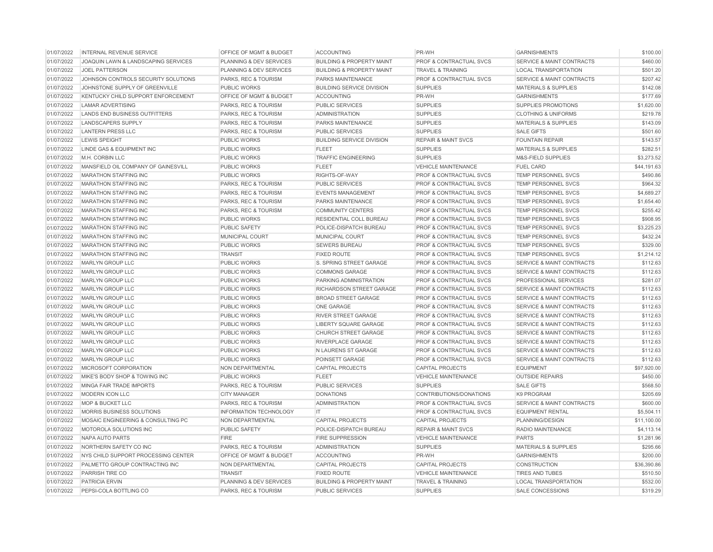| 01/07/2022 | INTERNAL REVENUE SERVICE            | OFFICE OF MGMT & BUDGET       | <b>ACCOUNTING</b>                    | PR-WH                              | <b>GARNISHMENTS</b>                  | \$100.00    |
|------------|-------------------------------------|-------------------------------|--------------------------------------|------------------------------------|--------------------------------------|-------------|
| 01/07/2022 | JOAQUIN LAWN & LANDSCAPING SERVICES | PLANNING & DEV SERVICES       | <b>BUILDING &amp; PROPERTY MAINT</b> | <b>PROF &amp; CONTRACTUAL SVCS</b> | <b>SERVICE &amp; MAINT CONTRACTS</b> | \$460.00    |
| 01/07/2022 | <b>JOEL PATTERSON</b>               | PLANNING & DEV SERVICES       | <b>BUILDING &amp; PROPERTY MAINT</b> | <b>TRAVEL &amp; TRAINING</b>       | <b>LOCAL TRANSPORTATION</b>          | \$501.20    |
| 01/07/2022 | JOHNSON CONTROLS SECURITY SOLUTIONS | PARKS, REC & TOURISM          | <b>PARKS MAINTENANCE</b>             | <b>PROF &amp; CONTRACTUAL SVCS</b> | <b>SERVICE &amp; MAINT CONTRACTS</b> | \$207.42    |
| 01/07/2022 | JOHNSTONE SUPPLY OF GREENVILLE      | <b>PUBLIC WORKS</b>           | <b>BUILDING SERVICE DIVISION</b>     | <b>SUPPLIES</b>                    | <b>MATERIALS &amp; SUPPLIES</b>      | \$142.08    |
| 01/07/2022 | KENTUCKY CHILD SUPPORT ENFORCEMENT  | OFFICE OF MGMT & BUDGET       | <b>ACCOUNTING</b>                    | PR-WH                              | <b>GARNISHMENTS</b>                  | \$177.69    |
| 01/07/2022 | <b>LAMAR ADVERTISING</b>            | PARKS, REC & TOURISM          | <b>PUBLIC SERVICES</b>               | <b>SUPPLIES</b>                    | SUPPLIES PROMOTIONS                  | \$1,620.00  |
| 01/07/2022 | LANDS END BUSINESS OUTFITTERS       | PARKS, REC & TOURISM          | <b>ADMINISTRATION</b>                | <b>SUPPLIES</b>                    | <b>CLOTHING &amp; UNIFORMS</b>       | \$219.78    |
| 01/07/2022 | <b>LANDSCAPERS SUPPLY</b>           | PARKS, REC & TOURISM          | <b>PARKS MAINTENANCE</b>             | <b>SUPPLIES</b>                    | <b>MATERIALS &amp; SUPPLIES</b>      | \$143.09    |
| 01/07/2022 | <b>LANTERN PRESS LLC</b>            | PARKS, REC & TOURISM          | <b>PUBLIC SERVICES</b>               | <b>SUPPLIES</b>                    | <b>SALE GIFTS</b>                    | \$501.60    |
| 01/07/2022 | <b>LEWIS SPEIGHT</b>                | <b>PUBLIC WORKS</b>           | <b>BUILDING SERVICE DIVISION</b>     | <b>REPAIR &amp; MAINT SVCS</b>     | <b>FOUNTAIN REPAIR</b>               | \$143.57    |
| 01/07/2022 | LINDE GAS & EQUIPMENT INC           | PUBLIC WORKS                  | <b>FLEET</b>                         | <b>SUPPLIES</b>                    | <b>MATERIALS &amp; SUPPLIES</b>      | \$282.51    |
| 01/07/2022 | M.H. CORBIN LLC                     | <b>PUBLIC WORKS</b>           | <b>TRAFFIC ENGINEERING</b>           | <b>SUPPLIES</b>                    | M&S-FIELD SUPPLIES                   | \$3,273.52  |
| 01/07/2022 | MANSFIELD OIL COMPANY OF GAINESVILL | PUBLIC WORKS                  | <b>FLEET</b>                         | <b>VEHICLE MAINTENANCE</b>         | <b>FUEL CARD</b>                     | \$44,191.63 |
| 01/07/2022 | <b>MARATHON STAFFING INC</b>        | <b>PUBLIC WORKS</b>           | RIGHTS-OF-WAY                        | <b>PROF &amp; CONTRACTUAL SVCS</b> | TEMP PERSONNEL SVCS                  | \$490.86    |
| 01/07/2022 | <b>MARATHON STAFFING INC</b>        | PARKS, REC & TOURISM          | PUBLIC SERVICES                      | <b>PROF &amp; CONTRACTUAL SVCS</b> | <b>TEMP PERSONNEL SVCS</b>           | \$964.32    |
| 01/07/2022 | <b>MARATHON STAFFING INC</b>        | PARKS, REC & TOURISM          | <b>EVENTS MANAGEMENT</b>             | <b>PROF &amp; CONTRACTUAL SVCS</b> | <b>TEMP PERSONNEL SVCS</b>           | \$4,689.27  |
| 01/07/2022 | <b>MARATHON STAFFING INC</b>        | PARKS, REC & TOURISM          | <b>PARKS MAINTENANCE</b>             | <b>PROF &amp; CONTRACTUAL SVCS</b> | <b>TEMP PERSONNEL SVCS</b>           | \$1,654.40  |
| 01/07/2022 | <b>MARATHON STAFFING INC</b>        | PARKS, REC & TOURISM          | <b>COMMUNITY CENTERS</b>             | <b>PROF &amp; CONTRACTUAL SVCS</b> | <b>TEMP PERSONNEL SVCS</b>           | \$255.42    |
| 01/07/2022 | <b>MARATHON STAFFING INC</b>        | <b>PUBLIC WORKS</b>           | <b>RESIDENTIAL COLL BUREAU</b>       | <b>PROF &amp; CONTRACTUAL SVCS</b> | <b>TEMP PERSONNEL SVCS</b>           | \$908.95    |
| 01/07/2022 | <b>MARATHON STAFFING INC</b>        | <b>PUBLIC SAFETY</b>          | POLICE-DISPATCH BUREAU               | <b>PROF &amp; CONTRACTUAL SVCS</b> | <b>TEMP PERSONNEL SVCS</b>           | \$3,225.23  |
| 01/07/2022 | <b>MARATHON STAFFING INC</b>        | MUNICIPAL COURT               | MUNICIPAL COURT                      | PROF & CONTRACTUAL SVCS            | TEMP PERSONNEL SVCS                  | \$432.24    |
| 01/07/2022 | <b>MARATHON STAFFING INC</b>        | PUBLIC WORKS                  | <b>SEWERS BUREAU</b>                 | PROF & CONTRACTUAL SVCS            | <b>TEMP PERSONNEL SVCS</b>           | \$329.00    |
| 01/07/2022 | <b>MARATHON STAFFING INC</b>        | <b>TRANSIT</b>                | <b>FIXED ROUTE</b>                   | PROF & CONTRACTUAL SVCS            | TEMP PERSONNEL SVCS                  | \$1,214.12  |
| 01/07/2022 | MARLYN GROUP LLC                    | PUBLIC WORKS                  | S. SPRING STREET GARAGE              | PROF & CONTRACTUAL SVCS            | <b>SERVICE &amp; MAINT CONTRACTS</b> | \$112.63    |
| 01/07/2022 | <b>MARLYN GROUP LLC</b>             | PUBLIC WORKS                  | <b>COMMONS GARAGE</b>                | <b>PROF &amp; CONTRACTUAL SVCS</b> | <b>SERVICE &amp; MAINT CONTRACTS</b> | \$112.63    |
| 01/07/2022 | MARLYN GROUP LLC                    | PUBLIC WORKS                  | PARKING ADMINISTRATION               | <b>PROF &amp; CONTRACTUAL SVCS</b> | PROFESSIONAL SERVICES                | \$281.07    |
| 01/07/2022 | <b>MARLYN GROUP LLC</b>             | <b>PUBLIC WORKS</b>           | RICHARDSON STREET GARAGE             | <b>PROF &amp; CONTRACTUAL SVCS</b> | <b>SERVICE &amp; MAINT CONTRACTS</b> | \$112.63    |
| 01/07/2022 | <b>MARLYN GROUP LLC</b>             | PUBLIC WORKS                  | <b>BROAD STREET GARAGE</b>           | <b>PROF &amp; CONTRACTUAL SVCS</b> | <b>SERVICE &amp; MAINT CONTRACTS</b> | \$112.63    |
| 01/07/2022 | MARLYN GROUP LLC                    | <b>PUBLIC WORKS</b>           | ONE GARAGE                           | <b>PROF &amp; CONTRACTUAL SVCS</b> | <b>SERVICE &amp; MAINT CONTRACTS</b> | \$112.63    |
| 01/07/2022 | MARLYN GROUP LLC                    | PUBLIC WORKS                  | <b>RIVER STREET GARAGE</b>           | <b>PROF &amp; CONTRACTUAL SVCS</b> | <b>SERVICE &amp; MAINT CONTRACTS</b> | \$112.63    |
| 01/07/2022 | MARLYN GROUP LLC                    | <b>PUBLIC WORKS</b>           | <b>LIBERTY SQUARE GARAGE</b>         | <b>PROF &amp; CONTRACTUAL SVCS</b> | <b>SERVICE &amp; MAINT CONTRACTS</b> | \$112.63    |
| 01/07/2022 | MARLYN GROUP LLC                    | PUBLIC WORKS                  | <b>CHURCH STREET GARAGE</b>          | <b>PROF &amp; CONTRACTUAL SVCS</b> | <b>SERVICE &amp; MAINT CONTRACTS</b> | \$112.63    |
| 01/07/2022 | MARLYN GROUP LLC                    | PUBLIC WORKS                  | <b>RIVERPLACE GARAGE</b>             | <b>PROF &amp; CONTRACTUAL SVCS</b> | <b>SERVICE &amp; MAINT CONTRACTS</b> | \$112.63    |
| 01/07/2022 | <b>MARLYN GROUP LLC</b>             | PUBLIC WORKS                  | N LAURENS ST GARAGE                  | <b>PROF &amp; CONTRACTUAL SVCS</b> | <b>SERVICE &amp; MAINT CONTRACTS</b> | \$112.63    |
| 01/07/2022 | <b>MARLYN GROUP LLC</b>             | PUBLIC WORKS                  | POINSETT GARAGE                      | <b>PROF &amp; CONTRACTUAL SVCS</b> | <b>SERVICE &amp; MAINT CONTRACTS</b> | \$112.63    |
| 01/07/2022 | MICROSOFT CORPORATION               | NON DEPARTMENTAL              | <b>CAPITAL PROJECTS</b>              | <b>CAPITAL PROJECTS</b>            | <b>EQUIPMENT</b>                     | \$97,920.00 |
| 01/07/2022 | MIKE'S BODY SHOP & TOWING INC       | PUBLIC WORKS                  | <b>FLEET</b>                         | <b>VEHICLE MAINTENANCE</b>         | <b>OUTSIDE REPAIRS</b>               | \$450.00    |
| 01/07/2022 | MINGA FAIR TRADE IMPORTS            | PARKS, REC & TOURISM          | <b>PUBLIC SERVICES</b>               | <b>SUPPLIES</b>                    | <b>SALE GIFTS</b>                    | \$568.50    |
| 01/07/2022 | <b>MODERN ICON LLC</b>              | <b>CITY MANAGER</b>           | <b>DONATIONS</b>                     | CONTRIBUTIONS/DONATIONS            | K9 PROGRAM                           | \$205.69    |
| 01/07/2022 | <b>MOP &amp; BUCKET LLC</b>         | PARKS, REC & TOURISM          | <b>ADMINISTRATION</b>                | <b>PROF &amp; CONTRACTUAL SVCS</b> | <b>SERVICE &amp; MAINT CONTRACTS</b> | \$600.00    |
| 01/07/2022 | MORRIS BUSINESS SOLUTIONS           | <b>INFORMATION TECHNOLOGY</b> | IT                                   | PROF & CONTRACTUAL SVCS            | <b>EQUIPMENT RENTAL</b>              | \$5,504.11  |
| 01/07/2022 | MOSAIC ENGINEERING & CONSULTING PC  | <b>NON DEPARTMENTAL</b>       | <b>CAPITAL PROJECTS</b>              | <b>CAPITAL PROJECTS</b>            | PLANNING/DESIGN                      | \$11,100.00 |
| 01/07/2022 | MOTOROLA SOLUTIONS INC              | PUBLIC SAFETY                 | POLICE-DISPATCH BUREAU               | <b>REPAIR &amp; MAINT SVCS</b>     | RADIO MAINTENANCE                    | \$4,113.14  |
| 01/07/2022 | <b>NAPA AUTO PARTS</b>              | <b>FIRE</b>                   | <b>FIRE SUPPRESSION</b>              | <b>VEHICLE MAINTENANCE</b>         | <b>PARTS</b>                         | \$1,281.96  |
| 01/07/2022 | NORTHERN SAFETY CO INC              | PARKS, REC & TOURISM          | <b>ADMINISTRATION</b>                | <b>SUPPLIES</b>                    | <b>MATERIALS &amp; SUPPLIES</b>      | \$295.66    |
| 01/07/2022 | NYS CHILD SUPPORT PROCESSING CENTER | OFFICE OF MGMT & BUDGET       | <b>ACCOUNTING</b>                    | PR-WH                              | <b>GARNISHMENTS</b>                  | \$200.00    |
| 01/07/2022 | PALMETTO GROUP CONTRACTING INC      | NON DEPARTMENTAL              | <b>CAPITAL PROJECTS</b>              | <b>CAPITAL PROJECTS</b>            | <b>CONSTRUCTION</b>                  | \$36,390.86 |
| 01/07/2022 | PARRISH TIRE CO                     | <b>TRANSIT</b>                | <b>FIXED ROUTE</b>                   | <b>VEHICLE MAINTENANCE</b>         | <b>TIRES AND TUBES</b>               | \$510.50    |
| 01/07/2022 | PATRICIA ERVIN                      | PLANNING & DEV SERVICES       | <b>BUILDING &amp; PROPERTY MAINT</b> | <b>TRAVEL &amp; TRAINING</b>       | <b>LOCAL TRANSPORTATION</b>          | \$532.00    |
| 01/07/2022 | PEPSI-COLA BOTTLING CO              | PARKS, REC & TOURISM          | <b>PUBLIC SERVICES</b>               | <b>SUPPLIES</b>                    | <b>SALE CONCESSIONS</b>              | \$319.29    |
|            |                                     |                               |                                      |                                    |                                      |             |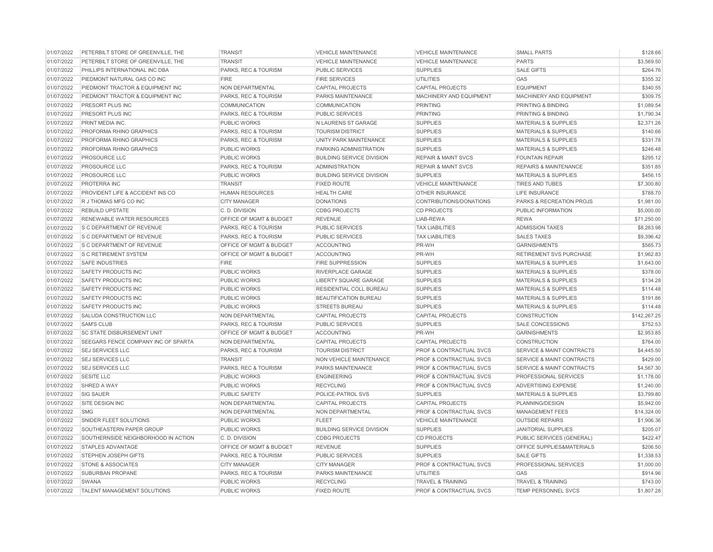| 01/07/2022 | PETERBILT STORE OF GREENVILLE, THE  | <b>TRANSIT</b>          | <b>VEHICLE MAINTENANCE</b>       | <b>VEHICLE MAINTENANCE</b>         | <b>SMALL PARTS</b>                   | \$128.66     |
|------------|-------------------------------------|-------------------------|----------------------------------|------------------------------------|--------------------------------------|--------------|
| 01/07/2022 | PETERBILT STORE OF GREENVILLE. THE  | <b>TRANSIT</b>          | <b>VEHICLE MAINTENANCE</b>       | <b>VEHICLE MAINTENANCE</b>         | <b>PARTS</b>                         | \$3,569.50   |
| 01/07/2022 | PHILLIPS INTERNATIONAL INC DBA      | PARKS, REC & TOURISM    | <b>PUBLIC SERVICES</b>           | <b>SUPPLIES</b>                    | <b>SALE GIFTS</b>                    | \$264.76     |
| 01/07/2022 | PIEDMONT NATURAL GAS CO INC         | <b>FIRE</b>             | <b>FIRE SERVICES</b>             | <b>UTILITIES</b>                   | GAS                                  | \$355.32     |
| 01/07/2022 | PIEDMONT TRACTOR & EQUIPMENT INC    | NON DEPARTMENTAL        | <b>CAPITAL PROJECTS</b>          | <b>CAPITAL PROJECTS</b>            | <b>EQUIPMENT</b>                     | \$340.55     |
| 01/07/2022 | PIEDMONT TRACTOR & EQUIPMENT INC    | PARKS, REC & TOURISM    | PARKS MAINTENANCE                | MACHINERY AND EQUIPMENT            | MACHINERY AND EQUIPMENT              | \$309.75     |
| 01/07/2022 | PRESORT PLUS INC                    | <b>COMMUNICATION</b>    | <b>COMMUNICATION</b>             | <b>PRINTING</b>                    | PRINTING & BINDING                   | \$1,089.54   |
| 01/07/2022 | PRESORT PLUS INC                    | PARKS, REC & TOURISM    | PUBLIC SERVICES                  | <b>PRINTING</b>                    | PRINTING & BINDING                   | \$1,790.34   |
| 01/07/2022 | PRINT MEDIA INC.                    | PUBLIC WORKS            | N LAURENS ST GARAGE              | <b>SUPPLIES</b>                    | <b>MATERIALS &amp; SUPPLIES</b>      | \$2,371.26   |
| 01/07/2022 | PROFORMA RHINO GRAPHICS             | PARKS, REC & TOURISM    | <b>TOURISM DISTRICT</b>          | <b>SUPPLIES</b>                    | <b>MATERIALS &amp; SUPPLIES</b>      | \$140.66     |
| 01/07/2022 | PROFORMA RHINO GRAPHICS             | PARKS, REC & TOURISM    | UNITY PARK MAINTENANCE           | <b>SUPPLIES</b>                    | <b>MATERIALS &amp; SUPPLIES</b>      | \$331.78     |
| 01/07/2022 | PROFORMA RHINO GRAPHICS             | <b>PUBLIC WORKS</b>     | PARKING ADMINISTRATION           | <b>SUPPLIES</b>                    | <b>MATERIALS &amp; SUPPLIES</b>      | \$246.48     |
| 01/07/2022 | <b>PROSOURCE LLC</b>                | PUBLIC WORKS            | <b>BUILDING SERVICE DIVISION</b> | <b>REPAIR &amp; MAINT SVCS</b>     | <b>FOUNTAIN REPAIR</b>               | \$295.12     |
| 01/07/2022 | PROSOURCE LLC                       | PARKS, REC & TOURISM    | <b>ADMINISTRATION</b>            | <b>REPAIR &amp; MAINT SVCS</b>     | <b>REPAIRS &amp; MAINTENANCE</b>     | \$351.85     |
| 01/07/2022 | PROSOURCE LLC                       | PUBLIC WORKS            | <b>BUILDING SERVICE DIVISION</b> | <b>SUPPLIES</b>                    | <b>MATERIALS &amp; SUPPLIES</b>      | \$456.15     |
| 01/07/2022 | PROTERRA INC                        | <b>TRANSIT</b>          | <b>FIXED ROUTE</b>               | <b>VEHICLE MAINTENANCE</b>         | <b>TIRES AND TUBES</b>               | \$7,300.80   |
| 01/07/2022 | PROVIDENT LIFE & ACCIDENT INS CO    | <b>HUMAN RESOURCES</b>  | <b>HEALTH CARE</b>               | OTHER INSURANCE                    | LIFE INSURANCE                       | \$788.70     |
| 01/07/2022 | R J THOMAS MFG CO INC               | <b>CITY MANAGER</b>     | <b>DONATIONS</b>                 | CONTRIBUTIONS/DONATIONS            | PARKS & RECREATION PROJS             | \$1,981.00   |
| 01/07/2022 | <b>REBUILD UPSTATE</b>              | C. D. DIVISION          | <b>CDBG PROJECTS</b>             | <b>CD PROJECTS</b>                 | PUBLIC INFORMATION                   | \$5,000.00   |
| 01/07/2022 | <b>RENEWABLE WATER RESOURCES</b>    | OFFICE OF MGMT & BUDGET | <b>REVENUE</b>                   | LIAB-REWA                          | <b>REWA</b>                          | \$71,250.00  |
| 01/07/2022 | S C DEPARTMENT OF REVENUE           | PARKS, REC & TOURISM    | <b>PUBLIC SERVICES</b>           | <b>TAX LIABILITIES</b>             | <b>ADMISSION TAXES</b>               | \$8,263.98   |
| 01/07/2022 | S C DEPARTMENT OF REVENUE           | PARKS, REC & TOURISM    | PUBLIC SERVICES                  | <b>TAX LIABILITIES</b>             | <b>SALES TAXES</b>                   | \$9,396.42   |
| 01/07/2022 | S C DEPARTMENT OF REVENUE           | OFFICE OF MGMT & BUDGET | <b>ACCOUNTING</b>                | PR-WH                              | <b>GARNISHMENTS</b>                  | \$565.73     |
| 01/07/2022 | <b>S C RETIREMENT SYSTEM</b>        | OFFICE OF MGMT & BUDGET | <b>ACCOUNTING</b>                | PR-WH                              | RETIREMENT SVS PURCHASE              | \$1,962.83   |
| 01/07/2022 | <b>SAFE INDUSTRIES</b>              | <b>FIRE</b>             | <b>FIRE SUPPRESSION</b>          | <b>SUPPLIES</b>                    | <b>MATERIALS &amp; SUPPLIES</b>      | \$1,643.00   |
| 01/07/2022 | SAFETY PRODUCTS INC                 | PUBLIC WORKS            | RIVERPLACE GARAGE                | <b>SUPPLIES</b>                    | <b>MATERIALS &amp; SUPPLIES</b>      | \$378.00     |
| 01/07/2022 | SAFETY PRODUCTS INC                 | PUBLIC WORKS            | <b>LIBERTY SQUARE GARAGE</b>     | <b>SUPPLIES</b>                    | <b>MATERIALS &amp; SUPPLIES</b>      | \$134.28     |
| 01/07/2022 | SAFETY PRODUCTS INC                 | PUBLIC WORKS            | RESIDENTIAL COLL BUREAU          | <b>SUPPLIES</b>                    | <b>MATERIALS &amp; SUPPLIES</b>      | \$114.48     |
| 01/07/2022 | SAFETY PRODUCTS INC                 | PUBLIC WORKS            | <b>BEAUTIFICATION BUREAU</b>     | <b>SUPPLIES</b>                    | <b>MATERIALS &amp; SUPPLIES</b>      | \$191.86     |
| 01/07/2022 | <b>SAFETY PRODUCTS INC</b>          | <b>PUBLIC WORKS</b>     | <b>STREETS BUREAU</b>            | <b>SUPPLIES</b>                    | <b>MATERIALS &amp; SUPPLIES</b>      | \$114.48     |
| 01/07/2022 | SALUDA CONSTRUCTION LLC             | <b>NON DEPARTMENTAL</b> | <b>CAPITAL PROJECTS</b>          | <b>CAPITAL PROJECTS</b>            | <b>CONSTRUCTION</b>                  | \$142,267.25 |
| 01/07/2022 | <b>SAM'S CLUB</b>                   | PARKS, REC & TOURISM    | PUBLIC SERVICES                  | <b>SUPPLIES</b>                    | <b>SALE CONCESSIONS</b>              | \$752.53     |
| 01/07/2022 | <b>SC STATE DISBURSEMENT UNIT</b>   | OFFICE OF MGMT & BUDGET | <b>ACCOUNTING</b>                | PR-WH                              | <b>GARNISHMENTS</b>                  | \$2,953.85   |
| 01/07/2022 | SEEGARS FENCE COMPANY INC OF SPARTA | <b>NON DEPARTMENTAL</b> | <b>CAPITAL PROJECTS</b>          | <b>CAPITAL PROJECTS</b>            | <b>CONSTRUCTION</b>                  | \$764.00     |
| 01/07/2022 | <b>SEJ SERVICES LLC</b>             | PARKS, REC & TOURISM    | <b>TOURISM DISTRICT</b>          | <b>PROF &amp; CONTRACTUAL SVCS</b> | <b>SERVICE &amp; MAINT CONTRACTS</b> | \$4,445.50   |
| 01/07/2022 | <b>SEJ SERVICES LLC</b>             | <b>TRANSIT</b>          | NON VEHICLE MAINTENANCE          | PROF & CONTRACTUAL SVCS            | <b>SERVICE &amp; MAINT CONTRACTS</b> | \$429.00     |
| 01/07/2022 | <b>SEJ SERVICES LLC</b>             | PARKS, REC & TOURISM    | PARKS MAINTENANCE                | <b>PROF &amp; CONTRACTUAL SVCS</b> | <b>SERVICE &amp; MAINT CONTRACTS</b> | \$4,567.30   |
| 01/07/2022 | <b>SESITE LLC</b>                   | <b>PUBLIC WORKS</b>     | <b>ENGINEERING</b>               | <b>PROF &amp; CONTRACTUAL SVCS</b> | PROFESSIONAL SERVICES                | \$1,178.00   |
| 01/07/2022 | SHRED A WAY                         | PUBLIC WORKS            | <b>RECYCLING</b>                 | <b>PROF &amp; CONTRACTUAL SVCS</b> | <b>ADVERTISING EXPENSE</b>           | \$1,240.00   |
| 01/07/2022 | <b>SIG SAUER</b>                    | <b>PUBLIC SAFETY</b>    | POLICE-PATROL SVS                | <b>SUPPLIES</b>                    | <b>MATERIALS &amp; SUPPLIES</b>      | \$3,799.80   |
| 01/07/2022 | SITE DESIGN INC                     | <b>NON DEPARTMENTAL</b> | <b>CAPITAL PROJECTS</b>          | <b>CAPITAL PROJECTS</b>            | PLANNING/DESIGN                      | \$5,942.00   |
| 01/07/2022 | <b>SMG</b>                          | NON DEPARTMENTAL        | NON DEPARTMENTAL                 | PROF & CONTRACTUAL SVCS            | <b>MANAGEMENT FEES</b>               | \$14,324.00  |
| 01/07/2022 | SNIDER FLEET SOLUTIONS              | <b>PUBLIC WORKS</b>     | <b>FLEET</b>                     | <b>VEHICLE MAINTENANCE</b>         | <b>OUTSIDE REPAIRS</b>               | \$1,906.36   |
| 01/07/2022 | SOUTHEASTERN PAPER GROUP            | PUBLIC WORKS            | <b>BUILDING SERVICE DIVISION</b> | <b>SUPPLIES</b>                    | <b>JANITORIAL SUPPLIES</b>           | \$205.07     |
| 01/07/2022 | SOUTHERNSIDE NEIGHBORHOOD IN ACTION | C.D. DIVISION           | <b>CDBG PROJECTS</b>             | <b>CD PROJECTS</b>                 | PUBLIC SERVICES (GENERAL)            | \$422.47     |
| 01/07/2022 | <b>STAPLES ADVANTAGE</b>            | OFFICE OF MGMT & BUDGET | <b>REVENUE</b>                   | <b>SUPPLIES</b>                    | OFFICE SUPPLIES&MATERIALS            | \$206.50     |
| 01/07/2022 | <b>STEPHEN JOSEPH GIFTS</b>         | PARKS, REC & TOURISM    | <b>PUBLIC SERVICES</b>           | <b>SUPPLIES</b>                    | <b>SALE GIFTS</b>                    | \$1,338.53   |
| 01/07/2022 | <b>STONE &amp; ASSOCIATES</b>       | <b>CITY MANAGER</b>     | <b>CITY MANAGER</b>              | <b>PROF &amp; CONTRACTUAL SVCS</b> | PROFESSIONAL SERVICES                | \$1,000.00   |
| 01/07/2022 | SUBURBAN PROPANE                    | PARKS, REC & TOURISM    | PARKS MAINTENANCE                | <b>UTILITIES</b>                   | GAS                                  | \$914.96     |
| 01/07/2022 | <b>SWANA</b>                        | PUBLIC WORKS            | <b>RECYCLING</b>                 | <b>TRAVEL &amp; TRAINING</b>       | <b>TRAVEL &amp; TRAINING</b>         | \$743.00     |
| 01/07/2022 | TALENT MANAGEMENT SOLUTIONS         | PUBLIC WORKS            | <b>FIXED ROUTE</b>               | PROF & CONTRACTUAL SVCS            | <b>TEMP PERSONNEL SVCS</b>           | \$1,807.28   |
|            |                                     |                         |                                  |                                    |                                      |              |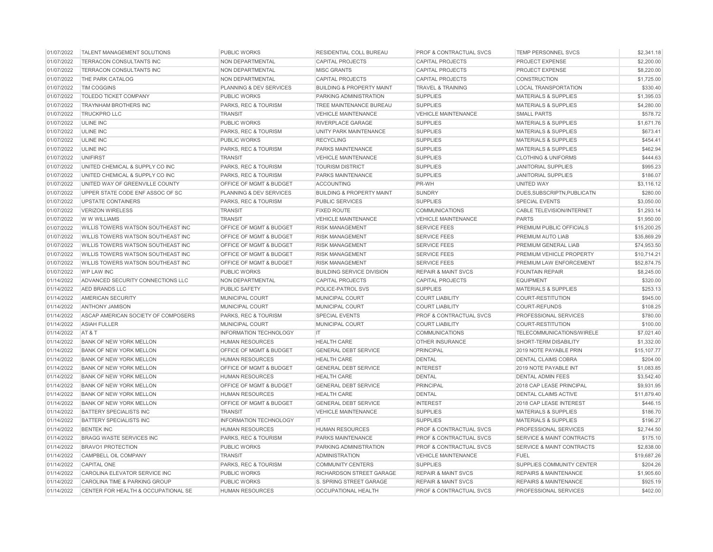| 01/07/2022 | <b>TALENT MANAGEMENT SOLUTIONS</b>  | <b>PUBLIC WORKS</b>                | <b>RESIDENTIAL COLL BUREAU</b>       | <b>PROF &amp; CONTRACTUAL SVCS</b> | <b>TEMP PERSONNEL SVCS</b>           | \$2,341.18  |
|------------|-------------------------------------|------------------------------------|--------------------------------------|------------------------------------|--------------------------------------|-------------|
| 01/07/2022 | TERRACON CONSULTANTS INC            | <b>NON DEPARTMENTAL</b>            | <b>CAPITAL PROJECTS</b>              | <b>CAPITAL PROJECTS</b>            | <b>PROJECT EXPENSE</b>               | \$2,200.00  |
| 01/07/2022 | TERRACON CONSULTANTS INC            | <b>NON DEPARTMENTAL</b>            | <b>MISC GRANTS</b>                   | <b>CAPITAL PROJECTS</b>            | <b>PROJECT EXPENSE</b>               | \$8,220,00  |
| 01/07/2022 | THE PARK CATALOG                    | NON DEPARTMENTAL                   | <b>CAPITAL PROJECTS</b>              | <b>CAPITAL PROJECTS</b>            | <b>CONSTRUCTION</b>                  | \$1,725.00  |
| 01/07/2022 | <b>TIM COGGINS</b>                  | PLANNING & DEV SERVICES            | <b>BUILDING &amp; PROPERTY MAINT</b> | <b>TRAVEL &amp; TRAINING</b>       | <b>LOCAL TRANSPORTATION</b>          | \$330.40    |
| 01/07/2022 | <b>TOLEDO TICKET COMPANY</b>        | <b>PUBLIC WORKS</b>                | PARKING ADMINISTRATION               | <b>SUPPLIES</b>                    | MATERIALS & SUPPLIES                 | \$1,395.03  |
| 01/07/2022 | <b>TRAYNHAM BROTHERS INC</b>        | PARKS, REC & TOURISM               | TREE MAINTENANCE BUREAU              | <b>SUPPLIES</b>                    | <b>MATERIALS &amp; SUPPLIES</b>      | \$4,280.00  |
| 01/07/2022 | <b>TRUCKPRO LLC</b>                 | <b>TRANSIT</b>                     | <b>VEHICLE MAINTENANCE</b>           | <b>VEHICLE MAINTENANCE</b>         | <b>SMALL PARTS</b>                   | \$578.72    |
| 01/07/2022 | <b>ULINE INC</b>                    | PUBLIC WORKS                       | <b>RIVERPLACE GARAGE</b>             | <b>SUPPLIES</b>                    | MATERIALS & SUPPLIES                 | \$1,671.76  |
| 01/07/2022 | <b>ULINE INC</b>                    | PARKS, REC & TOURISM               | <b>UNITY PARK MAINTENANCE</b>        | <b>SUPPLIES</b>                    | <b>MATERIALS &amp; SUPPLIES</b>      | \$673.41    |
| 01/07/2022 | <b>ULINE INC</b>                    | PUBLIC WORKS                       | <b>RECYCLING</b>                     | <b>SUPPLIES</b>                    | <b>MATERIALS &amp; SUPPLIES</b>      | \$454.41    |
| 01/07/2022 | <b>ULINE INC</b>                    | PARKS, REC & TOURISM               | <b>PARKS MAINTENANCE</b>             | <b>SUPPLIES</b>                    | <b>MATERIALS &amp; SUPPLIES</b>      | \$462.94    |
| 01/07/2022 | <b>UNIFIRST</b>                     | <b>TRANSIT</b>                     | <b>VEHICLE MAINTENANCE</b>           | <b>SUPPLIES</b>                    | <b>CLOTHING &amp; UNIFORMS</b>       | \$444.63    |
| 01/07/2022 | UNITED CHEMICAL & SUPPLY CO INC     | PARKS, REC & TOURISM               | <b>TOURISM DISTRICT</b>              | <b>SUPPLIES</b>                    | <b>JANITORIAL SUPPLIES</b>           | \$995.23    |
| 01/07/2022 | UNITED CHEMICAL & SUPPLY CO INC     | PARKS, REC & TOURISM               | PARKS MAINTENANCE                    | <b>SUPPLIES</b>                    | <b>JANITORIAL SUPPLIES</b>           | \$186.07    |
| 01/07/2022 | UNITED WAY OF GREENVILLE COUNTY     | OFFICE OF MGMT & BUDGET            | <b>ACCOUNTING</b>                    | PR-WH                              | <b>UNITED WAY</b>                    | \$3,116.12  |
| 01/07/2022 | UPPER STATE CODE ENF ASSOC OF SC    | PLANNING & DEV SERVICES            | <b>BUILDING &amp; PROPERTY MAINT</b> | <b>SUNDRY</b>                      | DUES.SUBSCRIPTN.PUBLICATN            | \$280.00    |
| 01/07/2022 | <b>UPSTATE CONTAINERS</b>           | PARKS, REC & TOURISM               | <b>PUBLIC SERVICES</b>               | <b>SUPPLIES</b>                    | <b>SPECIAL EVENTS</b>                | \$3,050,00  |
| 01/07/2022 | <b>VERIZON WIRELESS</b>             | <b>TRANSIT</b>                     | <b>FIXED ROUTE</b>                   | <b>COMMUNICATIONS</b>              | <b>CABLE TELEVISION/INTERNET</b>     | \$1,293.14  |
| 01/07/2022 | W W WILLIAMS                        | <b>TRANSIT</b>                     | <b>VEHICLE MAINTENANCE</b>           | <b>VEHICLE MAINTENANCE</b>         | <b>PARTS</b>                         | \$1,950.00  |
| 01/07/2022 | WILLIS TOWERS WATSON SOUTHEAST INC  | OFFICE OF MGMT & BUDGET            | <b>RISK MANAGEMENT</b>               | <b>SERVICE FEES</b>                | <b>PREMIUM PUBLIC OFFICIALS</b>      | \$15,200.25 |
| 01/07/2022 | WILLIS TOWERS WATSON SOUTHEAST INC  | OFFICE OF MGMT & BUDGET            | <b>RISK MANAGEMENT</b>               | <b>SERVICE FEES</b>                | PREMIUM AUTO LIAB                    | \$35,869.29 |
| 01/07/2022 | WILLIS TOWERS WATSON SOUTHEAST INC  | OFFICE OF MGMT & BUDGET            | <b>RISK MANAGEMENT</b>               | <b>SERVICE FEES</b>                | PREMIUM GENERAL LIAB                 | \$74,953.50 |
| 01/07/2022 | WILLIS TOWERS WATSON SOUTHEAST INC  | OFFICE OF MGMT & BUDGET            | <b>RISK MANAGEMENT</b>               | <b>SERVICE FEES</b>                | PREMIUM VEHICLE PROPERTY             | \$10,714.21 |
| 01/07/2022 | WILLIS TOWERS WATSON SOUTHEAST INC  | OFFICE OF MGMT & BUDGET            | <b>RISK MANAGEMENT</b>               | <b>SERVICE FEES</b>                | PREMIUM LAW ENFORCEMENT              | \$52,874.75 |
| 01/07/2022 | <b>WP LAW INC</b>                   | <b>PUBLIC WORKS</b>                | <b>BUILDING SERVICE DIVISION</b>     | <b>REPAIR &amp; MAINT SVCS</b>     | <b>FOUNTAIN REPAIR</b>               | \$8,245.00  |
| 01/14/2022 | ADVANCED SECURITY CONNECTIONS LLC   | NON DEPARTMENTAL                   | <b>CAPITAL PROJECTS</b>              | <b>CAPITAL PROJECTS</b>            | <b>EQUIPMENT</b>                     | \$320.00    |
| 01/14/2022 | AED BRANDS LLC                      | PUBLIC SAFETY                      | POLICE-PATROL SVS                    | <b>SUPPLIES</b>                    | <b>MATERIALS &amp; SUPPLIES</b>      | \$253.13    |
| 01/14/2022 | AMERICAN SECURITY                   | <b>MUNICIPAL COURT</b>             | <b>MUNICIPAL COURT</b>               | <b>COURT LIABILITY</b>             | <b>COURT-RESTITUTION</b>             | \$945.00    |
| 01/14/2022 | <b>ANTHONY JAMISON</b>              | <b>MUNICIPAL COURT</b>             | <b>MUNICIPAL COURT</b>               | <b>COURT LIABILITY</b>             | <b>COURT-REFUNDS</b>                 | \$108.25    |
| 01/14/2022 | ASCAP AMERICAN SOCIETY OF COMPOSERS | PARKS, REC & TOURISM               | <b>SPECIAL EVENTS</b>                | <b>PROF &amp; CONTRACTUAL SVCS</b> | <b>PROFESSIONAL SERVICES</b>         | \$780.00    |
| 01/14/2022 | <b>ASIAH FULLER</b>                 | MUNICIPAL COURT                    | <b>MUNICIPAL COURT</b>               | <b>COURT LIABILITY</b>             | COURT-RESTITUTION                    | \$100.00    |
| 01/14/2022 | AT&T                                | <b>INFORMATION TECHNOLOGY</b>      | IT.                                  | <b>COMMUNICATIONS</b>              | TELECOMMUNICATIONS/WIRELE            | \$7,021.40  |
| 01/14/2022 | <b>BANK OF NEW YORK MELLON</b>      | <b>HUMAN RESOURCES</b>             | <b>HEALTH CARE</b>                   | OTHER INSURANCE                    | SHORT-TERM DISABILITY                | \$1,332.00  |
| 01/14/2022 | <b>BANK OF NEW YORK MELLON</b>      | OFFICE OF MGMT & BUDGET            | <b>GENERAL DEBT SERVICE</b>          | PRINCIPAL                          | 2019 NOTE PAYABLE PRIN               | \$15,107.77 |
| 01/14/2022 | <b>BANK OF NEW YORK MELLON</b>      | <b>HUMAN RESOURCES</b>             | <b>HEALTH CARE</b>                   | <b>DENTAL</b>                      | <b>DENTAL CLAIMS COBRA</b>           | \$204.00    |
| 01/14/2022 | <b>BANK OF NEW YORK MELLON</b>      | OFFICE OF MGMT & BUDGET            | <b>GENERAL DEBT SERVICE</b>          | <b>INTEREST</b>                    | 2019 NOTE PAYABLE INT                | \$1,083.85  |
| 01/14/2022 | <b>BANK OF NEW YORK MELLON</b>      | <b>HUMAN RESOURCES</b>             | <b>HEALTH CARE</b>                   | <b>DENTAL</b>                      | <b>DENTAL ADMIN FEES</b>             | \$3,542.40  |
| 01/14/2022 | <b>BANK OF NEW YORK MELLON</b>      | <b>OFFICE OF MGMT &amp; BUDGET</b> | <b>GENERAL DEBT SERVICE</b>          | PRINCIPAL                          | 2018 CAP LEASE PRINCIPAL             | \$9.931.95  |
| 01/14/2022 | BANK OF NEW YORK MELLON             | <b>HUMAN RESOURCES</b>             | <b>HEALTH CARE</b>                   | <b>DENTAL</b>                      | <b>DENTAL CLAIMS ACTIVE</b>          | \$11,879.40 |
| 01/14/2022 | <b>BANK OF NEW YORK MELLON</b>      | OFFICE OF MGMT & BUDGET            | <b>GENERAL DEBT SERVICE</b>          | <b>INTEREST</b>                    | 2018 CAP LEASE INTEREST              | \$446.15    |
| 01/14/2022 | <b>BATTERY SPECIALISTS INC</b>      | <b>TRANSIT</b>                     | <b>VEHICLE MAINTENANCE</b>           | <b>SUPPLIES</b>                    | <b>MATERIALS &amp; SUPPLIES</b>      | \$186.70    |
| 01/14/2022 | <b>BATTERY SPECIALISTS INC</b>      | INFORMATION TECHNOLOGY             | IT                                   | <b>SUPPLIES</b>                    | <b>MATERIALS &amp; SUPPLIES</b>      | \$196.27    |
| 01/14/2022 | <b>BENTEK INC</b>                   | <b>HUMAN RESOURCES</b>             | <b>HUMAN RESOURCES</b>               | <b>PROF &amp; CONTRACTUAL SVCS</b> | PROFESSIONAL SERVICES                | \$2,744.50  |
| 01/14/2022 | <b>BRAGG WASTE SERVICES INC</b>     | PARKS, REC & TOURISM               | PARKS MAINTENANCE                    | PROF & CONTRACTUAL SVCS            | <b>SERVICE &amp; MAINT CONTRACTS</b> | \$175.10    |
| 01/14/2022 | <b>BRAVO1 PROTECTION</b>            | <b>PUBLIC WORKS</b>                | PARKING ADMINISTRATION               | <b>PROF &amp; CONTRACTUAL SVCS</b> | <b>SERVICE &amp; MAINT CONTRACTS</b> | \$2,838.00  |
| 01/14/2022 | CAMPBELL OIL COMPANY                | <b>TRANSIT</b>                     | <b>ADMINISTRATION</b>                | <b>VEHICLE MAINTENANCE</b>         | <b>FUEL</b>                          | \$19,687.26 |
| 01/14/2022 | <b>CAPITAL ONE</b>                  | PARKS, REC & TOURISM               | <b>COMMUNITY CENTERS</b>             | <b>SUPPLIES</b>                    | SUPPLIES COMMUNITY CENTER            | \$204.26    |
| 01/14/2022 | CAROLINA ELEVATOR SERVICE INC       | <b>PUBLIC WORKS</b>                | RICHARDSON STREET GARAGE             | <b>REPAIR &amp; MAINT SVCS</b>     | <b>REPAIRS &amp; MAINTENANCE</b>     | \$1,905.60  |
| 01/14/2022 | CAROLINA TIME & PARKING GROUP       | PUBLIC WORKS                       | S. SPRING STREET GARAGE              | <b>REPAIR &amp; MAINT SVCS</b>     | <b>REPAIRS &amp; MAINTENANCE</b>     | \$925.19    |
| 01/14/2022 | CENTER FOR HEALTH & OCCUPATIONAL SE | <b>HUMAN RESOURCES</b>             | <b>OCCUPATIONAL HEALTH</b>           | <b>PROF &amp; CONTRACTUAL SVCS</b> | PROFESSIONAL SERVICES                | \$402.00    |
|            |                                     |                                    |                                      |                                    |                                      |             |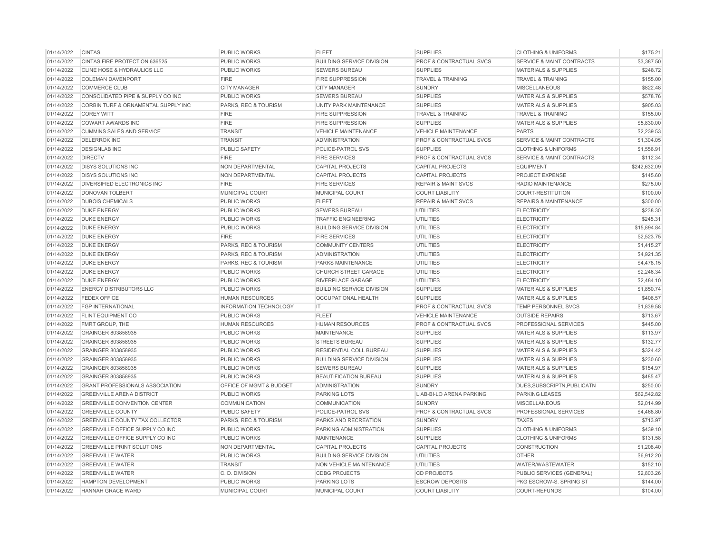| 01/14/2022 | <b>CINTAS</b>                          | <b>PUBLIC WORKS</b>             | <b>FLEET</b>                     | <b>SUPPLIES</b>                    | <b>CLOTHING &amp; UNIFORMS</b>       | \$175.21     |
|------------|----------------------------------------|---------------------------------|----------------------------------|------------------------------------|--------------------------------------|--------------|
| 01/14/2022 | CINTAS FIRE PROTECTION 636525          | <b>PUBLIC WORKS</b>             | <b>BUILDING SERVICE DIVISION</b> | <b>PROF &amp; CONTRACTUAL SVCS</b> | <b>SERVICE &amp; MAINT CONTRACTS</b> | \$3,387.50   |
| 01/14/2022 | CLINE HOSE & HYDRAULICS LLC            | <b>PUBLIC WORKS</b>             | <b>SEWERS BUREAU</b>             | <b>SUPPLIES</b>                    | <b>MATERIALS &amp; SUPPLIES</b>      | \$248.72     |
| 01/14/2022 | <b>COLEMAN DAVENPORT</b>               | <b>FIRE</b>                     | <b>FIRE SUPPRESSION</b>          | <b>TRAVEL &amp; TRAINING</b>       | <b>TRAVEL &amp; TRAINING</b>         | \$155.00     |
| 01/14/2022 | <b>COMMERCE CLUB</b>                   | <b>CITY MANAGER</b>             | <b>CITY MANAGER</b>              | <b>SUNDRY</b>                      | <b>MISCELLANEOUS</b>                 | \$822.48     |
| 01/14/2022 | CONSOLIDATED PIPE & SUPPLY CO INC      | <b>PUBLIC WORKS</b>             | SEWERS BUREAU                    | <b>SUPPLIES</b>                    | <b>MATERIALS &amp; SUPPLIES</b>      | \$578.76     |
| 01/14/2022 | CORBIN TURF & ORNAMENTAL SUPPLY INC    | <b>PARKS, REC &amp; TOURISM</b> | <b>UNITY PARK MAINTENANCE</b>    | <b>SUPPLIES</b>                    | <b>MATERIALS &amp; SUPPLIES</b>      | \$905.03     |
| 01/14/2022 | <b>COREY WITT</b>                      | <b>FIRE</b>                     | <b>FIRE SUPPRESSION</b>          | <b>TRAVEL &amp; TRAINING</b>       | <b>TRAVEL &amp; TRAINING</b>         | \$155.00     |
| 01/14/2022 | <b>COWART AWARDS INC</b>               | <b>FIRE</b>                     | <b>FIRE SUPPRESSION</b>          | <b>SUPPLIES</b>                    | <b>MATERIALS &amp; SUPPLIES</b>      | \$5,830.00   |
| 01/14/2022 | <b>CUMMINS SALES AND SERVICE</b>       | <b>TRANSIT</b>                  | <b>VEHICLE MAINTENANCE</b>       | <b>VEHICLE MAINTENANCE</b>         | <b>PARTS</b>                         | \$2,239.53   |
| 01/14/2022 | <b>DELERROK INC</b>                    | <b>TRANSIT</b>                  | <b>ADMINISTRATION</b>            | PROF & CONTRACTUAL SVCS            | SERVICE & MAINT CONTRACTS            | \$1,304.05   |
| 01/14/2022 | <b>DESIGNLAB INC</b>                   | <b>PUBLIC SAFETY</b>            | POLICE-PATROL SVS                | <b>SUPPLIES</b>                    | <b>CLOTHING &amp; UNIFORMS</b>       | \$1,556.91   |
| 01/14/2022 | <b>DIRECTV</b>                         | <b>FIRE</b>                     | <b>FIRE SERVICES</b>             | <b>PROF &amp; CONTRACTUAL SVCS</b> | <b>SERVICE &amp; MAINT CONTRACTS</b> | \$112.34     |
| 01/14/2022 | <b>DISYS SOLUTIONS INC</b>             | <b>NON DEPARTMENTAL</b>         | <b>CAPITAL PROJECTS</b>          | <b>CAPITAL PROJECTS</b>            | <b>EQUIPMENT</b>                     | \$242,632.09 |
| 01/14/2022 | <b>DISYS SOLUTIONS INC</b>             | <b>NON DEPARTMENTAL</b>         | <b>CAPITAL PROJECTS</b>          | <b>CAPITAL PROJECTS</b>            | <b>PROJECT EXPENSE</b>               | \$145.60     |
| 01/14/2022 | DIVERSIFIED ELECTRONICS INC            | <b>FIRE</b>                     | <b>FIRE SERVICES</b>             | <b>REPAIR &amp; MAINT SVCS</b>     | <b>RADIO MAINTENANCE</b>             | \$275.00     |
| 01/14/2022 | <b>DONOVAN TOLBERT</b>                 | MUNICIPAL COURT                 | MUNICIPAL COURT                  | <b>COURT LIABILITY</b>             | COURT-RESTITUTION                    | \$100.00     |
| 01/14/2022 | <b>DUBOIS CHEMICALS</b>                | <b>PUBLIC WORKS</b>             | <b>FLEET</b>                     | <b>REPAIR &amp; MAINT SVCS</b>     | <b>REPAIRS &amp; MAINTENANCE</b>     | \$300.00     |
| 01/14/2022 | <b>DUKE ENERGY</b>                     | <b>PUBLIC WORKS</b>             | <b>SEWERS BUREAU</b>             | UTILITIES                          | <b>ELECTRICITY</b>                   | \$238.30     |
| 01/14/2022 | <b>DUKE ENERGY</b>                     | <b>PUBLIC WORKS</b>             | <b>TRAFFIC ENGINEERING</b>       | <b>UTILITIES</b>                   | <b>ELECTRICITY</b>                   | \$245.31     |
| 01/14/2022 | <b>DUKE ENERGY</b>                     | <b>PUBLIC WORKS</b>             | <b>BUILDING SERVICE DIVISION</b> | <b>UTILITIES</b>                   | <b>ELECTRICITY</b>                   | \$15,894.84  |
| 01/14/2022 | <b>DUKE ENERGY</b>                     | <b>FIRE</b>                     | <b>FIRE SERVICES</b>             | <b>UTILITIES</b>                   | <b>ELECTRICITY</b>                   | \$2,523.75   |
| 01/14/2022 | <b>DUKE ENERGY</b>                     | PARKS, REC & TOURISM            | <b>COMMUNITY CENTERS</b>         | <b>UTILITIES</b>                   | <b>ELECTRICITY</b>                   | \$1,415.27   |
| 01/14/2022 | <b>DUKE ENERGY</b>                     | PARKS, REC & TOURISM            | <b>ADMINISTRATION</b>            | <b>UTILITIES</b>                   | <b>ELECTRICITY</b>                   | \$4,921.35   |
| 01/14/2022 | <b>DUKE ENERGY</b>                     | PARKS, REC & TOURISM            | PARKS MAINTENANCE                | <b>UTILITIES</b>                   | <b>ELECTRICITY</b>                   | \$4,478.15   |
| 01/14/2022 | <b>DUKE ENERGY</b>                     | <b>PUBLIC WORKS</b>             | <b>CHURCH STREET GARAGE</b>      | <b>UTILITIES</b>                   | <b>ELECTRICITY</b>                   | \$2,246.34   |
| 01/14/2022 | <b>DUKE ENERGY</b>                     | PUBLIC WORKS                    | <b>RIVERPLACE GARAGE</b>         | <b>UTILITIES</b>                   | <b>ELECTRICITY</b>                   | \$2,484.10   |
| 01/14/2022 | <b>ENERGY DISTRIBUTORS LLC</b>         | <b>PUBLIC WORKS</b>             | <b>BUILDING SERVICE DIVISION</b> | <b>SUPPLIES</b>                    | <b>MATERIALS &amp; SUPPLIES</b>      | \$1,850.74   |
| 01/14/2022 | <b>FEDEX OFFICE</b>                    | <b>HUMAN RESOURCES</b>          | <b>OCCUPATIONAL HEALTH</b>       | <b>SUPPLIES</b>                    | <b>MATERIALS &amp; SUPPLIES</b>      | \$406.57     |
| 01/14/2022 | <b>FGP INTERNATIONAL</b>               | <b>INFORMATION TECHNOLOGY</b>   | IT.                              | PROF & CONTRACTUAL SVCS            | <b>TEMP PERSONNEL SVCS</b>           | \$1,839.58   |
| 01/14/2022 | <b>FLINT EQUIPMENT CO</b>              | PUBLIC WORKS                    | <b>FLEET</b>                     | <b>VEHICLE MAINTENANCE</b>         | <b>OUTSIDE REPAIRS</b>               | \$713.67     |
| 01/14/2022 | FMRT GROUP, THE                        | <b>HUMAN RESOURCES</b>          | <b>HUMAN RESOURCES</b>           | PROF & CONTRACTUAL SVCS            | PROFESSIONAL SERVICES                | \$445.00     |
| 01/14/2022 | GRAINGER 803858935                     | <b>PUBLIC WORKS</b>             | <b>MAINTENANCE</b>               | <b>SUPPLIES</b>                    | <b>MATERIALS &amp; SUPPLIES</b>      | \$113.97     |
| 01/14/2022 | GRAINGER 803858935                     | PUBLIC WORKS                    | <b>STREETS BUREAU</b>            | <b>SUPPLIES</b>                    | <b>MATERIALS &amp; SUPPLIES</b>      | \$132.77     |
| 01/14/2022 | GRAINGER 803858935                     | <b>PUBLIC WORKS</b>             | RESIDENTIAL COLL BUREAU          | <b>SUPPLIES</b>                    | <b>MATERIALS &amp; SUPPLIES</b>      | \$324.42     |
| 01/14/2022 | GRAINGER 803858935                     | <b>PUBLIC WORKS</b>             | <b>BUILDING SERVICE DIVISION</b> | <b>SUPPLIES</b>                    | <b>MATERIALS &amp; SUPPLIES</b>      | \$230.60     |
| 01/14/2022 | GRAINGER 803858935                     | <b>PUBLIC WORKS</b>             | <b>SEWERS BUREAU</b>             | <b>SUPPLIES</b>                    | <b>MATERIALS &amp; SUPPLIES</b>      | \$154.97     |
| 01/14/2022 | GRAINGER 803858935                     | <b>PUBLIC WORKS</b>             | <b>BEAUTIFICATION BUREAU</b>     | <b>SUPPLIES</b>                    | <b>MATERIALS &amp; SUPPLIES</b>      | \$485.47     |
| 01/14/2022 | GRANT PROFESSIONALS ASSOCIATION        | OFFICE OF MGMT & BUDGET         | <b>ADMINISTRATION</b>            | <b>SUNDRY</b>                      | DUES, SUBSCRIPTN, PUBLICATN          | \$250.00     |
| 01/14/2022 | <b>GREENVILLE ARENA DISTRICT</b>       | <b>PUBLIC WORKS</b>             | PARKING LOTS                     | LIAB-BI-LO ARENA PARKING           | <b>PARKING LEASES</b>                | \$62,542.82  |
| 01/14/2022 | <b>GREENVILLE CONVENTION CENTER</b>    | <b>COMMUNICATION</b>            | <b>COMMUNICATION</b>             | <b>SUNDRY</b>                      | <b>MISCELLANEOUS</b>                 | \$2,014.99   |
| 01/14/2022 | <b>GREENVILLE COUNTY</b>               | PUBLIC SAFETY                   | POLICE-PATROL SVS                | PROF & CONTRACTUAL SVCS            | PROFESSIONAL SERVICES                | \$4,468.80   |
| 01/14/2022 | GREENVILLE COUNTY TAX COLLECTOR        | PARKS, REC & TOURISM            | PARKS AND RECREATION             | <b>SUNDRY</b>                      | <b>TAXES</b>                         | \$713.97     |
| 01/14/2022 | <b>GREENVILLE OFFICE SUPPLY CO INC</b> | PUBLIC WORKS                    | PARKING ADMINISTRATION           | <b>SUPPLIES</b>                    | <b>CLOTHING &amp; UNIFORMS</b>       | \$439.10     |
| 01/14/2022 | <b>GREENVILLE OFFICE SUPPLY CO INC</b> | PUBLIC WORKS                    | <b>MAINTENANCE</b>               | <b>SUPPLIES</b>                    | <b>CLOTHING &amp; UNIFORMS</b>       | \$131.58     |
| 01/14/2022 | <b>GREENVILLE PRINT SOLUTIONS</b>      | <b>NON DEPARTMENTAL</b>         | <b>CAPITAL PROJECTS</b>          | <b>CAPITAL PROJECTS</b>            | <b>CONSTRUCTION</b>                  | \$1,208,40   |
| 01/14/2022 | <b>GREENVILLE WATER</b>                | <b>PUBLIC WORKS</b>             | <b>BUILDING SERVICE DIVISION</b> | UTILITIES                          | <b>OTHER</b>                         | \$6,912.20   |
| 01/14/2022 | <b>GREENVILLE WATER</b>                | <b>TRANSIT</b>                  | <b>NON VEHICLE MAINTENANCE</b>   | <b>UTILITIES</b>                   | WATER/WASTEWATER                     | \$152.10     |
| 01/14/2022 | <b>GREENVILLE WATER</b>                | C.D. DIVISION                   | <b>CDBG PROJECTS</b>             | <b>CD PROJECTS</b>                 | PUBLIC SERVICES (GENERAL)            | \$2,803.26   |
| 01/14/2022 | <b>HAMPTON DEVELOPMENT</b>             | <b>PUBLIC WORKS</b>             | PARKING LOTS                     | <b>ESCROW DEPOSITS</b>             | PKG ESCROW-S. SPRING ST              | \$144.00     |
| 01/14/2022 | HANNAH GRACE WARD                      | MUNICIPAL COURT                 | MUNICIPAL COURT                  | <b>COURT LIABILITY</b>             | COURT-REFUNDS                        | \$104.00     |
|            |                                        |                                 |                                  |                                    |                                      |              |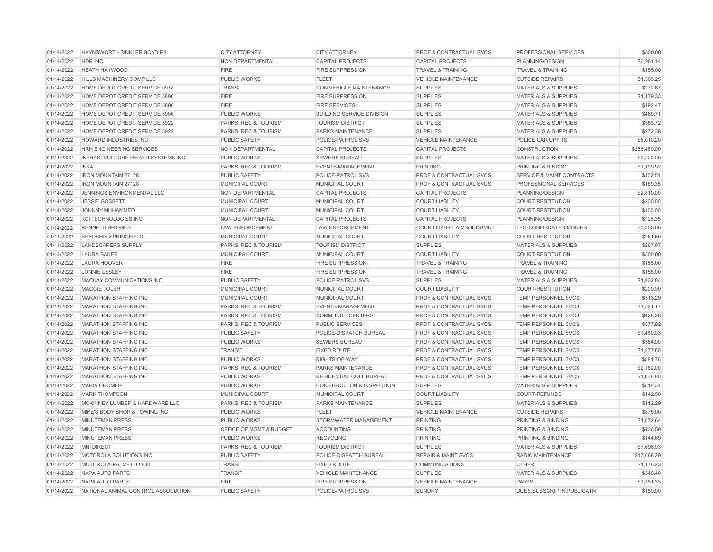| 01/14/2022 | HAYNSWORTH SINKLER BOYD PA          | <b>CITY ATTORNEY</b>    | <b>CITY ATTORNEY</b>             | PROF & CONTRACTUAL SVCS            | PROFESSIONAL SERVICES                | \$600.00     |
|------------|-------------------------------------|-------------------------|----------------------------------|------------------------------------|--------------------------------------|--------------|
| 01/14/2022 | HDR INC                             | NON DEPARTMENTAL        | <b>CAPITAL PROJECTS</b>          | <b>CAPITAL PROJECTS</b>            | PLANNING/DESIGN                      | \$6,961.14   |
| 01/14/2022 | <b>HEATH HAYWOOD</b>                | <b>FIRE</b>             | <b>FIRE SUPPRESSION</b>          | <b>TRAVEL &amp; TRAINING</b>       | <b>TRAVEL &amp; TRAINING</b>         | \$155.00     |
| 01/14/2022 | <b>HILLS MACHINERY COMP LLC</b>     | <b>PUBLIC WORKS</b>     | <b>FLEET</b>                     | <b>VEHICLE MAINTENANCE</b>         | <b>OUTSIDE REPAIRS</b>               | \$1,365.25   |
| 01/14/2022 | HOME DEPOT CREDIT SERVICE 0978      | <b>TRANSIT</b>          | NON VEHICLE MAINTENANCE          | <b>SUPPLIES</b>                    | <b>MATERIALS &amp; SUPPLIES</b>      | \$272.67     |
| 01/14/2022 | HOME DEPOT CREDIT SERVICE 5898      | <b>FIRE</b>             | <b>FIRE SUPPRESSION</b>          | <b>SUPPLIES</b>                    | <b>MATERIALS &amp; SUPPLIES</b>      | \$1,179.33   |
| 01/14/2022 | HOME DEPOT CREDIT SERVICE 5898      | <b>FIRE</b>             | <b>FIRE SERVICES</b>             | <b>SUPPLIES</b>                    | <b>MATERIALS &amp; SUPPLIES</b>      | \$192.47     |
| 01/14/2022 | HOME DEPOT CREDIT SERVICE 5906      | <b>PUBLIC WORKS</b>     | <b>BUILDING SERVICE DIVISION</b> | <b>SUPPLIES</b>                    | <b>MATERIALS &amp; SUPPLIES</b>      | \$460.71     |
| 01/14/2022 | HOME DEPOT CREDIT SERVICE 5922      | PARKS, REC & TOURISM    | <b>TOURISM DISTRICT</b>          | <b>SUPPLIES</b>                    | <b>MATERIALS &amp; SUPPLIES</b>      | \$553.72     |
| 01/14/2022 | HOME DEPOT CREDIT SERVICE 5922      | PARKS, REC & TOURISM    | PARKS MAINTENANCE                | <b>SUPPLIES</b>                    | <b>MATERIALS &amp; SUPPLIES</b>      | \$272.38     |
| 01/14/2022 | HOWARD INDUSTRIES INC               | PUBLIC SAFETY           | POLICE-PATROL SVS                | <b>VEHICLE MAINTENANCE</b>         | POLICE CAR UPFITS                    | \$6,010.20   |
| 01/14/2022 | HRH ENGINEERING SERVICES            | NON DEPARTMENTAL        | <b>CAPITAL PROJECTS</b>          | <b>CAPITAL PROJECTS</b>            | <b>CONSTRUCTION</b>                  | \$258,480.00 |
| 01/14/2022 | INFRASTRUCTURE REPAIR SYSTEMS INC   | PUBLIC WORKS            | <b>SEWERS BUREAU</b>             | <b>SUPPLIES</b>                    | <b>MATERIALS &amp; SUPPLIES</b>      | \$2,222.00   |
| 01/14/2022 | INK4                                | PARKS, REC & TOURISM    | <b>EVENTS MANAGEMENT</b>         | <b>PRINTING</b>                    | <b>PRINTING &amp; BINDING</b>        | \$1,199.92   |
| 01/14/2022 | <b>IRON MOUNTAIN 27128</b>          | <b>PUBLIC SAFETY</b>    | POLICE-PATROL SVS                | PROF & CONTRACTUAL SVCS            | <b>SERVICE &amp; MAINT CONTRACTS</b> | \$102.51     |
| 01/14/2022 | <b>IRON MOUNTAIN 27128</b>          | MUNICIPAL COURT         | MUNICIPAL COURT                  | PROF & CONTRACTUAL SVCS            | <b>PROFESSIONAL SERVICES</b>         | \$189.35     |
| 01/14/2022 | JENNINGS ENVIRONMENTAL LLC          | NON DEPARTMENTAL        | <b>CAPITAL PROJECTS</b>          | <b>CAPITAL PROJECTS</b>            | PLANNING/DESIGN                      | \$2,810.00   |
| 01/14/2022 | <b>JESSIE GOSSETT</b>               | MUNICIPAL COURT         | MUNICIPAL COURT                  | <b>COURT LIABILITY</b>             | <b>COURT-RESTITUTION</b>             | \$200.00     |
| 01/14/2022 | JOHNNY MUHAMMED                     | MUNICIPAL COURT         | <b>MUNICIPAL COURT</b>           | <b>COURT LIABILITY</b>             | <b>COURT-RESTITUTION</b>             | \$100.00     |
| 01/14/2022 | <b>KCI TECHNOLOGIES INC</b>         | NON DEPARTMENTAL        | <b>CAPITAL PROJECTS</b>          | <b>CAPITAL PROJECTS</b>            | PLANNING/DESIGN                      | \$726.35     |
| 01/14/2022 | <b>KENNETH BRIDGES</b>              | <b>LAW ENFORCEMENT</b>  | <b>LAW ENFORCEMENT</b>           | COURT LIAB-CLAIMS/JUDGMNT          | LEC-CONFISCATED MONIES               | \$3,353.00   |
| 01/14/2022 | <b>KEYOSHIA SPRINGFIELD</b>         | MUNICIPAL COURT         | <b>MUNICIPAL COURT</b>           | <b>COURT LIABILITY</b>             | <b>COURT-RESTITUTION</b>             | \$281.50     |
| 01/14/2022 | <b>LANDSCAPERS SUPPLY</b>           | PARKS, REC & TOURISM    | <b>TOURISM DISTRICT</b>          | <b>SUPPLIES</b>                    | <b>MATERIALS &amp; SUPPLIES</b>      | \$267.07     |
| 01/14/2022 | <b>LAURA BAKER</b>                  | MUNICIPAL COURT         | MUNICIPAL COURT                  | <b>COURT LIABILITY</b>             | <b>COURT-RESTITUTION</b>             | \$500.00     |
| 01/14/2022 | <b>LAURA HOOVER</b>                 | <b>FIRE</b>             | <b>FIRE SUPPRESSION</b>          | <b>TRAVEL &amp; TRAINING</b>       | <b>TRAVEL &amp; TRAINING</b>         | \$155.00     |
| 01/14/2022 | <b>LONNIE LESLEY</b>                | <b>FIRE</b>             | <b>FIRE SUPPRESSION</b>          | <b>TRAVEL &amp; TRAINING</b>       | <b>TRAVEL &amp; TRAINING</b>         | \$155.00     |
| 01/14/2022 | MACKAY COMMUNICATIONS INC           | <b>PUBLIC SAFETY</b>    | POLICE-PATROL SVS                | <b>SUPPLIES</b>                    | <b>MATERIALS &amp; SUPPLIES</b>      | \$1,932.84   |
| 01/14/2022 | <b>MAGGIE TOLER</b>                 | <b>MUNICIPAL COURT</b>  | MUNICIPAL COURT                  | <b>COURT LIABILITY</b>             | <b>COURT-RESTITUTION</b>             | \$200.00     |
| 01/14/2022 | MARATHON STAFFING INC               | MUNICIPAL COURT         | MUNICIPAL COURT                  | PROF & CONTRACTUAL SVCS            | TEMP PERSONNEL SVCS                  | \$513.29     |
| 01/14/2022 | <b>MARATHON STAFFING INC</b>        | PARKS, REC & TOURISM    | <b>EVENTS MANAGEMENT</b>         | <b>PROF &amp; CONTRACTUAL SVCS</b> | <b>TEMP PERSONNEL SVCS</b>           | \$1,521.17   |
| 01/14/2022 | <b>MARATHON STAFFING INC</b>        | PARKS, REC & TOURISM    | <b>COMMUNITY CENTERS</b>         | <b>PROF &amp; CONTRACTUAL SVCS</b> | <b>TEMP PERSONNEL SVCS</b>           | \$428.28     |
| 01/14/2022 | <b>MARATHON STAFFING INC</b>        | PARKS, REC & TOURISM    | <b>PUBLIC SERVICES</b>           | <b>PROF &amp; CONTRACTUAL SVCS</b> | <b>TEMP PERSONNEL SVCS</b>           | \$577.92     |
| 01/14/2022 | <b>MARATHON STAFFING INC</b>        | <b>PUBLIC SAFETY</b>    | POLICE-DISPATCH BUREAU           | <b>PROF &amp; CONTRACTUAL SVCS</b> | <b>TEMP PERSONNEL SVCS</b>           | \$1,480.03   |
| 01/14/2022 | <b>MARATHON STAFFING INC</b>        | PUBLIC WORKS            | <b>SEWERS BUREAU</b>             | PROF & CONTRACTUAL SVCS            | TEMP PERSONNEL SVCS                  | \$564.00     |
| 01/14/2022 | <b>MARATHON STAFFING INC</b>        | <b>TRANSIT</b>          | <b>FIXED ROUTE</b>               | <b>PROF &amp; CONTRACTUAL SVCS</b> | <b>TEMP PERSONNEL SVCS</b>           | \$1,277.80   |
| 01/14/2022 | <b>MARATHON STAFFING INC</b>        | PUBLIC WORKS            | RIGHTS-OF-WAY                    | <b>PROF &amp; CONTRACTUAL SVCS</b> | <b>TEMP PERSONNEL SVCS</b>           | \$581.76     |
| 01/14/2022 | <b>MARATHON STAFFING INC</b>        | PARKS, REC & TOURISM    | PARKS MAINTENANCE                | PROF & CONTRACTUAL SVCS            | <b>TEMP PERSONNEL SVCS</b>           | \$2,162.00   |
| 01/14/2022 | <b>MARATHON STAFFING INC</b>        | <b>PUBLIC WORKS</b>     | RESIDENTIAL COLL BUREAU          | PROF & CONTRACTUAL SVCS            | TEMP PERSONNEL SVCS                  | \$1,038.80   |
| 01/14/2022 | <b>MARIA CROMER</b>                 | <b>PUBLIC WORKS</b>     | CONSTRUCTION & INSPECTION        | <b>SUPPLIES</b>                    | <b>MATERIALS &amp; SUPPLIES</b>      | \$518.34     |
| 01/14/2022 | <b>MARK THOMPSON</b>                | MUNICIPAL COURT         | MUNICIPAL COURT                  | <b>COURT LIABILITY</b>             | <b>COURT-REFUNDS</b>                 | \$142.50     |
| 01/14/2022 | MCKINNEY LUMBER & HARDWARE LLC      | PARKS, REC & TOURISM    | <b>PARKS MAINTENANCE</b>         | <b>SUPPLIES</b>                    | <b>MATERIALS &amp; SUPPLIES</b>      | \$112.29     |
| 01/14/2022 | MIKE'S BODY SHOP & TOWING INC       | <b>PUBLIC WORKS</b>     | <b>FLEET</b>                     | <b>VEHICLE MAINTENANCE</b>         | <b>OUTSIDE REPAIRS</b>               | \$875.00     |
| 01/14/2022 | <b>MINUTEMAN PRESS</b>              | <b>PUBLIC WORKS</b>     | STORMWATER MANAGEMENT            | <b>PRINTING</b>                    | PRINTING & BINDING                   | \$1,672.64   |
| 01/14/2022 | <b>MINUTEMAN PRESS</b>              | OFFICE OF MGMT & BUDGET | <b>ACCOUNTING</b>                | <b>PRINTING</b>                    | PRINTING & BINDING                   | \$436.59     |
| 01/14/2022 | <b>MINUTEMAN PRESS</b>              | PUBLIC WORKS            | <b>RECYCLING</b>                 | <b>PRINTING</b>                    | PRINTING & BINDING                   | \$144.69     |
| 01/14/2022 | <b>MNI DIRECT</b>                   | PARKS, REC & TOURISM    | <b>TOURISM DISTRICT</b>          | <b>SUPPLIES</b>                    | <b>MATERIALS &amp; SUPPLIES</b>      | \$7,696.03   |
| 01/14/2022 | MOTOROLA SOLUTIONS INC              | PUBLIC SAFETY           | POLICE-DISPATCH BUREAU           | <b>REPAIR &amp; MAINT SVCS</b>     | RADIO MAINTENANCE                    | \$17,668.29  |
| 01/14/2022 | MOTOROLA-PALMETTO 800               | <b>TRANSIT</b>          | <b>FIXED ROUTE</b>               | <b>COMMUNICATIONS</b>              | <b>OTHER</b>                         | \$1,176.23   |
| 01/14/2022 | <b>NAPA AUTO PARTS</b>              | <b>TRANSIT</b>          | <b>VEHICLE MAINTENANCE</b>       | <b>SUPPLIES</b>                    | <b>MATERIALS &amp; SUPPLIES</b>      | \$346.40     |
| 01/14/2022 | NAPA AUTO PARTS                     | <b>FIRE</b>             | <b>FIRE SUPPRESSION</b>          | <b>VEHICLE MAINTENANCE</b>         | <b>PARTS</b>                         | \$1,351.33   |
| 01/14/2022 | NATIONAL ANIMAL CONTROL ASSOCIATION | PUBLIC SAFETY           | POLICE-PATROL SVS                | <b>SUNDRY</b>                      | DUES, SUBSCRIPTN, PUBLICATN          | \$150.00     |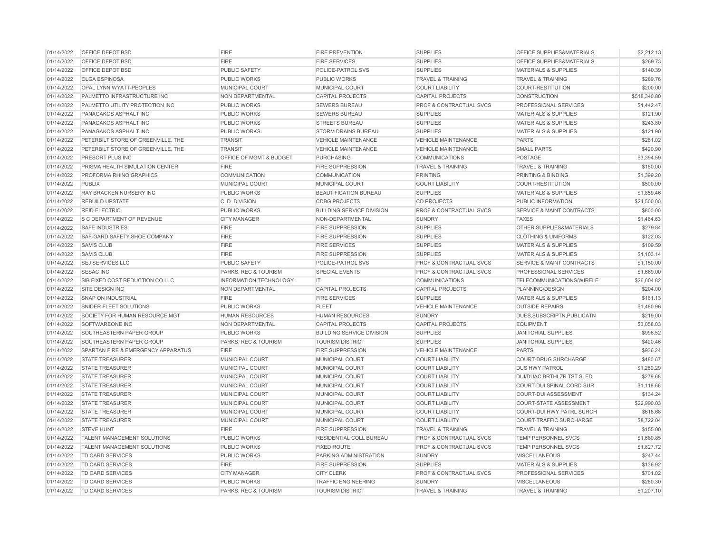| 01/14/2022 | OFFICE DEPOT BSD                   | <b>FIRE</b>             | <b>FIRE PREVENTION</b>           | <b>SUPPLIES</b>              | OFFICE SUPPLIES&MATERIALS            | \$2,212.13   |
|------------|------------------------------------|-------------------------|----------------------------------|------------------------------|--------------------------------------|--------------|
| 01/14/2022 | OFFICE DEPOT BSD                   | <b>FIRE</b>             | <b>FIRE SERVICES</b>             | <b>SUPPLIES</b>              | OFFICE SUPPLIES&MATERIALS            | \$269.73     |
| 01/14/2022 | OFFICE DEPOT BSD                   | PUBLIC SAFETY           | POLICE-PATROL SVS                | <b>SUPPLIES</b>              | <b>MATERIALS &amp; SUPPLIES</b>      | \$140.39     |
| 01/14/2022 | <b>OLGA ESPINOSA</b>               | PUBLIC WORKS            | PUBLIC WORKS                     | <b>TRAVEL &amp; TRAINING</b> | <b>TRAVEL &amp; TRAINING</b>         | \$289.76     |
| 01/14/2022 | OPAL LYNN WYATT-PEOPLES            | MUNICIPAL COURT         | MUNICIPAL COURT                  | <b>COURT LIABILITY</b>       | <b>COURT-RESTITUTION</b>             | \$200.00     |
| 01/14/2022 | PALMETTO INFRASTRUCTURE INC        | <b>NON DEPARTMENTAL</b> | <b>CAPITAL PROJECTS</b>          | <b>CAPITAL PROJECTS</b>      | <b>CONSTRUCTION</b>                  | \$518,340.80 |
| 01/14/2022 | PALMETTO UTILITY PROTECTION INC    | PUBLIC WORKS            | <b>SEWERS BUREAU</b>             | PROF & CONTRACTUAL SVCS      | PROFESSIONAL SERVICES                | \$1,442.47   |
| 01/14/2022 | PANAGAKOS ASPHALT INC              | <b>PUBLIC WORKS</b>     | <b>SEWERS BUREAU</b>             | <b>SUPPLIES</b>              | <b>MATERIALS &amp; SUPPLIES</b>      | \$121.90     |
| 01/14/2022 | PANAGAKOS ASPHALT INC              | PUBLIC WORKS            | <b>STREETS BUREAU</b>            | <b>SUPPLIES</b>              | MATERIALS & SUPPLIES                 | \$243.80     |
| 01/14/2022 | PANAGAKOS ASPHALT INC              | <b>PUBLIC WORKS</b>     | <b>STORM DRAINS BUREAU</b>       | <b>SUPPLIES</b>              | <b>MATERIALS &amp; SUPPLIES</b>      | \$121.90     |
| 01/14/2022 | PETERBILT STORE OF GREENVILLE, THE | <b>TRANSIT</b>          | <b>VEHICLE MAINTENANCE</b>       | <b>VEHICLE MAINTENANCE</b>   | <b>PARTS</b>                         | \$281.02     |
| 01/14/2022 | PETERBILT STORE OF GREENVILLE, THE | <b>TRANSIT</b>          | <b>VEHICLE MAINTENANCE</b>       | <b>VEHICLE MAINTENANCE</b>   | <b>SMALL PARTS</b>                   | \$420.90     |
| 01/14/2022 | <b>PRESORT PLUS INC</b>            | OFFICE OF MGMT & BUDGET | <b>PURCHASING</b>                | <b>COMMUNICATIONS</b>        | POSTAGE                              | \$3,394.59   |
| 01/14/2022 | PRISMA HEALTH SIMULATION CENTER    | <b>FIRE</b>             | <b>FIRE SUPPRESSION</b>          | <b>TRAVEL &amp; TRAINING</b> | <b>TRAVEL &amp; TRAINING</b>         | \$180.00     |
| 01/14/2022 | PROFORMA RHINO GRAPHICS            | <b>COMMUNICATION</b>    | <b>COMMUNICATION</b>             | <b>PRINTING</b>              | PRINTING & BINDING                   | \$1,399.20   |
| 01/14/2022 | <b>PUBLIX</b>                      | MUNICIPAL COURT         | MUNICIPAL COURT                  | <b>COURT LIABILITY</b>       | COURT-RESTITUTION                    | \$500.00     |
| 01/14/2022 | RAY BRACKEN NURSERY INC            | <b>PUBLIC WORKS</b>     | BEAUTIFICATION BUREAU            | <b>SUPPLIES</b>              | <b>MATERIALS &amp; SUPPLIES</b>      | \$1,859.46   |
| 01/14/2022 | <b>REBUILD UPSTATE</b>             | C. D. DIVISION          | <b>CDBG PROJECTS</b>             | <b>CD PROJECTS</b>           | PUBLIC INFORMATION                   | \$24,500.00  |
| 01/14/2022 | <b>REID ELECTRIC</b>               | PUBLIC WORKS            | <b>BUILDING SERVICE DIVISION</b> | PROF & CONTRACTUAL SVCS      | SERVICE & MAINT CONTRACTS            | \$800.00     |
| 01/14/2022 | S C DEPARTMENT OF REVENUE          | <b>CITY MANAGER</b>     | NON-DEPARTMENTAL                 | <b>SUNDRY</b>                | <b>TAXES</b>                         | \$1,464.63   |
| 01/14/2022 | <b>SAFE INDUSTRIES</b>             | <b>FIRE</b>             | <b>FIRE SUPPRESSION</b>          | <b>SUPPLIES</b>              | <b>OTHER SUPPLIES&amp;MATERIALS</b>  | \$279.84     |
| 01/14/2022 | SAF-GARD SAFETY SHOE COMPANY       | <b>FIRE</b>             | <b>FIRE SUPPRESSION</b>          | <b>SUPPLIES</b>              | <b>CLOTHING &amp; UNIFORMS</b>       | \$122.03     |
| 01/14/2022 | <b>SAM'S CLUB</b>                  | <b>FIRE</b>             | <b>FIRE SERVICES</b>             | <b>SUPPLIES</b>              | <b>MATERIALS &amp; SUPPLIES</b>      | \$109.59     |
| 01/14/2022 | <b>SAM'S CLUB</b>                  | <b>FIRE</b>             | <b>FIRE SUPPRESSION</b>          | <b>SUPPLIES</b>              | <b>MATERIALS &amp; SUPPLIES</b>      | \$1,103.14   |
| 01/14/2022 | <b>SEJ SERVICES LLC</b>            | <b>PUBLIC SAFETY</b>    | POLICE-PATROL SVS                | PROF & CONTRACTUAL SVCS      | <b>SERVICE &amp; MAINT CONTRACTS</b> | \$1,150.00   |
| 01/14/2022 | <b>SESAC INC</b>                   | PARKS, REC & TOURISM    | <b>SPECIAL EVENTS</b>            | PROF & CONTRACTUAL SVCS      | PROFESSIONAL SERVICES                | \$1,669.00   |
| 01/14/2022 | SIB FIXED COST REDUCTION CO LLC    | INFORMATION TECHNOLOGY  | $\mathsf{I}\mathsf{T}$           | <b>COMMUNICATIONS</b>        | TELECOMMUNICATIONS/WIRELE            | \$26,004.82  |
| 01/14/2022 | SITE DESIGN INC                    | NON DEPARTMENTAL        | <b>CAPITAL PROJECTS</b>          | <b>CAPITAL PROJECTS</b>      | PLANNING/DESIGN                      | \$204.00     |
| 01/14/2022 | <b>SNAP ON INDUSTRIAL</b>          | <b>FIRE</b>             | <b>FIRE SERVICES</b>             | <b>SUPPLIES</b>              | <b>MATERIALS &amp; SUPPLIES</b>      | \$161.13     |
| 01/14/2022 | SNIDER FLEET SOLUTIONS             | <b>PUBLIC WORKS</b>     | <b>FLEET</b>                     | <b>VEHICLE MAINTENANCE</b>   | <b>OUTSIDE REPAIRS</b>               | \$1,480.96   |
| 01/14/2022 | SOCIETY FOR HUMAN RESOURCE MGT     | <b>HUMAN RESOURCES</b>  | <b>HUMAN RESOURCES</b>           | <b>SUNDRY</b>                | DUES, SUBSCRIPTN, PUBLICATN          | \$219.00     |
| 01/14/2022 | SOFTWAREONE INC                    | NON DEPARTMENTAL        | <b>CAPITAL PROJECTS</b>          | <b>CAPITAL PROJECTS</b>      | <b>EQUIPMENT</b>                     | \$3,058.03   |
| 01/14/2022 | SOUTHEASTERN PAPER GROUP           | PUBLIC WORKS            | <b>BUILDING SERVICE DIVISION</b> | <b>SUPPLIES</b>              | <b>JANITORIAL SUPPLIES</b>           | \$996.52     |
| 01/14/2022 | SOUTHEASTERN PAPER GROUP           | PARKS, REC & TOURISM    | <b>TOURISM DISTRICT</b>          | <b>SUPPLIES</b>              | <b>JANITORIAL SUPPLIES</b>           | \$420.46     |
| 01/14/2022 | SPARTAN FIRE & EMERGENCY APPARATUS | <b>FIRE</b>             | <b>FIRE SUPPRESSION</b>          | <b>VEHICLE MAINTENANCE</b>   | <b>PARTS</b>                         | \$936.24     |
| 01/14/2022 | <b>STATE TREASURER</b>             | MUNICIPAL COURT         | MUNICIPAL COURT                  | <b>COURT LIABILITY</b>       | COURT-DRUG SURCHARGE                 | \$480.67     |
| 01/14/2022 | <b>STATE TREASURER</b>             | MUNICIPAL COURT         | MUNICIPAL COURT                  | <b>COURT LIABILITY</b>       | <b>DUS HWY PATROL</b>                | \$1,289.29   |
| 01/14/2022 | <b>STATE TREASURER</b>             | MUNICIPAL COURT         | <b>MUNICIPAL COURT</b>           | <b>COURT LIABILITY</b>       | DUI/DUAC BRTHLZR TST SLED            | \$279.68     |
| 01/14/2022 | <b>STATE TREASURER</b>             | <b>MUNICIPAL COURT</b>  | MUNICIPAL COURT                  | <b>COURT LIABILITY</b>       | COURT-DUI SPINAL CORD SUR            | \$1,118.66   |
| 01/14/2022 | <b>STATE TREASURER</b>             | MUNICIPAL COURT         | <b>MUNICIPAL COURT</b>           | <b>COURT LIABILITY</b>       | <b>COURT-DUI ASSESSMENT</b>          | \$134.24     |
| 01/14/2022 | <b>STATE TREASURER</b>             | MUNICIPAL COURT         | MUNICIPAL COURT                  | <b>COURT LIABILITY</b>       | <b>COURT-STATE ASSESSMENT</b>        | \$22,990.03  |
| 01/14/2022 | <b>STATE TREASURER</b>             | <b>MUNICIPAL COURT</b>  | <b>MUNICIPAL COURT</b>           | <b>COURT LIABILITY</b>       | <b>COURT-DUI HWY PATRL SURCH</b>     | \$618.68     |
| 01/14/2022 | <b>STATE TREASURER</b>             | MUNICIPAL COURT         | MUNICIPAL COURT                  | <b>COURT LIABILITY</b>       | COURT-TRAFFIC SURCHARGE              | \$8,722.04   |
| 01/14/2022 | <b>STEVE HUNT</b>                  | <b>FIRE</b>             | <b>FIRE SUPPRESSION</b>          | <b>TRAVEL &amp; TRAINING</b> | <b>TRAVEL &amp; TRAINING</b>         | \$155.00     |
| 01/14/2022 | <b>TALENT MANAGEMENT SOLUTIONS</b> | PUBLIC WORKS            | RESIDENTIAL COLL BUREAU          | PROF & CONTRACTUAL SVCS      | TEMP PERSONNEL SVCS                  | \$1,680.85   |
| 01/14/2022 | TALENT MANAGEMENT SOLUTIONS        | PUBLIC WORKS            | <b>FIXED ROUTE</b>               | PROF & CONTRACTUAL SVCS      | TEMP PERSONNEL SVCS                  | \$1,827.72   |
| 01/14/2022 | <b>TD CARD SERVICES</b>            | <b>PUBLIC WORKS</b>     | PARKING ADMINISTRATION           | <b>SUNDRY</b>                | <b>MISCELLANEOUS</b>                 | \$247.44     |
| 01/14/2022 | <b>TD CARD SERVICES</b>            | <b>FIRE</b>             | <b>FIRE SUPPRESSION</b>          | <b>SUPPLIES</b>              | <b>MATERIALS &amp; SUPPLIES</b>      | \$136.92     |
| 01/14/2022 | TD CARD SERVICES                   | <b>CITY MANAGER</b>     | <b>CITY CLERK</b>                | PROF & CONTRACTUAL SVCS      | PROFESSIONAL SERVICES                | \$701.02     |
| 01/14/2022 | <b>TD CARD SERVICES</b>            | <b>PUBLIC WORKS</b>     | <b>TRAFFIC ENGINEERING</b>       | <b>SUNDRY</b>                | <b>MISCELLANEOUS</b>                 | \$260.30     |
| 01/14/2022 | TD CARD SERVICES                   | PARKS, REC & TOURISM    | <b>TOURISM DISTRICT</b>          | <b>TRAVEL &amp; TRAINING</b> | <b>TRAVEL &amp; TRAINING</b>         | \$1,207.10   |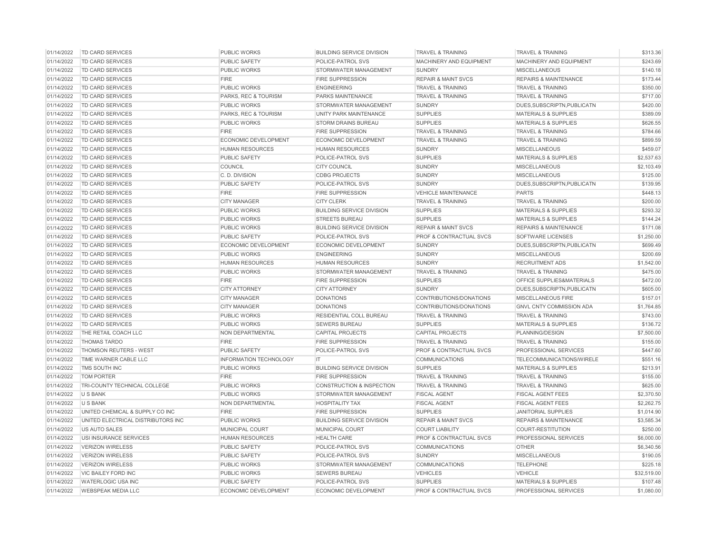| 01/14/2022 | TD CARD SERVICES                   | <b>PUBLIC WORKS</b>           | <b>BUILDING SERVICE DIVISION</b>     | <b>TRAVEL &amp; TRAINING</b>       | TRAVEL & TRAINING                | \$313.36    |
|------------|------------------------------------|-------------------------------|--------------------------------------|------------------------------------|----------------------------------|-------------|
| 01/14/2022 | TD CARD SERVICES                   | <b>PUBLIC SAFETY</b>          | POLICE-PATROL SVS                    | MACHINERY AND EQUIPMENT            | MACHINERY AND EQUIPMENT          | \$243.69    |
| 01/14/2022 | TD CARD SERVICES                   | PUBLIC WORKS                  | STORMWATER MANAGEMENT                | <b>SUNDRY</b>                      | <b>MISCELLANEOUS</b>             | \$140.18    |
| 01/14/2022 | <b>TD CARD SERVICES</b>            | <b>FIRE</b>                   | <b>FIRE SUPPRESSION</b>              | <b>REPAIR &amp; MAINT SVCS</b>     | <b>REPAIRS &amp; MAINTENANCE</b> | \$173.44    |
| 01/14/2022 | TD CARD SERVICES                   | PUBLIC WORKS                  | <b>ENGINEERING</b>                   | <b>TRAVEL &amp; TRAINING</b>       | <b>TRAVEL &amp; TRAINING</b>     | \$350.00    |
| 01/14/2022 | <b>TD CARD SERVICES</b>            | PARKS, REC & TOURISM          | PARKS MAINTENANCE                    | <b>TRAVEL &amp; TRAINING</b>       | <b>TRAVEL &amp; TRAINING</b>     | \$717.00    |
| 01/14/2022 | <b>TD CARD SERVICES</b>            | <b>PUBLIC WORKS</b>           | STORMWATER MANAGEMENT                | <b>SUNDRY</b>                      | DUES, SUBSCRIPTN, PUBLICATN      | \$420.00    |
| 01/14/2022 | TD CARD SERVICES                   | PARKS, REC & TOURISM          | UNITY PARK MAINTENANCE               | <b>SUPPLIES</b>                    | <b>MATERIALS &amp; SUPPLIES</b>  | \$389.09    |
| 01/14/2022 | <b>TD CARD SERVICES</b>            | <b>PUBLIC WORKS</b>           | <b>STORM DRAINS BUREAU</b>           | <b>SUPPLIES</b>                    | <b>MATERIALS &amp; SUPPLIES</b>  | \$626.55    |
| 01/14/2022 | <b>TD CARD SERVICES</b>            | <b>FIRE</b>                   | FIRE SUPPRESSION                     | <b>TRAVEL &amp; TRAINING</b>       | <b>TRAVEL &amp; TRAINING</b>     | \$784.66    |
| 01/14/2022 | TD CARD SERVICES                   | ECONOMIC DEVELOPMENT          | ECONOMIC DEVELOPMENT                 | <b>TRAVEL &amp; TRAINING</b>       | <b>TRAVEL &amp; TRAINING</b>     | \$899.59    |
| 01/14/2022 | <b>TD CARD SERVICES</b>            | <b>HUMAN RESOURCES</b>        | <b>HUMAN RESOURCES</b>               | <b>SUNDRY</b>                      | <b>MISCELLANEOUS</b>             | \$459.07    |
| 01/14/2022 | <b>TD CARD SERVICES</b>            | <b>PUBLIC SAFETY</b>          | POLICE-PATROL SVS                    | <b>SUPPLIES</b>                    | <b>MATERIALS &amp; SUPPLIES</b>  | \$2,537.63  |
| 01/14/2022 | TD CARD SERVICES                   | COUNCIL                       | <b>CITY COUNCIL</b>                  | <b>SUNDRY</b>                      | <b>MISCELLANEOUS</b>             | \$2,103.49  |
| 01/14/2022 | <b>TD CARD SERVICES</b>            | C. D. DIVISION                | <b>CDBG PROJECTS</b>                 | <b>SUNDRY</b>                      | <b>MISCELLANEOUS</b>             | \$125.00    |
| 01/14/2022 | <b>TD CARD SERVICES</b>            | PUBLIC SAFETY                 | POLICE-PATROL SVS                    | <b>SUNDRY</b>                      | DUES, SUBSCRIPTN, PUBLICATN      | \$139.95    |
| 01/14/2022 | TD CARD SERVICES                   | <b>FIRE</b>                   | <b>FIRE SUPPRESSION</b>              | <b>VEHICLE MAINTENANCE</b>         | <b>PARTS</b>                     | \$448.13    |
| 01/14/2022 | TD CARD SERVICES                   | <b>CITY MANAGER</b>           | <b>CITY CLERK</b>                    | <b>TRAVEL &amp; TRAINING</b>       | <b>TRAVEL &amp; TRAINING</b>     | \$200.00    |
| 01/14/2022 | TD CARD SERVICES                   | PUBLIC WORKS                  | <b>BUILDING SERVICE DIVISION</b>     | <b>SUPPLIES</b>                    | <b>MATERIALS &amp; SUPPLIES</b>  | \$293.32    |
| 01/14/2022 | TD CARD SERVICES                   | <b>PUBLIC WORKS</b>           | <b>STREETS BUREAU</b>                | <b>SUPPLIES</b>                    | <b>MATERIALS &amp; SUPPLIES</b>  | \$144.24    |
| 01/14/2022 | <b>TD CARD SERVICES</b>            | PUBLIC WORKS                  | <b>BUILDING SERVICE DIVISION</b>     | <b>REPAIR &amp; MAINT SVCS</b>     | <b>REPAIRS &amp; MAINTENANCE</b> | \$171.08    |
| 01/14/2022 | TD CARD SERVICES                   | <b>PUBLIC SAFETY</b>          | POLICE-PATROL SVS                    | PROF & CONTRACTUAL SVCS            | SOFTWARE LICENSES                | \$1,250.00  |
| 01/14/2022 | <b>TD CARD SERVICES</b>            | ECONOMIC DEVELOPMENT          | <b>ECONOMIC DEVELOPMENT</b>          | <b>SUNDRY</b>                      | DUES.SUBSCRIPTN.PUBLICATN        | \$699.49    |
| 01/14/2022 | <b>TD CARD SERVICES</b>            | <b>PUBLIC WORKS</b>           | <b>ENGINEERING</b>                   | <b>SUNDRY</b>                      | <b>MISCELLANEOUS</b>             | \$200.69    |
| 01/14/2022 | <b>TD CARD SERVICES</b>            | <b>HUMAN RESOURCES</b>        | <b>HUMAN RESOURCES</b>               | <b>SUNDRY</b>                      | <b>RECRUITMENT ADS</b>           | \$1,542.00  |
| 01/14/2022 | TD CARD SERVICES                   | <b>PUBLIC WORKS</b>           | STORMWATER MANAGEMENT                | <b>TRAVEL &amp; TRAINING</b>       | <b>TRAVEL &amp; TRAINING</b>     | \$475.00    |
| 01/14/2022 | TD CARD SERVICES                   | <b>FIRE</b>                   | <b>FIRE SUPPRESSION</b>              | <b>SUPPLIES</b>                    | OFFICE SUPPLIES&MATERIALS        | \$472.00    |
| 01/14/2022 | TD CARD SERVICES                   | <b>CITY ATTORNEY</b>          | <b>CITY ATTORNEY</b>                 | <b>SUNDRY</b>                      | DUES, SUBSCRIPTN, PUBLICATN      | \$605.00    |
| 01/14/2022 | <b>TD CARD SERVICES</b>            | <b>CITY MANAGER</b>           | <b>DONATIONS</b>                     | CONTRIBUTIONS/DONATIONS            | MISCELLANEOUS FIRE               | \$157.01    |
| 01/14/2022 | <b>TD CARD SERVICES</b>            | <b>CITY MANAGER</b>           | <b>DONATIONS</b>                     | CONTRIBUTIONS/DONATIONS            | <b>GNVL CNTY COMMISSION ADA</b>  | \$1,764.85  |
| 01/14/2022 | TD CARD SERVICES                   | <b>PUBLIC WORKS</b>           | RESIDENTIAL COLL BUREAU              | <b>TRAVEL &amp; TRAINING</b>       | <b>TRAVEL &amp; TRAINING</b>     | \$743.00    |
| 01/14/2022 | <b>TD CARD SERVICES</b>            | <b>PUBLIC WORKS</b>           | <b>SEWERS BUREAU</b>                 | <b>SUPPLIES</b>                    | <b>MATERIALS &amp; SUPPLIES</b>  | \$136.72    |
| 01/14/2022 | THE RETAIL COACH LLC               | NON DEPARTMENTAL              | <b>CAPITAL PROJECTS</b>              | <b>CAPITAL PROJECTS</b>            | PLANNING/DESIGN                  | \$7,500.00  |
| 01/14/2022 | <b>THOMAS TARDO</b>                | <b>FIRE</b>                   | <b>FIRE SUPPRESSION</b>              | <b>TRAVEL &amp; TRAINING</b>       | <b>TRAVEL &amp; TRAINING</b>     | \$155.00    |
| 01/14/2022 | THOMSON REUTERS - WEST             | <b>PUBLIC SAFETY</b>          | POLICE-PATROL SVS                    | PROF & CONTRACTUAL SVCS            | PROFESSIONAL SERVICES            | \$447.60    |
| 01/14/2022 | TIME WARNER CABLE LLC              | <b>INFORMATION TECHNOLOGY</b> | IT                                   | <b>COMMUNICATIONS</b>              | TELECOMMUNICATIONS/WIRELE        | \$551.16    |
| 01/14/2022 | TMS SOUTH INC                      | <b>PUBLIC WORKS</b>           | <b>BUILDING SERVICE DIVISION</b>     | <b>SUPPLIES</b>                    | <b>MATERIALS &amp; SUPPLIES</b>  | \$213.91    |
| 01/14/2022 | <b>TOM PORTER</b>                  | <b>FIRE</b>                   | <b>FIRE SUPPRESSION</b>              | <b>TRAVEL &amp; TRAINING</b>       | <b>TRAVEL &amp; TRAINING</b>     | \$155.00    |
| 01/14/2022 | TRI-COUNTY TECHNICAL COLLEGE       | <b>PUBLIC WORKS</b>           | <b>CONSTRUCTION &amp; INSPECTION</b> | <b>TRAVEL &amp; TRAINING</b>       | TRAVEL & TRAINING                | \$625.00    |
| 01/14/2022 | <b>U S BANK</b>                    | PUBLIC WORKS                  | STORMWATER MANAGEMENT                | <b>FISCAL AGENT</b>                | <b>FISCAL AGENT FEES</b>         | \$2,370.50  |
| 01/14/2022 | <b>U S BANK</b>                    | <b>NON DEPARTMENTAL</b>       | <b>HOSPITALITY TAX</b>               | <b>FISCAL AGENT</b>                | <b>FISCAL AGENT FEES</b>         | \$2,262.75  |
| 01/14/2022 | UNITED CHEMICAL & SUPPLY CO INC    | <b>FIRE</b>                   | <b>FIRE SUPPRESSION</b>              | <b>SUPPLIES</b>                    | <b>JANITORIAL SUPPLIES</b>       | \$1,014.90  |
| 01/14/2022 | UNITED ELECTRICAL DISTRIBUTORS INC | <b>PUBLIC WORKS</b>           | <b>BUILDING SERVICE DIVISION</b>     | <b>REPAIR &amp; MAINT SVCS</b>     | <b>REPAIRS &amp; MAINTENANCE</b> | \$3,585.34  |
| 01/14/2022 | US AUTO SALES                      | <b>MUNICIPAL COURT</b>        | <b>MUNICIPAL COURT</b>               | <b>COURT LIABILITY</b>             | <b>COURT-RESTITUTION</b>         | \$250.00    |
| 01/14/2022 | USI INSURANCE SERVICES             | <b>HUMAN RESOURCES</b>        | <b>HEALTH CARE</b>                   | PROF & CONTRACTUAL SVCS            | PROFESSIONAL SERVICES            | \$6,000.00  |
| 01/14/2022 | <b>VERIZON WIRELESS</b>            | PUBLIC SAFETY                 | POLICE-PATROL SVS                    | <b>COMMUNICATIONS</b>              | <b>OTHER</b>                     | \$6,340.56  |
| 01/14/2022 | <b>VERIZON WIRELESS</b>            | PUBLIC SAFETY                 | POLICE-PATROL SVS                    | <b>SUNDRY</b>                      | <b>MISCELLANEOUS</b>             | \$190.05    |
| 01/14/2022 | <b>VERIZON WIRELESS</b>            | PUBLIC WORKS                  | STORMWATER MANAGEMENT                | <b>COMMUNICATIONS</b>              | <b>TELEPHONE</b>                 | \$225.18    |
| 01/14/2022 | <b>VIC BAILEY FORD INC</b>         | <b>PUBLIC WORKS</b>           | <b>SEWERS BUREAU</b>                 | <b>VEHICLES</b>                    | <b>VEHICLE</b>                   | \$32,519.00 |
| 01/14/2022 | <b>WATERLOGIC USA INC</b>          | <b>PUBLIC SAFETY</b>          | POLICE-PATROL SVS                    | <b>SUPPLIES</b>                    | <b>MATERIALS &amp; SUPPLIES</b>  | \$107.48    |
| 01/14/2022 | <b>WEBSPEAK MEDIA LLC</b>          | <b>ECONOMIC DEVELOPMENT</b>   | ECONOMIC DEVELOPMENT                 | <b>PROF &amp; CONTRACTUAL SVCS</b> | PROFESSIONAL SERVICES            | \$1,080.00  |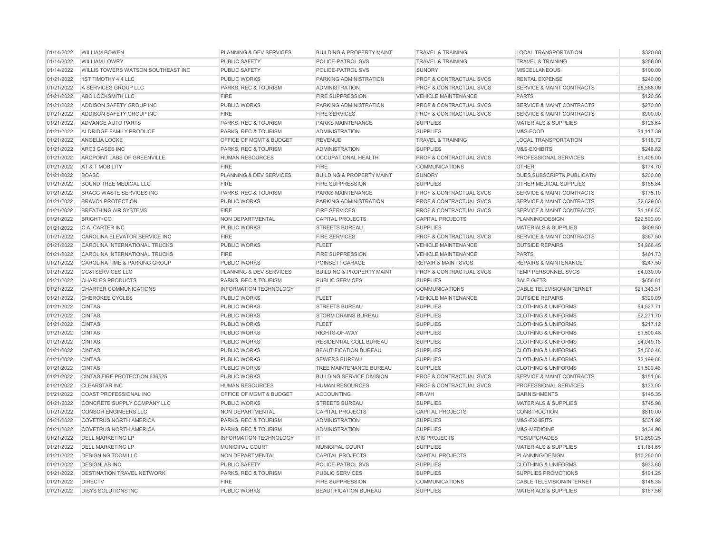| 01/14/2022 | <b>WILLIAM BOWEN</b>               | PLANNING & DEV SERVICES         | <b>BUILDING &amp; PROPERTY MAINT</b> | <b>TRAVEL &amp; TRAINING</b>       | <b>LOCAL TRANSPORTATION</b>          | \$320.88    |
|------------|------------------------------------|---------------------------------|--------------------------------------|------------------------------------|--------------------------------------|-------------|
| 01/14/2022 | <b>WILLIAM LOWRY</b>               | <b>PUBLIC SAFETY</b>            | POLICE-PATROL SVS                    | <b>TRAVEL &amp; TRAINING</b>       | <b>TRAVEL &amp; TRAINING</b>         | \$256.00    |
| 01/14/2022 | WILLIS TOWERS WATSON SOUTHEAST INC | <b>PUBLIC SAFETY</b>            | POLICE-PATROL SVS                    | <b>SUNDRY</b>                      | <b>MISCELLANEOUS</b>                 | \$100.00    |
| 01/21/2022 | 1ST TIMOTHY 4:4 LLC                | <b>PUBLIC WORKS</b>             | PARKING ADMINISTRATION               | <b>PROF &amp; CONTRACTUAL SVCS</b> | <b>RENTAL EXPENSE</b>                | \$240.00    |
| 01/21/2022 | A SERVICES GROUP LLC               | PARKS, REC & TOURISM            | <b>ADMINISTRATION</b>                | PROF & CONTRACTUAL SVCS            | <b>SERVICE &amp; MAINT CONTRACTS</b> | \$8,586.09  |
| 01/21/2022 | ABC LOCKSMITH LLC                  | <b>FIRE</b>                     | <b>FIRE SUPPRESSION</b>              | <b>VEHICLE MAINTENANCE</b>         | <b>PARTS</b>                         | \$120.56    |
| 01/21/2022 | ADDISON SAFETY GROUP INC           | <b>PUBLIC WORKS</b>             | PARKING ADMINISTRATION               | PROF & CONTRACTUAL SVCS            | <b>SERVICE &amp; MAINT CONTRACTS</b> | \$270.00    |
| 01/21/2022 | ADDISON SAFETY GROUP INC           | <b>FIRE</b>                     | <b>FIRE SERVICES</b>                 | PROF & CONTRACTUAL SVCS            | <b>SERVICE &amp; MAINT CONTRACTS</b> | \$900.00    |
| 01/21/2022 | ADVANCE AUTO PARTS                 | PARKS, REC & TOURISM            | PARKS MAINTENANCE                    | <b>SUPPLIES</b>                    | <b>MATERIALS &amp; SUPPLIES</b>      | \$126.64    |
| 01/21/2022 | ALDRIDGE FAMILY PRODUCE            | PARKS, REC & TOURISM            | <b>ADMINISTRATION</b>                | <b>SUPPLIES</b>                    | M&S-FOOD                             | \$1,117.39  |
| 01/21/2022 | ANGELIA LOCKE                      | OFFICE OF MGMT & BUDGET         | <b>REVENUE</b>                       | <b>TRAVEL &amp; TRAINING</b>       | <b>LOCAL TRANSPORTATION</b>          | \$118.72    |
| 01/21/2022 | ARC3 GASES INC                     | PARKS, REC & TOURISM            | <b>ADMINISTRATION</b>                | <b>SUPPLIES</b>                    | M&S-EXHIBITS                         | \$248.82    |
| 01/21/2022 | ARCPOINT LABS OF GREENVILLE        | <b>HUMAN RESOURCES</b>          | <b>OCCUPATIONAL HEALTH</b>           | <b>PROF &amp; CONTRACTUAL SVCS</b> | PROFESSIONAL SERVICES                | \$1,405.00  |
| 01/21/2022 | AT & T MOBILITY                    | <b>FIRE</b>                     | <b>FIRE</b>                          | <b>COMMUNICATIONS</b>              | <b>OTHER</b>                         | \$174.70    |
| 01/21/2022 | <b>BOASC</b>                       | PLANNING & DEV SERVICES         | <b>BUILDING &amp; PROPERTY MAINT</b> | <b>SUNDRY</b>                      | DUES.SUBSCRIPTN.PUBLICATN            | \$200.00    |
| 01/21/2022 | <b>BOUND TREE MEDICAL LLC</b>      | <b>FIRE</b>                     | <b>FIRE SUPPRESSION</b>              | <b>SUPPLIES</b>                    | OTHER MEDICAL SUPPLIES               | \$165.84    |
| 01/21/2022 | <b>BRAGG WASTE SERVICES INC</b>    | PARKS, REC & TOURISM            | PARKS MAINTENANCE                    | PROF & CONTRACTUAL SVCS            | <b>SERVICE &amp; MAINT CONTRACTS</b> | \$175.10    |
| 01/21/2022 | <b>BRAVO1 PROTECTION</b>           | <b>PUBLIC WORKS</b>             | PARKING ADMINISTRATION               | PROF & CONTRACTUAL SVCS            | <b>SERVICE &amp; MAINT CONTRACTS</b> | \$2,629.00  |
| 01/21/2022 | <b>BREATHING AIR SYSTEMS</b>       | <b>FIRE</b>                     | <b>FIRE SERVICES</b>                 | PROF & CONTRACTUAL SVCS            | <b>SERVICE &amp; MAINT CONTRACTS</b> | \$1,188.53  |
| 01/21/2022 | <b>BRIGHT+CO</b>                   | NON DEPARTMENTAL                | <b>CAPITAL PROJECTS</b>              | <b>CAPITAL PROJECTS</b>            | PLANNING/DESIGN                      | \$22,500.00 |
| 01/21/2022 | C.A. CARTER INC                    | <b>PUBLIC WORKS</b>             | <b>STREETS BUREAU</b>                | <b>SUPPLIES</b>                    | <b>MATERIALS &amp; SUPPLIES</b>      | \$609.50    |
| 01/21/2022 | CAROLINA ELEVATOR SERVICE INC      | <b>FIRE</b>                     | <b>FIRE SERVICES</b>                 | PROF & CONTRACTUAL SVCS            | <b>SERVICE &amp; MAINT CONTRACTS</b> | \$367.50    |
| 01/21/2022 | CAROLINA INTERNATIONAL TRUCKS      | <b>PUBLIC WORKS</b>             | <b>FLEET</b>                         | <b>VEHICLE MAINTENANCE</b>         | <b>OUTSIDE REPAIRS</b>               | \$4,966.45  |
| 01/21/2022 | CAROLINA INTERNATIONAL TRUCKS      | <b>FIRE</b>                     | <b>FIRE SUPPRESSION</b>              | <b>VEHICLE MAINTENANCE</b>         | <b>PARTS</b>                         | \$401.73    |
| 01/21/2022 | CAROLINA TIME & PARKING GROUP      | <b>PUBLIC WORKS</b>             | POINSETT GARAGE                      | <b>REPAIR &amp; MAINT SVCS</b>     | <b>REPAIRS &amp; MAINTENANCE</b>     | \$247.50    |
| 01/21/2022 | <b>CC&amp;I SERVICES LLC</b>       | PLANNING & DEV SERVICES         | <b>BUILDING &amp; PROPERTY MAINT</b> | PROF & CONTRACTUAL SVCS            | TEMP PERSONNEL SVCS                  | \$4,030.00  |
| 01/21/2022 | <b>CHARLES PRODUCTS</b>            | PARKS, REC & TOURISM            | <b>PUBLIC SERVICES</b>               | <b>SUPPLIES</b>                    | <b>SALE GIFTS</b>                    | \$656.81    |
| 01/21/2022 | CHARTER COMMUNICATIONS             | INFORMATION TECHNOLOGY          | IT                                   | <b>COMMUNICATIONS</b>              | CABLE TELEVISION/INTERNET            | \$21,343.51 |
| 01/21/2022 | <b>CHEROKEE CYCLES</b>             | <b>PUBLIC WORKS</b>             | <b>FLEET</b>                         | <b>VEHICLE MAINTENANCE</b>         | <b>OUTSIDE REPAIRS</b>               | \$320.09    |
| 01/21/2022 | <b>CINTAS</b>                      | PUBLIC WORKS                    | <b>STREETS BUREAU</b>                | <b>SUPPLIES</b>                    | <b>CLOTHING &amp; UNIFORMS</b>       | \$4,527.71  |
| 01/21/2022 | <b>CINTAS</b>                      | <b>PUBLIC WORKS</b>             | <b>STORM DRAINS BUREAU</b>           | <b>SUPPLIES</b>                    | <b>CLOTHING &amp; UNIFORMS</b>       | \$2,271.70  |
| 01/21/2022 | <b>CINTAS</b>                      | <b>PUBLIC WORKS</b>             | <b>FLEET</b>                         | <b>SUPPLIES</b>                    | <b>CLOTHING &amp; UNIFORMS</b>       | \$217.12    |
| 01/21/2022 | <b>CINTAS</b>                      | <b>PUBLIC WORKS</b>             | RIGHTS-OF-WAY                        | <b>SUPPLIES</b>                    | <b>CLOTHING &amp; UNIFORMS</b>       | \$1,500.48  |
| 01/21/2022 | <b>CINTAS</b>                      | <b>PUBLIC WORKS</b>             | RESIDENTIAL COLL BUREAU              | <b>SUPPLIES</b>                    | <b>CLOTHING &amp; UNIFORMS</b>       | \$4,049.18  |
| 01/21/2022 | <b>CINTAS</b>                      | <b>PUBLIC WORKS</b>             | <b>BEAUTIFICATION BUREAU</b>         | <b>SUPPLIES</b>                    | <b>CLOTHING &amp; UNIFORMS</b>       | \$1,500.48  |
| 01/21/2022 | <b>CINTAS</b>                      | <b>PUBLIC WORKS</b>             | <b>SEWERS BUREAU</b>                 | <b>SUPPLIES</b>                    | <b>CLOTHING &amp; UNIFORMS</b>       | \$2,199.88  |
| 01/21/2022 | <b>CINTAS</b>                      | <b>PUBLIC WORKS</b>             | TREE MAINTENANCE BUREAU              | <b>SUPPLIES</b>                    | <b>CLOTHING &amp; UNIFORMS</b>       | \$1,500.48  |
| 01/21/2022 | CINTAS FIRE PROTECTION 636525      | <b>PUBLIC WORKS</b>             | <b>BUILDING SERVICE DIVISION</b>     | PROF & CONTRACTUAL SVCS            | <b>SERVICE &amp; MAINT CONTRACTS</b> | \$151.06    |
| 01/21/2022 | <b>CLEARSTAR INC</b>               | <b>HUMAN RESOURCES</b>          | <b>HUMAN RESOURCES</b>               | PROF & CONTRACTUAL SVCS            | PROFESSIONAL SERVICES                | \$133.00    |
| 01/21/2022 | <b>COAST PROFESSIONAL INC</b>      | OFFICE OF MGMT & BUDGET         | <b>ACCOUNTING</b>                    | PR-WH                              | <b>GARNISHMENTS</b>                  | \$145.35    |
| 01/21/2022 | CONCRETE SUPPLY COMPANY LLC        | <b>PUBLIC WORKS</b>             | <b>STREETS BUREAU</b>                | <b>SUPPLIES</b>                    | <b>MATERIALS &amp; SUPPLIES</b>      | \$745.98    |
| 01/21/2022 | <b>CONSOR ENGINEERS LLC</b>        | NON DEPARTMENTAL                | <b>CAPITAL PROJECTS</b>              | <b>CAPITAL PROJECTS</b>            | <b>CONSTRUCTION</b>                  | \$810.00    |
| 01/21/2022 | <b>COVETRUS NORTH AMERICA</b>      | PARKS, REC & TOURISM            | <b>ADMINISTRATION</b>                | <b>SUPPLIES</b>                    | M&S-EXHIBITS                         | \$531.92    |
| 01/21/2022 | <b>COVETRUS NORTH AMERICA</b>      | <b>PARKS, REC &amp; TOURISM</b> | <b>ADMINISTRATION</b>                | <b>SUPPLIES</b>                    | M&S-MEDICINE                         | \$134.98    |
| 01/21/2022 | <b>DELL MARKETING LP</b>           | <b>INFORMATION TECHNOLOGY</b>   | $\mathsf{I}$                         | <b>MIS PROJECTS</b>                | PCS/UPGRADES                         | \$10,850.25 |
| 01/21/2022 | <b>DELL MARKETING LP</b>           | MUNICIPAL COURT                 | MUNICIPAL COURT                      | <b>SUPPLIES</b>                    | <b>MATERIALS &amp; SUPPLIES</b>      | \$1,181.65  |
| 01/21/2022 | <b>DESIGNINGITCOM LLC</b>          | NON DEPARTMENTAL                | <b>CAPITAL PROJECTS</b>              | <b>CAPITAL PROJECTS</b>            | PLANNING/DESIGN                      | \$10,260.00 |
| 01/21/2022 | <b>DESIGNLAB INC</b>               | <b>PUBLIC SAFETY</b>            | POLICE-PATROL SVS                    | <b>SUPPLIES</b>                    | <b>CLOTHING &amp; UNIFORMS</b>       | \$933.60    |
| 01/21/2022 | <b>DESTINATION TRAVEL NETWORK</b>  | PARKS, REC & TOURISM            | <b>PUBLIC SERVICES</b>               | <b>SUPPLIES</b>                    | <b>SUPPLIES PROMOTIONS</b>           | \$191.25    |
| 01/21/2022 | <b>DIRECTV</b>                     | <b>FIRE</b>                     | <b>FIRE SUPPRESSION</b>              | <b>COMMUNICATIONS</b>              | <b>CABLE TELEVISION/INTERNET</b>     | \$148.38    |
| 01/21/2022 | <b>DISYS SOLUTIONS INC</b>         | PUBLIC WORKS                    | <b>BEAUTIFICATION BUREAU</b>         | <b>SUPPLIES</b>                    | <b>MATERIALS &amp; SUPPLIES</b>      | \$167.56    |
|            |                                    |                                 |                                      |                                    |                                      |             |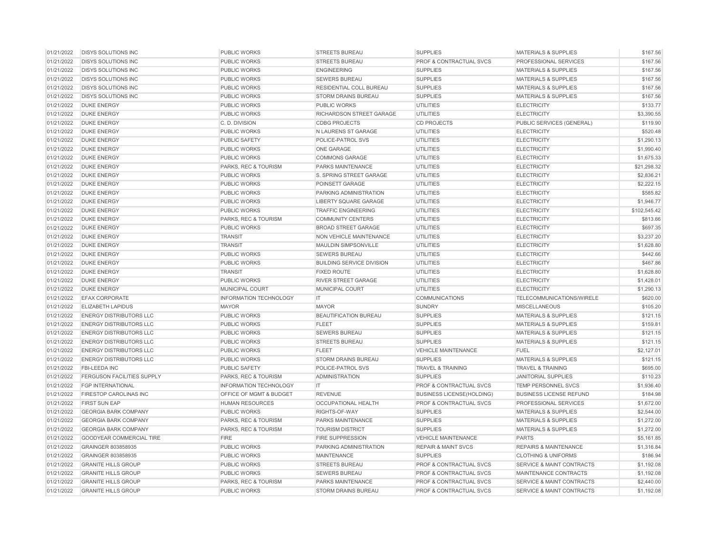| 01/21/2022 | <b>DISYS SOLUTIONS INC</b>        | <b>PUBLIC WORKS</b>             | <b>STREETS BUREAU</b>            | <b>SUPPLIES</b>                    | <b>MATERIALS &amp; SUPPLIES</b>      | \$167.56     |
|------------|-----------------------------------|---------------------------------|----------------------------------|------------------------------------|--------------------------------------|--------------|
| 01/21/2022 | <b>DISYS SOLUTIONS INC</b>        | <b>PUBLIC WORKS</b>             | <b>STREETS BUREAU</b>            | PROF & CONTRACTUAL SVCS            | <b>PROFESSIONAL SERVICES</b>         | \$167.56     |
| 01/21/2022 | <b>DISYS SOLUTIONS INC</b>        | PUBLIC WORKS                    | <b>ENGINEERING</b>               | <b>SUPPLIES</b>                    | <b>MATERIALS &amp; SUPPLIES</b>      | \$167.56     |
| 01/21/2022 | <b>DISYS SOLUTIONS INC</b>        | <b>PUBLIC WORKS</b>             | <b>SEWERS BUREAU</b>             | <b>SUPPLIES</b>                    | <b>MATERIALS &amp; SUPPLIES</b>      | \$167.56     |
| 01/21/2022 | <b>DISYS SOLUTIONS INC</b>        | <b>PUBLIC WORKS</b>             | RESIDENTIAL COLL BUREAU          | <b>SUPPLIES</b>                    | <b>MATERIALS &amp; SUPPLIES</b>      | \$167.56     |
| 01/21/2022 | <b>DISYS SOLUTIONS INC</b>        | <b>PUBLIC WORKS</b>             | <b>STORM DRAINS BUREAU</b>       | <b>SUPPLIES</b>                    | <b>MATERIALS &amp; SUPPLIES</b>      | \$167.56     |
| 01/21/2022 | <b>DUKE ENERGY</b>                | <b>PUBLIC WORKS</b>             | PUBLIC WORKS                     | <b>UTILITIES</b>                   | <b>ELECTRICITY</b>                   | \$133.77     |
| 01/21/2022 | <b>DUKE ENERGY</b>                | <b>PUBLIC WORKS</b>             | RICHARDSON STREET GARAGE         | <b>UTILITIES</b>                   | <b>ELECTRICITY</b>                   | \$3,390.55   |
| 01/21/2022 | <b>DUKE ENERGY</b>                | C.D. DIVISION                   | <b>CDBG PROJECTS</b>             | <b>CD PROJECTS</b>                 | PUBLIC SERVICES (GENERAL)            | \$119.90     |
| 01/21/2022 | <b>DUKE ENERGY</b>                | PUBLIC WORKS                    | N LAURENS ST GARAGE              | <b>UTILITIES</b>                   | <b>ELECTRICITY</b>                   | \$520.48     |
| 01/21/2022 | <b>DUKE ENERGY</b>                | PUBLIC SAFETY                   | POLICE-PATROL SVS                | <b>UTILITIES</b>                   | <b>ELECTRICITY</b>                   | \$1,290.13   |
| 01/21/2022 | <b>DUKE ENERGY</b>                | PUBLIC WORKS                    | <b>ONE GARAGE</b>                | <b>UTILITIES</b>                   | <b>ELECTRICITY</b>                   | \$1,990.40   |
| 01/21/2022 | <b>DUKE ENERGY</b>                | <b>PUBLIC WORKS</b>             | <b>COMMONS GARAGE</b>            | <b>UTILITIES</b>                   | <b>ELECTRICITY</b>                   | \$1,675.33   |
| 01/21/2022 | <b>DUKE ENERGY</b>                | PARKS, REC & TOURISM            | PARKS MAINTENANCE                | <b>UTILITIES</b>                   | <b>ELECTRICITY</b>                   | \$21,298.32  |
| 01/21/2022 | <b>DUKE ENERGY</b>                | <b>PUBLIC WORKS</b>             | S. SPRING STREET GARAGE          | <b>UTILITIES</b>                   | <b>ELECTRICITY</b>                   | \$2,836.21   |
| 01/21/2022 | <b>DUKE ENERGY</b>                | <b>PUBLIC WORKS</b>             | POINSETT GARAGE                  | <b>UTILITIES</b>                   | <b>ELECTRICITY</b>                   | \$2,222.15   |
| 01/21/2022 | <b>DUKE ENERGY</b>                | <b>PUBLIC WORKS</b>             | PARKING ADMINISTRATION           | <b>UTILITIES</b>                   | <b>ELECTRICITY</b>                   | \$585.82     |
| 01/21/2022 | <b>DUKE ENERGY</b>                | PUBLIC WORKS                    | LIBERTY SQUARE GARAGE            | <b>UTILITIES</b>                   | <b>ELECTRICITY</b>                   | \$1,946.77   |
| 01/21/2022 | <b>DUKE ENERGY</b>                | PUBLIC WORKS                    | <b>TRAFFIC ENGINEERING</b>       | <b>UTILITIES</b>                   | <b>ELECTRICITY</b>                   | \$102,545.42 |
| 01/21/2022 | <b>DUKE ENERGY</b>                | PARKS, REC & TOURISM            | <b>COMMUNITY CENTERS</b>         | <b>UTILITIES</b>                   | <b>ELECTRICITY</b>                   | \$813.66     |
| 01/21/2022 | <b>DUKE ENERGY</b>                | <b>PUBLIC WORKS</b>             | <b>BROAD STREET GARAGE</b>       | <b>UTILITIES</b>                   | <b>ELECTRICITY</b>                   | \$697.35     |
| 01/21/2022 | <b>DUKE ENERGY</b>                | <b>TRANSIT</b>                  | NON VEHICLE MAINTENANCE          | <b>UTILITIES</b>                   | <b>ELECTRICITY</b>                   | \$3,237.20   |
| 01/21/2022 | <b>DUKE ENERGY</b>                | <b>TRANSIT</b>                  | MAULDIN SIMPSONVILLE             | <b>UTILITIES</b>                   | <b>ELECTRICITY</b>                   | \$1,628.80   |
| 01/21/2022 | <b>DUKE ENERGY</b>                | <b>PUBLIC WORKS</b>             | <b>SEWERS BUREAU</b>             | <b>UTILITIES</b>                   | <b>ELECTRICITY</b>                   | \$442.66     |
| 01/21/2022 | <b>DUKE ENERGY</b>                | <b>PUBLIC WORKS</b>             | <b>BUILDING SERVICE DIVISION</b> | <b>UTILITIES</b>                   | <b>ELECTRICITY</b>                   | \$467.86     |
| 01/21/2022 | <b>DUKE ENERGY</b>                | <b>TRANSIT</b>                  | <b>FIXED ROUTE</b>               | <b>UTILITIES</b>                   | <b>ELECTRICITY</b>                   | \$1,628.80   |
| 01/21/2022 | <b>DUKE ENERGY</b>                | <b>PUBLIC WORKS</b>             | <b>RIVER STREET GARAGE</b>       | <b>UTILITIES</b>                   | <b>ELECTRICITY</b>                   | \$1,428.01   |
| 01/21/2022 | <b>DUKE ENERGY</b>                | MUNICIPAL COURT                 | MUNICIPAL COURT                  | <b>UTILITIES</b>                   | <b>ELECTRICITY</b>                   | \$1,290.13   |
| 01/21/2022 | <b>EFAX CORPORATE</b>             | <b>INFORMATION TECHNOLOGY</b>   | IT                               | COMMUNICATIONS                     | <b>TELECOMMUNICATIONS/WIRELE</b>     | \$620.00     |
| 01/21/2022 | <b>ELIZABETH LAPIDUS</b>          | <b>MAYOR</b>                    | <b>MAYOR</b>                     | <b>SUNDRY</b>                      | <b>MISCELLANEOUS</b>                 | \$105.20     |
| 01/21/2022 | <b>ENERGY DISTRIBUTORS LLC</b>    | <b>PUBLIC WORKS</b>             | BEAUTIFICATION BUREAU            | <b>SUPPLIES</b>                    | <b>MATERIALS &amp; SUPPLIES</b>      | \$121.15     |
| 01/21/2022 | <b>ENERGY DISTRIBUTORS LLC</b>    | <b>PUBLIC WORKS</b>             | <b>FLEET</b>                     | <b>SUPPLIES</b>                    | <b>MATERIALS &amp; SUPPLIES</b>      | \$159.81     |
| 01/21/2022 | <b>ENERGY DISTRIBUTORS LLC</b>    | PUBLIC WORKS                    | <b>SEWERS BUREAU</b>             | <b>SUPPLIES</b>                    | <b>MATERIALS &amp; SUPPLIES</b>      | \$121.15     |
| 01/21/2022 | <b>ENERGY DISTRIBUTORS LLC</b>    | PUBLIC WORKS                    | <b>STREETS BUREAU</b>            | <b>SUPPLIES</b>                    | <b>MATERIALS &amp; SUPPLIES</b>      | \$121.15     |
| 01/21/2022 | <b>ENERGY DISTRIBUTORS LLC</b>    | PUBLIC WORKS                    | <b>FLEET</b>                     | <b>VEHICLE MAINTENANCE</b>         | <b>FUEL</b>                          | \$2,127.01   |
| 01/21/2022 | <b>ENERGY DISTRIBUTORS LLC</b>    | PUBLIC WORKS                    | STORM DRAINS BUREAU              | <b>SUPPLIES</b>                    | <b>MATERIALS &amp; SUPPLIES</b>      | \$121.15     |
| 01/21/2022 | <b>FBI-LEEDA INC</b>              | PUBLIC SAFETY                   | POLICE-PATROL SVS                | <b>TRAVEL &amp; TRAINING</b>       | <b>TRAVEL &amp; TRAINING</b>         | \$695.00     |
| 01/21/2022 | <b>FERGUSON FACILITIES SUPPLY</b> | <b>PARKS, REC &amp; TOURISM</b> | <b>ADMINISTRATION</b>            | <b>SUPPLIES</b>                    | <b>JANITORIAL SUPPLIES</b>           | \$110.23     |
| 01/21/2022 | <b>FGP INTERNATIONAL</b>          | <b>INFORMATION TECHNOLOGY</b>   | IT                               | PROF & CONTRACTUAL SVCS            | TEMP PERSONNEL SVCS                  | \$1,936.40   |
| 01/21/2022 | FIRESTOP CAROLINAS INC            | OFFICE OF MGMT & BUDGET         | <b>REVENUE</b>                   | <b>BUSINESS LICENSE(HOLDING)</b>   | <b>BUSINESS LICENSE REFUND</b>       | \$184.98     |
| 01/21/2022 | <b>FIRST SUN EAP</b>              | <b>HUMAN RESOURCES</b>          | <b>OCCUPATIONAL HEALTH</b>       | PROF & CONTRACTUAL SVCS            | <b>PROFESSIONAL SERVICES</b>         | \$1,672.00   |
| 01/21/2022 | <b>GEORGIA BARK COMPANY</b>       | <b>PUBLIC WORKS</b>             | RIGHTS-OF-WAY                    | <b>SUPPLIES</b>                    | <b>MATERIALS &amp; SUPPLIES</b>      | \$2,544.00   |
| 01/21/2022 | <b>GEORGIA BARK COMPANY</b>       | PARKS, REC & TOURISM            | PARKS MAINTENANCE                | <b>SUPPLIES</b>                    | <b>MATERIALS &amp; SUPPLIES</b>      | \$1,272.00   |
| 01/21/2022 | <b>GEORGIA BARK COMPANY</b>       | PARKS, REC & TOURISM            | <b>TOURISM DISTRICT</b>          | <b>SUPPLIES</b>                    | MATERIALS & SUPPLIES                 | \$1,272.00   |
| 01/21/2022 | <b>GOODYEAR COMMERCIAL TIRE</b>   | <b>FIRE</b>                     | <b>FIRE SUPPRESSION</b>          | <b>VEHICLE MAINTENANCE</b>         | <b>PARTS</b>                         | \$5,161.85   |
| 01/21/2022 | GRAINGER 803858935                | <b>PUBLIC WORKS</b>             | PARKING ADMINISTRATION           | <b>REPAIR &amp; MAINT SVCS</b>     | <b>REPAIRS &amp; MAINTENANCE</b>     | \$1,316.84   |
| 01/21/2022 | GRAINGER 803858935                | <b>PUBLIC WORKS</b>             | <b>MAINTENANCE</b>               | <b>SUPPLIES</b>                    | <b>CLOTHING &amp; UNIFORMS</b>       | \$186.94     |
| 01/21/2022 | <b>GRANITE HILLS GROUP</b>        | <b>PUBLIC WORKS</b>             | <b>STREETS BUREAU</b>            | PROF & CONTRACTUAL SVCS            | <b>SERVICE &amp; MAINT CONTRACTS</b> | \$1,192.08   |
| 01/21/2022 | <b>GRANITE HILLS GROUP</b>        | <b>PUBLIC WORKS</b>             | <b>SEWERS BUREAU</b>             | PROF & CONTRACTUAL SVCS            | MAINTENANCE CONTRACTS                | \$1,192.08   |
| 01/21/2022 | <b>GRANITE HILLS GROUP</b>        | PARKS, REC & TOURISM            | PARKS MAINTENANCE                | <b>PROF &amp; CONTRACTUAL SVCS</b> | <b>SERVICE &amp; MAINT CONTRACTS</b> | \$2,440.00   |
|            |                                   |                                 |                                  |                                    |                                      |              |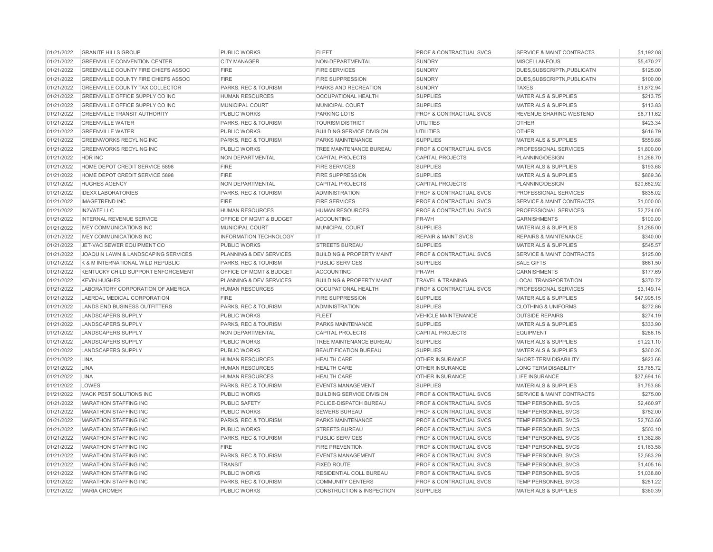| 01/21/2022 | <b>GRANITE HILLS GROUP</b>                 | <b>PUBLIC WORKS</b>           | <b>FLEET</b>                         | <b>PROF &amp; CONTRACTUAL SVCS</b> | <b>SERVICE &amp; MAINT CONTRACTS</b> | \$1,192.08  |
|------------|--------------------------------------------|-------------------------------|--------------------------------------|------------------------------------|--------------------------------------|-------------|
| 01/21/2022 | <b>GREENVILLE CONVENTION CENTER</b>        | <b>CITY MANAGER</b>           | NON-DEPARTMENTAL                     | <b>SUNDRY</b>                      | <b>MISCELLANEOUS</b>                 | \$5,470.27  |
| 01/21/2022 | GREENVILLE COUNTY FIRE CHIEFS ASSOC        | <b>FIRE</b>                   | <b>FIRE SERVICES</b>                 | <b>SUNDRY</b>                      | DUES, SUBSCRIPTN, PUBLICATN          | \$125.00    |
| 01/21/2022 | <b>GREENVILLE COUNTY FIRE CHIEFS ASSOC</b> | <b>FIRE</b>                   | <b>FIRE SUPPRESSION</b>              | <b>SUNDRY</b>                      | DUES.SUBSCRIPTN.PUBLICATN            | \$100.00    |
| 01/21/2022 | <b>GREENVILLE COUNTY TAX COLLECTOR</b>     | PARKS, REC & TOURISM          | PARKS AND RECREATION                 | <b>SUNDRY</b>                      | <b>TAXES</b>                         | \$1,872.94  |
| 01/21/2022 | GREENVILLE OFFICE SUPPLY CO INC            | <b>HUMAN RESOURCES</b>        | <b>OCCUPATIONAL HEALTH</b>           | <b>SUPPLIES</b>                    | <b>MATERIALS &amp; SUPPLIES</b>      | \$213.75    |
| 01/21/2022 | GREENVILLE OFFICE SUPPLY CO INC            | MUNICIPAL COURT               | MUNICIPAL COURT                      | <b>SUPPLIES</b>                    | <b>MATERIALS &amp; SUPPLIES</b>      | \$113.83    |
| 01/21/2022 | <b>GREENVILLE TRANSIT AUTHORITY</b>        | <b>PUBLIC WORKS</b>           | <b>PARKING LOTS</b>                  | <b>PROF &amp; CONTRACTUAL SVCS</b> | REVENUE SHARING WESTEND              | \$6,711.62  |
| 01/21/2022 | <b>GREENVILLE WATER</b>                    | PARKS, REC & TOURISM          | <b>TOURISM DISTRICT</b>              | UTILITIES                          | <b>OTHER</b>                         | \$423.34    |
| 01/21/2022 | <b>GREENVILLE WATER</b>                    | <b>PUBLIC WORKS</b>           | <b>BUILDING SERVICE DIVISION</b>     | <b>UTILITIES</b>                   | <b>OTHER</b>                         | \$616.79    |
| 01/21/2022 | <b>GREENWORKS RECYLING INC</b>             | PARKS, REC & TOURISM          | PARKS MAINTENANCE                    | <b>SUPPLIES</b>                    | <b>MATERIALS &amp; SUPPLIES</b>      | \$559.68    |
| 01/21/2022 | <b>GREENWORKS RECYLING INC</b>             | PUBLIC WORKS                  | TREE MAINTENANCE BUREAU              | <b>PROF &amp; CONTRACTUAL SVCS</b> | PROFESSIONAL SERVICES                | \$1,800.00  |
| 01/21/2022 | HDR INC                                    | NON DEPARTMENTAL              | <b>CAPITAL PROJECTS</b>              | <b>CAPITAL PROJECTS</b>            | PLANNING/DESIGN                      | \$1,266.70  |
| 01/21/2022 | HOME DEPOT CREDIT SERVICE 5898             | <b>FIRE</b>                   | FIRE SERVICES                        | <b>SUPPLIES</b>                    | MATERIALS & SUPPLIES                 | \$193.68    |
| 01/21/2022 | HOME DEPOT CREDIT SERVICE 5898             | <b>FIRE</b>                   | <b>FIRE SUPPRESSION</b>              | <b>SUPPLIES</b>                    | <b>MATERIALS &amp; SUPPLIES</b>      | \$869.36    |
| 01/21/2022 | <b>HUGHES AGENCY</b>                       | <b>NON DEPARTMENTAL</b>       | <b>CAPITAL PROJECTS</b>              | <b>CAPITAL PROJECTS</b>            | PLANNING/DESIGN                      | \$20,682.92 |
| 01/21/2022 | <b>IDEXX LABORATORIES</b>                  | PARKS, REC & TOURISM          | <b>ADMINISTRATION</b>                | <b>PROF &amp; CONTRACTUAL SVCS</b> | PROFESSIONAL SERVICES                | \$835.02    |
| 01/21/2022 | <b>IMAGETREND INC</b>                      | <b>FIRE</b>                   | <b>FIRE SERVICES</b>                 | <b>PROF &amp; CONTRACTUAL SVCS</b> | <b>SERVICE &amp; MAINT CONTRACTS</b> | \$1,000.00  |
| 01/21/2022 | <b>IN2VATE LLC</b>                         | <b>HUMAN RESOURCES</b>        | <b>HUMAN RESOURCES</b>               | <b>PROF &amp; CONTRACTUAL SVCS</b> | PROFESSIONAL SERVICES                | \$2,724.00  |
| 01/21/2022 | <b>INTERNAL REVENUE SERVICE</b>            | OFFICE OF MGMT & BUDGET       | <b>ACCOUNTING</b>                    | PR-WH                              | <b>GARNISHMENTS</b>                  | \$100.00    |
| 01/21/2022 | <b>IVEY COMMUNICATIONS INC</b>             | MUNICIPAL COURT               | MUNICIPAL COURT                      | <b>SUPPLIES</b>                    | <b>MATERIALS &amp; SUPPLIES</b>      | \$1,285.00  |
| 01/21/2022 | <b>IVEY COMMUNICATIONS INC</b>             | <b>INFORMATION TECHNOLOGY</b> | IT                                   | <b>REPAIR &amp; MAINT SVCS</b>     | <b>REPAIRS &amp; MAINTENANCE</b>     | \$340.00    |
| 01/21/2022 | JET-VAC SEWER EQUIPMENT CO                 | PUBLIC WORKS                  | <b>STREETS BUREAU</b>                | <b>SUPPLIES</b>                    | <b>MATERIALS &amp; SUPPLIES</b>      | \$545.57    |
| 01/21/2022 | JOAQUIN LAWN & LANDSCAPING SERVICES        | PLANNING & DEV SERVICES       | <b>BUILDING &amp; PROPERTY MAINT</b> | <b>PROF &amp; CONTRACTUAL SVCS</b> | <b>SERVICE &amp; MAINT CONTRACTS</b> | \$125.00    |
| 01/21/2022 | K & M INTERNATIONAL WILD REPUBLIC          | PARKS, REC & TOURISM          | <b>PUBLIC SERVICES</b>               | <b>SUPPLIES</b>                    | <b>SALE GIFTS</b>                    | \$661.50    |
| 01/21/2022 | KENTUCKY CHILD SUPPORT ENFORCEMENT         | OFFICE OF MGMT & BUDGET       | <b>ACCOUNTING</b>                    | PR-WH                              | <b>GARNISHMENTS</b>                  | \$177.69    |
| 01/21/2022 | <b>KEVIN HUGHES</b>                        | PLANNING & DEV SERVICES       | <b>BUILDING &amp; PROPERTY MAINT</b> | <b>TRAVEL &amp; TRAINING</b>       | <b>LOCAL TRANSPORTATION</b>          | \$370.72    |
| 01/21/2022 | LABORATORY CORPORATION OF AMERICA          | <b>HUMAN RESOURCES</b>        | <b>OCCUPATIONAL HEALTH</b>           | <b>PROF &amp; CONTRACTUAL SVCS</b> | PROFESSIONAL SERVICES                | \$3,149.14  |
| 01/21/2022 | LAERDAL MEDICAL CORPORATION                | <b>FIRE</b>                   | <b>FIRE SUPPRESSION</b>              | <b>SUPPLIES</b>                    | <b>MATERIALS &amp; SUPPLIES</b>      | \$47,995.15 |
| 01/21/2022 | <b>LANDS END BUSINESS OUTFITTERS</b>       | PARKS, REC & TOURISM          | <b>ADMINISTRATION</b>                | <b>SUPPLIES</b>                    | <b>CLOTHING &amp; UNIFORMS</b>       | \$272.86    |
| 01/21/2022 | <b>LANDSCAPERS SUPPLY</b>                  | PUBLIC WORKS                  | <b>FLEET</b>                         | <b>VEHICLE MAINTENANCE</b>         | <b>OUTSIDE REPAIRS</b>               | \$274.19    |
| 01/21/2022 | <b>LANDSCAPERS SUPPLY</b>                  | PARKS, REC & TOURISM          | <b>PARKS MAINTENANCE</b>             | <b>SUPPLIES</b>                    | <b>MATERIALS &amp; SUPPLIES</b>      | \$333.90    |
| 01/21/2022 | <b>LANDSCAPERS SUPPLY</b>                  | NON DEPARTMENTAL              | <b>CAPITAL PROJECTS</b>              | <b>CAPITAL PROJECTS</b>            | <b>EQUIPMENT</b>                     | \$286.15    |
| 01/21/2022 | <b>LANDSCAPERS SUPPLY</b>                  | PUBLIC WORKS                  | TREE MAINTENANCE BUREAU              | <b>SUPPLIES</b>                    | <b>MATERIALS &amp; SUPPLIES</b>      | \$1,221.10  |
| 01/21/2022 | <b>LANDSCAPERS SUPPLY</b>                  | PUBLIC WORKS                  | <b>BEAUTIFICATION BUREAU</b>         | <b>SUPPLIES</b>                    | <b>MATERIALS &amp; SUPPLIES</b>      | \$360.26    |
| 01/21/2022 | <b>LINA</b>                                | <b>HUMAN RESOURCES</b>        | <b>HEALTH CARE</b>                   | <b>OTHER INSURANCE</b>             | SHORT-TERM DISABILITY                | \$823.68    |
| 01/21/2022 | <b>LINA</b>                                | <b>HUMAN RESOURCES</b>        | <b>HEALTH CARE</b>                   | <b>OTHER INSURANCE</b>             | <b>LONG TERM DISABILITY</b>          | \$8,765.72  |
| 01/21/2022 | LINA                                       | <b>HUMAN RESOURCES</b>        | <b>HEALTH CARE</b>                   | <b>OTHER INSURANCE</b>             | <b>LIFE INSURANCE</b>                | \$27,694.16 |
| 01/21/2022 | LOWES                                      | PARKS, REC & TOURISM          | <b>EVENTS MANAGEMENT</b>             | <b>SUPPLIES</b>                    | <b>MATERIALS &amp; SUPPLIES</b>      | \$1,753.88  |
| 01/21/2022 | MACK PEST SOLUTIONS INC                    | PUBLIC WORKS                  | <b>BUILDING SERVICE DIVISION</b>     | <b>PROF &amp; CONTRACTUAL SVCS</b> | SERVICE & MAINT CONTRACTS            | \$275.00    |
| 01/21/2022 | <b>MARATHON STAFFING INC</b>               | PUBLIC SAFETY                 | POLICE-DISPATCH BUREAU               | <b>PROF &amp; CONTRACTUAL SVCS</b> | <b>TEMP PERSONNEL SVCS</b>           | \$2,460.97  |
| 01/21/2022 | <b>MARATHON STAFFING INC</b>               | <b>PUBLIC WORKS</b>           | <b>SEWERS BUREAU</b>                 | <b>PROF &amp; CONTRACTUAL SVCS</b> | <b>TEMP PERSONNEL SVCS</b>           | \$752.00    |
| 01/21/2022 | <b>MARATHON STAFFING INC</b>               | PARKS, REC & TOURISM          | PARKS MAINTENANCE                    | <b>PROF &amp; CONTRACTUAL SVCS</b> | TEMP PERSONNEL SVCS                  | \$2,763.60  |
| 01/21/2022 | <b>MARATHON STAFFING INC</b>               | PUBLIC WORKS                  | <b>STREETS BUREAU</b>                | <b>PROF &amp; CONTRACTUAL SVCS</b> | TEMP PERSONNEL SVCS                  | \$503.10    |
| 01/21/2022 | MARATHON STAFFING INC                      | PARKS, REC & TOURISM          | PUBLIC SERVICES                      | <b>PROF &amp; CONTRACTUAL SVCS</b> | TEMP PERSONNEL SVCS                  | \$1,382.88  |
| 01/21/2022 | <b>MARATHON STAFFING INC</b>               | <b>FIRE</b>                   | <b>FIRE PREVENTION</b>               | <b>PROF &amp; CONTRACTUAL SVCS</b> | TEMP PERSONNEL SVCS                  | \$1,163.58  |
| 01/21/2022 | <b>MARATHON STAFFING INC</b>               | PARKS, REC & TOURISM          | <b>EVENTS MANAGEMENT</b>             | <b>PROF &amp; CONTRACTUAL SVCS</b> | TEMP PERSONNEL SVCS                  | \$2,583.29  |
| 01/21/2022 | <b>MARATHON STAFFING INC</b>               | <b>TRANSIT</b>                | <b>FIXED ROUTE</b>                   | <b>PROF &amp; CONTRACTUAL SVCS</b> | <b>TEMP PERSONNEL SVCS</b>           | \$1,405.16  |
| 01/21/2022 | <b>MARATHON STAFFING INC</b>               | PUBLIC WORKS                  | RESIDENTIAL COLL BUREAU              | <b>PROF &amp; CONTRACTUAL SVCS</b> | TEMP PERSONNEL SVCS                  | \$1,038.80  |
| 01/21/2022 | <b>MARATHON STAFFING INC</b>               | PARKS, REC & TOURISM          | <b>COMMUNITY CENTERS</b>             | <b>PROF &amp; CONTRACTUAL SVCS</b> | TEMP PERSONNEL SVCS                  | \$281.22    |
| 01/21/2022 | <b>MARIA CROMER</b>                        | PUBLIC WORKS                  | <b>CONSTRUCTION &amp; INSPECTION</b> | <b>SUPPLIES</b>                    | <b>MATERIALS &amp; SUPPLIES</b>      | \$360.39    |
|            |                                            |                               |                                      |                                    |                                      |             |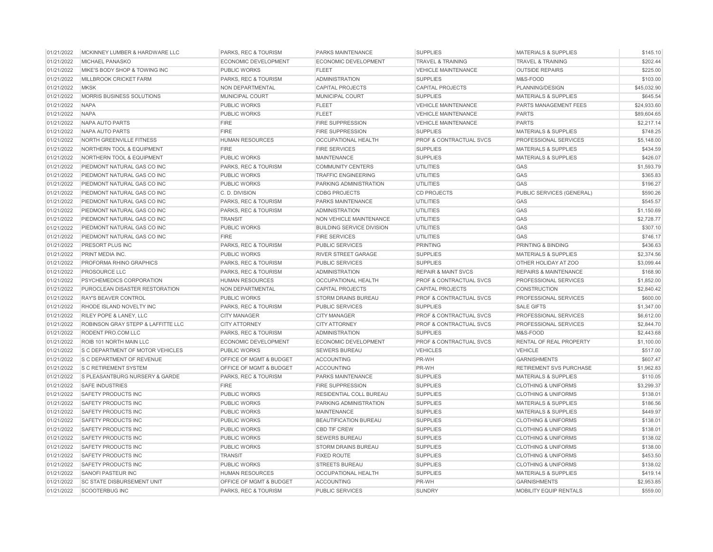| 01/21/2022 | MCKINNEY LUMBER & HARDWARE LLC                          | PARKS, REC & TOURISM            | PARKS MAINTENANCE                | <b>SUPPLIES</b>                    | <b>MATERIALS &amp; SUPPLIES</b>  | \$145.10    |
|------------|---------------------------------------------------------|---------------------------------|----------------------------------|------------------------------------|----------------------------------|-------------|
| 01/21/2022 | MICHAEL PANASKO                                         | <b>ECONOMIC DEVELOPMENT</b>     | ECONOMIC DEVELOPMENT             | <b>TRAVEL &amp; TRAINING</b>       | <b>TRAVEL &amp; TRAINING</b>     | \$202.44    |
| 01/21/2022 | MIKE'S BODY SHOP & TOWING INC                           | <b>PUBLIC WORKS</b>             | <b>FLEET</b>                     | <b>VEHICLE MAINTENANCE</b>         | <b>OUTSIDE REPAIRS</b>           | \$225.00    |
| 01/21/2022 | <b>MILLBROOK CRICKET FARM</b>                           | <b>PARKS, REC &amp; TOURISM</b> | <b>ADMINISTRATION</b>            | <b>SUPPLIES</b>                    | M&S-FOOD                         | \$103.00    |
| 01/21/2022 | <b>MKSK</b>                                             | NON DEPARTMENTAL                | <b>CAPITAL PROJECTS</b>          | <b>CAPITAL PROJECTS</b>            | PLANNING/DESIGN                  | \$45,032.90 |
| 01/21/2022 | MORRIS BUSINESS SOLUTIONS                               | MUNICIPAL COURT                 | MUNICIPAL COURT                  | <b>SUPPLIES</b>                    | <b>MATERIALS &amp; SUPPLIES</b>  | \$645.54    |
| 01/21/2022 | <b>NAPA</b>                                             | <b>PUBLIC WORKS</b>             | <b>FLEET</b>                     | <b>VEHICLE MAINTENANCE</b>         | PARTS MANAGEMENT FEES            | \$24,933.60 |
| 01/21/2022 | <b>NAPA</b>                                             | <b>PUBLIC WORKS</b>             | <b>FLEET</b>                     | <b>VEHICLE MAINTENANCE</b>         | <b>PARTS</b>                     | \$89,604.65 |
| 01/21/2022 | <b>NAPA AUTO PARTS</b>                                  | <b>FIRE</b>                     | <b>FIRE SUPPRESSION</b>          | <b>VEHICLE MAINTENANCE</b>         | <b>PARTS</b>                     | \$2,217.14  |
| 01/21/2022 | <b>NAPA AUTO PARTS</b>                                  | <b>FIRE</b>                     | <b>FIRE SUPPRESSION</b>          | <b>SUPPLIES</b>                    | <b>MATERIALS &amp; SUPPLIES</b>  | \$748.25    |
| 01/21/2022 | <b>NORTH GREENVILLE FITNESS</b>                         | <b>HUMAN RESOURCES</b>          | <b>OCCUPATIONAL HEALTH</b>       | <b>PROF &amp; CONTRACTUAL SVCS</b> | <b>PROFESSIONAL SERVICES</b>     | \$5,148.00  |
| 01/21/2022 | <b>NORTHERN TOOL &amp; EQUIPMENT</b>                    | FIRE                            | <b>FIRE SERVICES</b>             | <b>SUPPLIES</b>                    | <b>MATERIALS &amp; SUPPLIES</b>  | \$434.59    |
| 01/21/2022 | <b>NORTHERN TOOL &amp; EQUIPMENT</b>                    | <b>PUBLIC WORKS</b>             | <b>MAINTENANCE</b>               | <b>SUPPLIES</b>                    | <b>MATERIALS &amp; SUPPLIES</b>  | \$426.07    |
| 01/21/2022 | PIEDMONT NATURAL GAS CO INC                             | PARKS, REC & TOURISM            | <b>COMMUNITY CENTERS</b>         | <b>UTILITIES</b>                   | GAS                              | \$1,593.79  |
| 01/21/2022 | PIEDMONT NATURAL GAS CO INC                             | <b>PUBLIC WORKS</b>             | <b>TRAFFIC ENGINEERING</b>       | <b>UTILITIES</b>                   | GAS                              | \$365.83    |
| 01/21/2022 | PIEDMONT NATURAL GAS CO INC                             | <b>PUBLIC WORKS</b>             | PARKING ADMINISTRATION           | <b>UTILITIES</b>                   | GAS                              | \$196.27    |
| 01/21/2022 | PIEDMONT NATURAL GAS CO INC                             | C.D. DIVISION                   | <b>CDBG PROJECTS</b>             | <b>CD PROJECTS</b>                 | PUBLIC SERVICES (GENERAL)        | \$590.26    |
| 01/21/2022 | PIEDMONT NATURAL GAS CO INC                             | PARKS, REC & TOURISM            | PARKS MAINTENANCE                | <b>UTILITIES</b>                   | GAS                              | \$545.57    |
| 01/21/2022 | PIEDMONT NATURAL GAS CO INC                             | PARKS, REC & TOURISM            | <b>ADMINISTRATION</b>            | <b>UTILITIES</b>                   | GAS                              | \$1,150.69  |
| 01/21/2022 | PIEDMONT NATURAL GAS CO INC                             | <b>TRANSIT</b>                  | <b>NON VEHICLE MAINTENANCE</b>   | <b>UTILITIES</b>                   | GAS                              | \$2,728.77  |
| 01/21/2022 | PIEDMONT NATURAL GAS CO INC                             | <b>PUBLIC WORKS</b>             | <b>BUILDING SERVICE DIVISION</b> | <b>UTILITIES</b>                   | GAS                              | \$307.10    |
| 01/21/2022 | PIEDMONT NATURAL GAS CO INC                             | <b>FIRE</b>                     | <b>FIRE SERVICES</b>             | <b>UTILITIES</b>                   | GAS                              | \$746.17    |
| 01/21/2022 | PRESORT PLUS INC                                        | PARKS, REC & TOURISM            | <b>PUBLIC SERVICES</b>           | <b>PRINTING</b>                    | PRINTING & BINDING               | \$436.63    |
| 01/21/2022 | PRINT MEDIA INC.                                        | <b>PUBLIC WORKS</b>             | RIVER STREET GARAGE              | <b>SUPPLIES</b>                    | MATERIALS & SUPPLIES             | \$2,374.56  |
| 01/21/2022 | PROFORMA RHINO GRAPHICS                                 | PARKS, REC & TOURISM            | <b>PUBLIC SERVICES</b>           | <b>SUPPLIES</b>                    | OTHER HOLIDAY AT ZOO             | \$3,099.44  |
| 01/21/2022 | PROSOURCE LLC                                           | PARKS, REC & TOURISM            | <b>ADMINISTRATION</b>            | <b>REPAIR &amp; MAINT SVCS</b>     | <b>REPAIRS &amp; MAINTENANCE</b> | \$168.90    |
| 01/21/2022 | PSYCHEMEDICS CORPORATION                                | <b>HUMAN RESOURCES</b>          | <b>OCCUPATIONAL HEALTH</b>       | PROF & CONTRACTUAL SVCS            | <b>PROFESSIONAL SERVICES</b>     | \$1,852.00  |
| 01/21/2022 | PUROCLEAN DISASTER RESTORATION                          | NON DEPARTMENTAL                | <b>CAPITAL PROJECTS</b>          | <b>CAPITAL PROJECTS</b>            | <b>CONSTRUCTION</b>              | \$2,840.42  |
| 01/21/2022 | <b>RAY'S BEAVER CONTROL</b>                             | <b>PUBLIC WORKS</b>             | <b>STORM DRAINS BUREAU</b>       | <b>PROF &amp; CONTRACTUAL SVCS</b> | <b>PROFESSIONAL SERVICES</b>     | \$600.00    |
| 01/21/2022 | RHODE ISLAND NOVELTY INC                                | PARKS, REC & TOURISM            | <b>PUBLIC SERVICES</b>           | <b>SUPPLIES</b>                    | <b>SALE GIFTS</b>                | \$1,347.00  |
| 01/21/2022 | RILEY POPE & LANEY, LLC                                 | <b>CITY MANAGER</b>             | <b>CITY MANAGER</b>              | PROF & CONTRACTUAL SVCS            | PROFESSIONAL SERVICES            | \$6,612.00  |
| 01/21/2022 | ROBINSON GRAY STEPP & LAFFITTE LLC                      | <b>CITY ATTORNEY</b>            | <b>CITY ATTORNEY</b>             | PROF & CONTRACTUAL SVCS            | PROFESSIONAL SERVICES            | \$2,844.70  |
| 01/21/2022 | RODENT PRO.COM LLC                                      | <b>PARKS, REC &amp; TOURISM</b> | <b>ADMINISTRATION</b>            | <b>SUPPLIES</b>                    | M&S-FOOD                         | \$2,443.68  |
| 01/21/2022 | ROIB 101 NORTH MAIN LLC                                 | ECONOMIC DEVELOPMENT            | ECONOMIC DEVELOPMENT             | PROF & CONTRACTUAL SVCS            | RENTAL OF REAL PROPERTY          | \$1,100.00  |
| 01/21/2022 | S C DEPARTMENT OF MOTOR VEHICLES                        | <b>PUBLIC WORKS</b>             | <b>SEWERS BUREAU</b>             | <b>VEHICLES</b>                    | <b>VEHICLE</b>                   | \$517.00    |
| 01/21/2022 | S C DEPARTMENT OF REVENUE                               | OFFICE OF MGMT & BUDGET         | <b>ACCOUNTING</b>                | PR-WH                              | <b>GARNISHMENTS</b>              | \$607.47    |
| 01/21/2022 | <b>S C RETIREMENT SYSTEM</b>                            | OFFICE OF MGMT & BUDGET         | <b>ACCOUNTING</b>                | PR-WH                              | <b>RETIREMENT SVS PURCHASE</b>   | \$1,962.83  |
| 01/21/2022 | S PLEASANTBURG NURSERY & GARDE                          | <b>PARKS, REC &amp; TOURISM</b> | <b>PARKS MAINTENANCE</b>         | <b>SUPPLIES</b>                    | <b>MATERIALS &amp; SUPPLIES</b>  | \$110.05    |
| 01/21/2022 | <b>SAFE INDUSTRIES</b>                                  | <b>FIRE</b>                     | <b>FIRE SUPPRESSION</b>          | <b>SUPPLIES</b>                    | <b>CLOTHING &amp; UNIFORMS</b>   | \$3,299.37  |
| 01/21/2022 | SAFETY PRODUCTS INC                                     | <b>PUBLIC WORKS</b>             | RESIDENTIAL COLL BUREAU          | <b>SUPPLIES</b>                    | <b>CLOTHING &amp; UNIFORMS</b>   | \$138.01    |
| 01/21/2022 | <b>SAFETY PRODUCTS INC</b>                              | <b>PUBLIC WORKS</b>             | PARKING ADMINISTRATION           | <b>SUPPLIES</b>                    | <b>MATERIALS &amp; SUPPLIES</b>  | \$186.56    |
| 01/21/2022 | SAFETY PRODUCTS INC                                     | <b>PUBLIC WORKS</b>             | <b>MAINTENANCE</b>               | <b>SUPPLIES</b>                    | <b>MATERIALS &amp; SUPPLIES</b>  | \$449.97    |
| 01/21/2022 | SAFETY PRODUCTS INC                                     | <b>PUBLIC WORKS</b>             | BEAUTIFICATION BUREAU            | <b>SUPPLIES</b>                    | <b>CLOTHING &amp; UNIFORMS</b>   | \$138.01    |
| 01/21/2022 | SAFETY PRODUCTS INC                                     | PUBLIC WORKS                    | <b>CBD TIF CREW</b>              | <b>SUPPLIES</b>                    | <b>CLOTHING &amp; UNIFORMS</b>   | \$138.01    |
| 01/21/2022 | <b>SAFETY PRODUCTS INC</b>                              | <b>PUBLIC WORKS</b>             | <b>SEWERS BUREAU</b>             | <b>SUPPLIES</b>                    | <b>CLOTHING &amp; UNIFORMS</b>   | \$138.02    |
| 01/21/2022 | <b>SAFETY PRODUCTS INC</b>                              | <b>PUBLIC WORKS</b>             | <b>STORM DRAINS BUREAU</b>       | <b>SUPPLIES</b>                    | <b>CLOTHING &amp; UNIFORMS</b>   | \$138.00    |
|            |                                                         |                                 |                                  |                                    |                                  |             |
| 01/21/2022 | <b>SAFETY PRODUCTS INC</b>                              | <b>TRANSIT</b>                  | <b>FIXED ROUTE</b>               | <b>SUPPLIES</b>                    | <b>CLOTHING &amp; UNIFORMS</b>   | \$453.50    |
| 01/21/2022 | <b>SAFETY PRODUCTS INC</b><br><b>SANOFI PASTEUR INC</b> | <b>PUBLIC WORKS</b>             | <b>STREETS BUREAU</b>            | <b>SUPPLIES</b>                    | <b>CLOTHING &amp; UNIFORMS</b>   | \$138.02    |
| 01/21/2022 |                                                         | <b>HUMAN RESOURCES</b>          | <b>OCCUPATIONAL HEALTH</b>       | <b>SUPPLIES</b>                    | <b>MATERIALS &amp; SUPPLIES</b>  | \$419.14    |
| 01/21/2022 | <b>SC STATE DISBURSEMENT UNIT</b>                       | OFFICE OF MGMT & BUDGET         | <b>ACCOUNTING</b>                | PR-WH                              | <b>GARNISHMENTS</b>              | \$2,953.85  |
| 01/21/2022 | <b>SCOOTERBUG INC</b>                                   | PARKS, REC & TOURISM            | <b>PUBLIC SERVICES</b>           | <b>SUNDRY</b>                      | MOBILITY EQUIP RENTALS           | \$559.00    |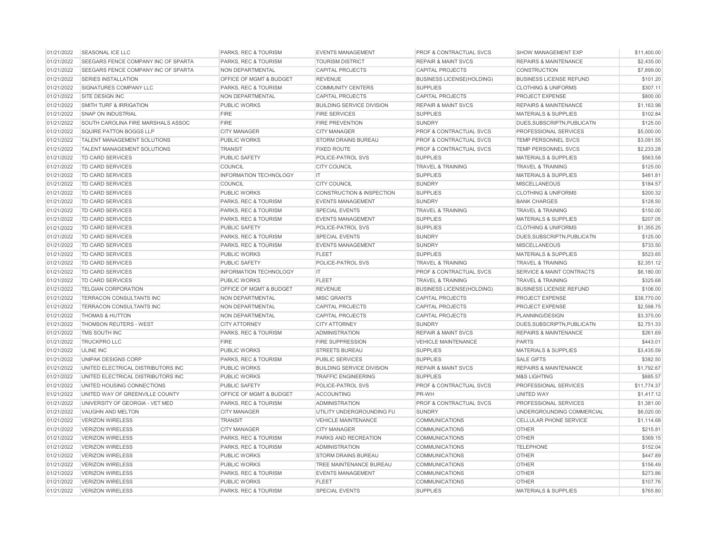| 01/21/2022 | SEASONAL ICE LLC                    | PARKS, REC & TOURISM          | <b>EVENTS MANAGEMENT</b>             | <b>PROF &amp; CONTRACTUAL SVCS</b> | SHOW MANAGEMENT EXP                  | \$11,400.00 |
|------------|-------------------------------------|-------------------------------|--------------------------------------|------------------------------------|--------------------------------------|-------------|
| 01/21/2022 | SEEGARS FENCE COMPANY INC OF SPARTA | PARKS, REC & TOURISM          | <b>TOURISM DISTRICT</b>              | <b>REPAIR &amp; MAINT SVCS</b>     | <b>REPAIRS &amp; MAINTENANCE</b>     | \$2,435,00  |
| 01/21/2022 | SEEGARS FENCE COMPANY INC OF SPARTA | NON DEPARTMENTAL              | <b>CAPITAL PROJECTS</b>              | <b>CAPITAL PROJECTS</b>            | <b>CONSTRUCTION</b>                  | \$7,899.00  |
| 01/21/2022 | <b>SERIES INSTALLATION</b>          | OFFICE OF MGMT & BUDGET       | <b>REVENUE</b>                       | <b>BUSINESS LICENSE(HOLDING)</b>   | <b>BUSINESS LICENSE REFUND</b>       | \$101.20    |
| 01/21/2022 | SIGNATURES COMPANY LLC              | PARKS, REC & TOURISM          | <b>COMMUNITY CENTERS</b>             | <b>SUPPLIES</b>                    | <b>CLOTHING &amp; UNIFORMS</b>       | \$307.11    |
| 01/21/2022 | SITE DESIGN INC                     | NON DEPARTMENTAL              | <b>CAPITAL PROJECTS</b>              | <b>CAPITAL PROJECTS</b>            | PROJECT EXPENSE                      | \$800.00    |
| 01/21/2022 | <b>SMITH TURF &amp; IRRIGATION</b>  | <b>PUBLIC WORKS</b>           | <b>BUILDING SERVICE DIVISION</b>     | <b>REPAIR &amp; MAINT SVCS</b>     | <b>REPAIRS &amp; MAINTENANCE</b>     | \$1,163.98  |
| 01/21/2022 | <b>SNAP ON INDUSTRIAL</b>           | <b>FIRE</b>                   | <b>FIRE SERVICES</b>                 | <b>SUPPLIES</b>                    | MATERIALS & SUPPLIES                 | \$102.84    |
| 01/21/2022 | SOUTH CAROLINA FIRE MARSHALS ASSOC  | <b>FIRE</b>                   | <b>FIRE PREVENTION</b>               | <b>SUNDRY</b>                      | DUES, SUBSCRIPTN, PUBLICATN          | \$125.00    |
| 01/21/2022 | SQUIRE PATTON BOGGS LLP             | <b>CITY MANAGER</b>           | <b>CITY MANAGER</b>                  | PROF & CONTRACTUAL SVCS            | <b>PROFESSIONAL SERVICES</b>         | \$5,000.00  |
| 01/21/2022 | TALENT MANAGEMENT SOLUTIONS         | <b>PUBLIC WORKS</b>           | STORM DRAINS BUREAU                  | PROF & CONTRACTUAL SVCS            | <b>TEMP PERSONNEL SVCS</b>           | \$3,091.55  |
| 01/21/2022 | TALENT MANAGEMENT SOLUTIONS         | <b>TRANSIT</b>                | <b>FIXED ROUTE</b>                   | <b>PROF &amp; CONTRACTUAL SVCS</b> | <b>TEMP PERSONNEL SVCS</b>           | \$2,233.28  |
| 01/21/2022 | <b>TD CARD SERVICES</b>             | PUBLIC SAFETY                 | POLICE-PATROL SVS                    | <b>SUPPLIES</b>                    | <b>MATERIALS &amp; SUPPLIES</b>      | \$563.58    |
| 01/21/2022 | TD CARD SERVICES                    | <b>COUNCIL</b>                | <b>CITY COUNCIL</b>                  | <b>TRAVEL &amp; TRAINING</b>       | <b>TRAVEL &amp; TRAINING</b>         | \$125.00    |
| 01/21/2022 | TD CARD SERVICES                    | <b>INFORMATION TECHNOLOGY</b> | IT                                   | <b>SUPPLIES</b>                    | <b>MATERIALS &amp; SUPPLIES</b>      | \$481.81    |
| 01/21/2022 | TD CARD SERVICES                    | <b>COUNCIL</b>                | <b>CITY COUNCIL</b>                  | <b>SUNDRY</b>                      | <b>MISCELLANEOUS</b>                 | \$184.57    |
| 01/21/2022 | TD CARD SERVICES                    | <b>PUBLIC WORKS</b>           | <b>CONSTRUCTION &amp; INSPECTION</b> | <b>SUPPLIES</b>                    | <b>CLOTHING &amp; UNIFORMS</b>       | \$200.32    |
| 01/21/2022 | TD CARD SERVICES                    | PARKS, REC & TOURISM          | <b>EVENTS MANAGEMENT</b>             | <b>SUNDRY</b>                      | <b>BANK CHARGES</b>                  | \$128.50    |
| 01/21/2022 | <b>TD CARD SERVICES</b>             | PARKS, REC & TOURISM          | <b>SPECIAL EVENTS</b>                | <b>TRAVEL &amp; TRAINING</b>       | <b>TRAVEL &amp; TRAINING</b>         | \$150.00    |
| 01/21/2022 | TD CARD SERVICES                    | PARKS, REC & TOURISM          | <b>EVENTS MANAGEMENT</b>             | <b>SUPPLIES</b>                    | <b>MATERIALS &amp; SUPPLIES</b>      | \$207.05    |
| 01/21/2022 | <b>TD CARD SERVICES</b>             | PUBLIC SAFETY                 | POLICE-PATROL SVS                    | <b>SUPPLIES</b>                    | <b>CLOTHING &amp; UNIFORMS</b>       | \$1,355.25  |
| 01/21/2022 | TD CARD SERVICES                    | PARKS, REC & TOURISM          | <b>SPECIAL EVENTS</b>                | <b>SUNDRY</b>                      | DUES, SUBSCRIPTN, PUBLICATN          | \$125.00    |
| 01/21/2022 | TD CARD SERVICES                    | PARKS, REC & TOURISM          | <b>EVENTS MANAGEMENT</b>             | <b>SUNDRY</b>                      | <b>MISCELLANEOUS</b>                 | \$733.50    |
| 01/21/2022 | TD CARD SERVICES                    | <b>PUBLIC WORKS</b>           | <b>FLEET</b>                         | <b>SUPPLIES</b>                    | <b>MATERIALS &amp; SUPPLIES</b>      | \$523.65    |
| 01/21/2022 | TD CARD SERVICES                    | <b>PUBLIC SAFETY</b>          | POLICE-PATROL SVS                    | <b>TRAVEL &amp; TRAINING</b>       | <b>TRAVEL &amp; TRAINING</b>         | \$2,351.12  |
| 01/21/2022 | TD CARD SERVICES                    | INFORMATION TECHNOLOGY        | IT.                                  | PROF & CONTRACTUAL SVCS            | <b>SERVICE &amp; MAINT CONTRACTS</b> | \$6,180.00  |
| 01/21/2022 | TD CARD SERVICES                    | <b>PUBLIC WORKS</b>           | <b>FLEET</b>                         | <b>TRAVEL &amp; TRAINING</b>       | <b>TRAVEL &amp; TRAINING</b>         | \$325.68    |
| 01/21/2022 | <b>TELGIAN CORPORATION</b>          | OFFICE OF MGMT & BUDGET       | <b>REVENUE</b>                       | <b>BUSINESS LICENSE(HOLDING)</b>   | <b>BUSINESS LICENSE REFUND</b>       | \$106.00    |
| 01/21/2022 | <b>TERRACON CONSULTANTS INC</b>     | NON DEPARTMENTAL              | <b>MISC GRANTS</b>                   | <b>CAPITAL PROJECTS</b>            | <b>PROJECT EXPENSE</b>               | \$38,770.00 |
| 01/21/2022 | TERRACON CONSULTANTS INC            | NON DEPARTMENTAL              | <b>CAPITAL PROJECTS</b>              | <b>CAPITAL PROJECTS</b>            | <b>PROJECT EXPENSE</b>               | \$2,598.75  |
| 01/21/2022 | <b>THOMAS &amp; HUTTON</b>          | NON DEPARTMENTAL              | <b>CAPITAL PROJECTS</b>              | <b>CAPITAL PROJECTS</b>            | PLANNING/DESIGN                      | \$3,375.00  |
| 01/21/2022 | THOMSON REUTERS - WEST              | <b>CITY ATTORNEY</b>          | <b>CITY ATTORNEY</b>                 | <b>SUNDRY</b>                      | DUES, SUBSCRIPTN, PUBLICATN          | \$2,751.33  |
| 01/21/2022 | TMS SOUTH INC                       | PARKS, REC & TOURISM          | <b>ADMINISTRATION</b>                | <b>REPAIR &amp; MAINT SVCS</b>     | <b>REPAIRS &amp; MAINTENANCE</b>     | \$261.69    |
| 01/21/2022 | <b>TRUCKPRO LLC</b>                 | <b>FIRE</b>                   | <b>FIRE SUPPRESSION</b>              | <b>VEHICLE MAINTENANCE</b>         | <b>PARTS</b>                         | \$443.01    |
| 01/21/2022 | <b>ULINE INC</b>                    | <b>PUBLIC WORKS</b>           | <b>STREETS BUREAU</b>                | <b>SUPPLIES</b>                    | <b>MATERIALS &amp; SUPPLIES</b>      | \$3,435.59  |
| 01/21/2022 | UNIPAK DESIGNS CORP                 | PARKS, REC & TOURISM          | PUBLIC SERVICES                      | <b>SUPPLIES</b>                    | <b>SALE GIFTS</b>                    | \$382.50    |
| 01/21/2022 | UNITED ELECTRICAL DISTRIBUTORS INC  | <b>PUBLIC WORKS</b>           | <b>BUILDING SERVICE DIVISION</b>     | <b>REPAIR &amp; MAINT SVCS</b>     | <b>REPAIRS &amp; MAINTENANCE</b>     | \$1,792.67  |
| 01/21/2022 | UNITED ELECTRICAL DISTRIBUTORS INC  | <b>PUBLIC WORKS</b>           | <b>TRAFFIC ENGINEERING</b>           | <b>SUPPLIES</b>                    | <b>M&amp;S LIGHTING</b>              | \$885.57    |
| 01/21/2022 | UNITED HOUSING CONNECTIONS          | <b>PUBLIC SAFETY</b>          | POLICE-PATROL SVS                    | PROF & CONTRACTUAL SVCS            | PROFESSIONAL SERVICES                | \$11,774.37 |
| 01/21/2022 | UNITED WAY OF GREENVILLE COUNTY     | OFFICE OF MGMT & BUDGET       | <b>ACCOUNTING</b>                    | PR-WH                              | UNITED WAY                           | \$1,417.12  |
| 01/21/2022 | UNIVERSITY OF GEORGIA - VET MED     | PARKS, REC & TOURISM          | <b>ADMINISTRATION</b>                | PROF & CONTRACTUAL SVCS            | PROFESSIONAL SERVICES                | \$1,381.00  |
| 01/21/2022 | VAUGHN AND MELTON                   | <b>CITY MANAGER</b>           | UTILITY UNDERGROUNDING FU            | <b>SUNDRY</b>                      | UNDERGROUNDING COMMERCIAL            | \$6,020.00  |
| 01/21/2022 | <b>VERIZON WIRELESS</b>             | <b>TRANSIT</b>                | <b>VEHICLE MAINTENANCE</b>           | <b>COMMUNICATIONS</b>              | CELLULAR PHONE SERVICE               | \$1,114.68  |
| 01/21/2022 | <b>VERIZON WIRELESS</b>             | <b>CITY MANAGER</b>           | <b>CITY MANAGER</b>                  | <b>COMMUNICATIONS</b>              | <b>OTHER</b>                         | \$215.81    |
| 01/21/2022 | <b>VERIZON WIRELESS</b>             | PARKS, REC & TOURISM          | PARKS AND RECREATION                 | <b>COMMUNICATIONS</b>              | <b>OTHER</b>                         | \$369.15    |
| 01/21/2022 | <b>VERIZON WIRELESS</b>             | PARKS, REC & TOURISM          | <b>ADMINISTRATION</b>                | <b>COMMUNICATIONS</b>              | <b>TELEPHONE</b>                     | \$152.04    |
| 01/21/2022 | <b>VERIZON WIRELESS</b>             | <b>PUBLIC WORKS</b>           | <b>STORM DRAINS BUREAU</b>           | <b>COMMUNICATIONS</b>              | <b>OTHER</b>                         | \$447.89    |
| 01/21/2022 | <b>VERIZON WIRELESS</b>             | <b>PUBLIC WORKS</b>           | TREE MAINTENANCE BUREAU              | <b>COMMUNICATIONS</b>              | <b>OTHER</b>                         | \$156.49    |
| 01/21/2022 | <b>VERIZON WIRELESS</b>             | PARKS, REC & TOURISM          | <b>EVENTS MANAGEMENT</b>             | <b>COMMUNICATIONS</b>              | <b>OTHER</b>                         | \$273.86    |
| 01/21/2022 | <b>VERIZON WIRELESS</b>             | <b>PUBLIC WORKS</b>           | <b>FLEET</b>                         | <b>COMMUNICATIONS</b>              | <b>OTHER</b>                         | \$107.76    |
| 01/21/2022 | <b>VERIZON WIRELESS</b>             | PARKS, REC & TOURISM          | <b>SPECIAL EVENTS</b>                | <b>SUPPLIES</b>                    | <b>MATERIALS &amp; SUPPLIES</b>      | \$765.80    |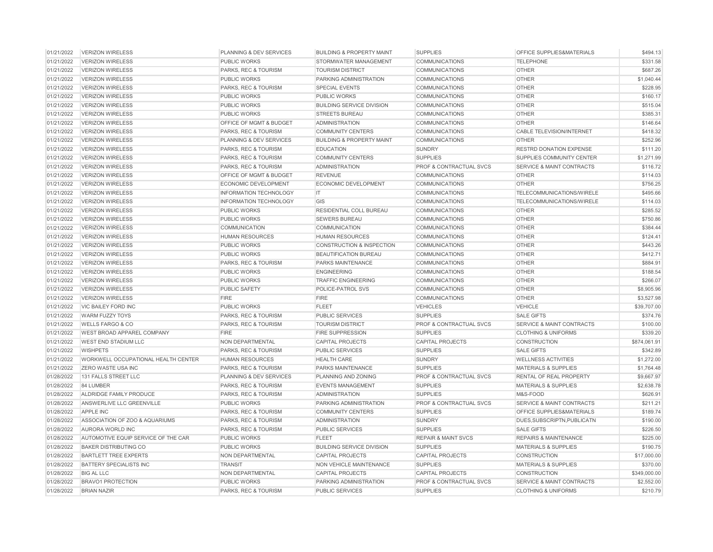| 01/21/2022               | <b>VERIZON WIRELESS</b>             | PLANNING & DEV SERVICES         | <b>BUILDING &amp; PROPERTY MAINT</b> | <b>SUPPLIES</b>                    | OFFICE SUPPLIES&MATERIALS            | \$494.13     |
|--------------------------|-------------------------------------|---------------------------------|--------------------------------------|------------------------------------|--------------------------------------|--------------|
| 01/21/2022               | <b>VERIZON WIRELESS</b>             | <b>PUBLIC WORKS</b>             | STORMWATER MANAGEMENT                | <b>COMMUNICATIONS</b>              | <b>TELEPHONE</b>                     | \$331.58     |
| 01/21/2022               | <b>VERIZON WIRELESS</b>             | PARKS, REC & TOURISM            | <b>TOURISM DISTRICT</b>              | <b>COMMUNICATIONS</b>              | <b>OTHER</b>                         | \$687.26     |
| 01/21/2022               | <b>VERIZON WIRELESS</b>             | <b>PUBLIC WORKS</b>             | <b>PARKING ADMINISTRATION</b>        | <b>COMMUNICATIONS</b>              | <b>OTHER</b>                         | \$1,040.44   |
| 01/21/2022               | <b>VERIZON WIRELESS</b>             | PARKS, REC & TOURISM            | <b>SPECIAL EVENTS</b>                | <b>COMMUNICATIONS</b>              | <b>OTHER</b>                         | \$228.95     |
| 01/21/2022               | <b>VERIZON WIRELESS</b>             | <b>PUBLIC WORKS</b>             | <b>PUBLIC WORKS</b>                  | <b>COMMUNICATIONS</b>              | <b>OTHER</b>                         | \$160.17     |
| 01/21/2022               | <b>VERIZON WIRELESS</b>             | <b>PUBLIC WORKS</b>             | <b>BUILDING SERVICE DIVISION</b>     | COMMUNICATIONS                     | <b>OTHER</b>                         | \$515.04     |
| 01/21/2022               | <b>VERIZON WIRELESS</b>             | <b>PUBLIC WORKS</b>             | <b>STREETS BUREAU</b>                | <b>COMMUNICATIONS</b>              | <b>OTHER</b>                         | \$385.31     |
| 01/21/2022               | <b>VERIZON WIRELESS</b>             | OFFICE OF MGMT & BUDGET         | <b>ADMINISTRATION</b>                | <b>COMMUNICATIONS</b>              | <b>OTHER</b>                         | \$146.64     |
| 01/21/2022               | <b>VERIZON WIRELESS</b>             | PARKS, REC & TOURISM            | <b>COMMUNITY CENTERS</b>             | COMMUNICATIONS                     | <b>CABLE TELEVISION/INTERNET</b>     | \$418.32     |
| 01/21/2022               | <b>VERIZON WIRELESS</b>             | PLANNING & DEV SERVICES         | <b>BUILDING &amp; PROPERTY MAINT</b> | <b>COMMUNICATIONS</b>              | <b>OTHER</b>                         | \$252.96     |
| 01/21/2022               | <b>VERIZON WIRELESS</b>             | PARKS, REC & TOURISM            | <b>EDUCATION</b>                     | SUNDRY                             | <b>RESTRD DONATION EXPENSE</b>       | \$111.20     |
| 01/21/2022               | <b>VERIZON WIRELESS</b>             | <b>PARKS, REC &amp; TOURISM</b> | <b>COMMUNITY CENTERS</b>             | <b>SUPPLIES</b>                    | SUPPLIES COMMUNITY CENTER            | \$1,271.99   |
| 01/21/2022               | <b>VERIZON WIRELESS</b>             | PARKS, REC & TOURISM            | <b>ADMINISTRATION</b>                | <b>PROF &amp; CONTRACTUAL SVCS</b> | <b>SERVICE &amp; MAINT CONTRACTS</b> | \$116.72     |
| 01/21/2022               | <b>VERIZON WIRELESS</b>             | OFFICE OF MGMT & BUDGET         | <b>REVENUE</b>                       | <b>COMMUNICATIONS</b>              | <b>OTHER</b>                         | \$114.03     |
| 01/21/2022               | <b>VERIZON WIRELESS</b>             | ECONOMIC DEVELOPMENT            | ECONOMIC DEVELOPMENT                 | <b>COMMUNICATIONS</b>              | <b>OTHER</b>                         | \$756.25     |
| 01/21/2022               | <b>VERIZON WIRELESS</b>             | <b>INFORMATION TECHNOLOGY</b>   | IT.                                  | <b>COMMUNICATIONS</b>              | TELECOMMUNICATIONS/WIRELE            | \$495.66     |
| 01/21/2022               | <b>VERIZON WIRELESS</b>             | <b>INFORMATION TECHNOLOGY</b>   | <b>GIS</b>                           | <b>COMMUNICATIONS</b>              | TELECOMMUNICATIONS/WIRELE            | \$114.03     |
| 01/21/2022               | <b>VERIZON WIRELESS</b>             | <b>PUBLIC WORKS</b>             | RESIDENTIAL COLL BUREAU              | <b>COMMUNICATIONS</b>              | <b>OTHER</b>                         | \$285.52     |
| 01/21/2022               | <b>VERIZON WIRELESS</b>             | <b>PUBLIC WORKS</b>             | <b>SEWERS BUREAU</b>                 | <b>COMMUNICATIONS</b>              | <b>OTHER</b>                         | \$750.86     |
| 01/21/2022               | <b>VERIZON WIRELESS</b>             | <b>COMMUNICATION</b>            | <b>COMMUNICATION</b>                 | <b>COMMUNICATIONS</b>              | <b>OTHER</b>                         | \$384.44     |
| 01/21/2022               | <b>VERIZON WIRELESS</b>             | <b>HUMAN RESOURCES</b>          | <b>HUMAN RESOURCES</b>               | <b>COMMUNICATIONS</b>              | <b>OTHER</b>                         | \$124.41     |
| 01/21/2022               | <b>VERIZON WIRELESS</b>             | <b>PUBLIC WORKS</b>             | <b>CONSTRUCTION &amp; INSPECTION</b> | <b>COMMUNICATIONS</b>              | <b>OTHER</b>                         | \$443.26     |
| 01/21/2022               | <b>VERIZON WIRELESS</b>             | <b>PUBLIC WORKS</b>             | BEAUTIFICATION BUREAU                | COMMUNICATIONS                     | <b>OTHER</b>                         | \$412.71     |
| 01/21/2022               | <b>VERIZON WIRELESS</b>             | PARKS, REC & TOURISM            | PARKS MAINTENANCE                    | <b>COMMUNICATIONS</b>              | <b>OTHER</b>                         | \$884.91     |
| 01/21/2022               | <b>VERIZON WIRELESS</b>             | <b>PUBLIC WORKS</b>             | <b>ENGINEERING</b>                   | <b>COMMUNICATIONS</b>              | <b>OTHER</b>                         | \$188.54     |
| 01/21/2022               | <b>VERIZON WIRELESS</b>             | <b>PUBLIC WORKS</b>             | <b>TRAFFIC ENGINEERING</b>           | <b>COMMUNICATIONS</b>              | <b>OTHER</b>                         | \$266.07     |
| 01/21/2022               | <b>VERIZON WIRELESS</b>             | <b>PUBLIC SAFETY</b>            | POLICE-PATROL SVS                    | <b>COMMUNICATIONS</b>              | <b>OTHER</b>                         | \$8,905.96   |
| 01/21/2022               | <b>VERIZON WIRELESS</b>             | <b>FIRE</b>                     | <b>FIRE</b>                          | <b>COMMUNICATIONS</b>              | <b>OTHER</b>                         | \$3,527.98   |
| 01/21/2022               | <b>VIC BAILEY FORD INC</b>          | <b>PUBLIC WORKS</b>             | <b>FLEET</b>                         | <b>VEHICLES</b>                    | <b>VEHICLE</b>                       | \$39,707.00  |
| 01/21/2022               | WARM FUZZY TOYS                     | PARKS, REC & TOURISM            | PUBLIC SERVICES                      | <b>SUPPLIES</b>                    | <b>SALE GIFTS</b>                    | \$374.76     |
| 01/21/2022               | <b>WELLS FARGO &amp; CO</b>         | PARKS, REC & TOURISM            | <b>TOURISM DISTRICT</b>              | <b>PROF &amp; CONTRACTUAL SVCS</b> | <b>SERVICE &amp; MAINT CONTRACTS</b> | \$100.00     |
| 01/21/2022               | <b>WEST BROAD APPAREL COMPANY</b>   | <b>FIRE</b>                     | <b>FIRE SUPPRESSION</b>              | <b>SUPPLIES</b>                    | <b>CLOTHING &amp; UNIFORMS</b>       | \$339.20     |
| 01/21/2022               | <b>WEST END STADIUM LLC</b>         | NON DEPARTMENTAL                | <b>CAPITAL PROJECTS</b>              | <b>CAPITAL PROJECTS</b>            | <b>CONSTRUCTION</b>                  | \$874,061.91 |
| 01/21/2022               | <b>WISHPETS</b>                     | PARKS, REC & TOURISM            | PUBLIC SERVICES                      | <b>SUPPLIES</b>                    | <b>SALE GIFTS</b>                    | \$342.89     |
| 01/21/2022               | WORKWELL OCCUPATIONAL HEALTH CENTER | <b>HUMAN RESOURCES</b>          | <b>HEALTH CARE</b>                   | <b>SUNDRY</b>                      | <b>WELLNESS ACTIVITIES</b>           | \$1,272.00   |
| 01/21/2022               | <b>ZERO WASTE USA INC</b>           | PARKS, REC & TOURISM            | PARKS MAINTENANCE                    | <b>SUPPLIES</b>                    | MATERIALS & SUPPLIES                 | \$1,764.48   |
| 01/28/2022               | 131 FALLS STREET LLC                | PLANNING & DEV SERVICES         | PLANNING AND ZONING                  | <b>PROF &amp; CONTRACTUAL SVCS</b> | RENTAL OF REAL PROPERTY              | \$9,667.97   |
| 01/28/2022               | 84 LUMBER                           | <b>PARKS, REC &amp; TOURISM</b> | <b>EVENTS MANAGEMENT</b>             | <b>SUPPLIES</b>                    | <b>MATERIALS &amp; SUPPLIES</b>      | \$2,638.78   |
| 01/28/2022               | ALDRIDGE FAMILY PRODUCE             | PARKS, REC & TOURISM            | <b>ADMINISTRATION</b>                | <b>SUPPLIES</b>                    | M&S-FOOD                             | \$626.91     |
| 01/28/2022               | ANSWERLIVE LLC GREENVILLE           | <b>PUBLIC WORKS</b>             | PARKING ADMINISTRATION               | <b>PROF &amp; CONTRACTUAL SVCS</b> | <b>SERVICE &amp; MAINT CONTRACTS</b> | \$211.21     |
| 01/28/2022               | <b>APPLE INC</b>                    | PARKS, REC & TOURISM            | <b>COMMUNITY CENTERS</b>             | <b>SUPPLIES</b>                    | OFFICE SUPPLIES&MATERIALS            | \$189.74     |
| 01/28/2022               | ASSOCIATION OF ZOO & AQUARIUMS      | PARKS, REC & TOURISM            | <b>ADMINISTRATION</b>                | <b>SUNDRY</b>                      | DUES, SUBSCRIPTN, PUBLICATN          | \$190.00     |
| 01/28/2022               | AURORA WORLD INC                    | PARKS, REC & TOURISM            | PUBLIC SERVICES                      | <b>SUPPLIES</b>                    | <b>SALE GIFTS</b>                    | \$226.50     |
| 01/28/2022               | AUTOMOTIVE EQUIP SERVICE OF THE CAR | PUBLIC WORKS                    | <b>FLEET</b>                         | <b>REPAIR &amp; MAINT SVCS</b>     | <b>REPAIRS &amp; MAINTENANCE</b>     | \$225.00     |
| 01/28/2022               | BAKER DISTRIBUTING CO               | <b>PUBLIC WORKS</b>             | <b>BUILDING SERVICE DIVISION</b>     | <b>SUPPLIES</b>                    | <b>MATERIALS &amp; SUPPLIES</b>      | \$190.75     |
| 01/28/2022               | <b>BARTLETT TREE EXPERTS</b>        | NON DEPARTMENTAL                | <b>CAPITAL PROJECTS</b>              | <b>CAPITAL PROJECTS</b>            | <b>CONSTRUCTION</b>                  | \$17,000.00  |
| 01/28/2022               | <b>BATTERY SPECIALISTS INC</b>      | <b>TRANSIT</b>                  | NON VEHICLE MAINTENANCE              | <b>SUPPLIES</b>                    | <b>MATERIALS &amp; SUPPLIES</b>      | \$370.00     |
|                          | <b>BIG AL LLC</b>                   | NON DEPARTMENTAL                | <b>CAPITAL PROJECTS</b>              | <b>CAPITAL PROJECTS</b>            | <b>CONSTRUCTION</b>                  | \$349,000.00 |
|                          |                                     |                                 |                                      |                                    |                                      |              |
| 01/28/2022<br>01/28/2022 | <b>BRAVO1 PROTECTION</b>            | <b>PUBLIC WORKS</b>             | PARKING ADMINISTRATION               | <b>PROF &amp; CONTRACTUAL SVCS</b> | SERVICE & MAINT CONTRACTS            | \$2,552.00   |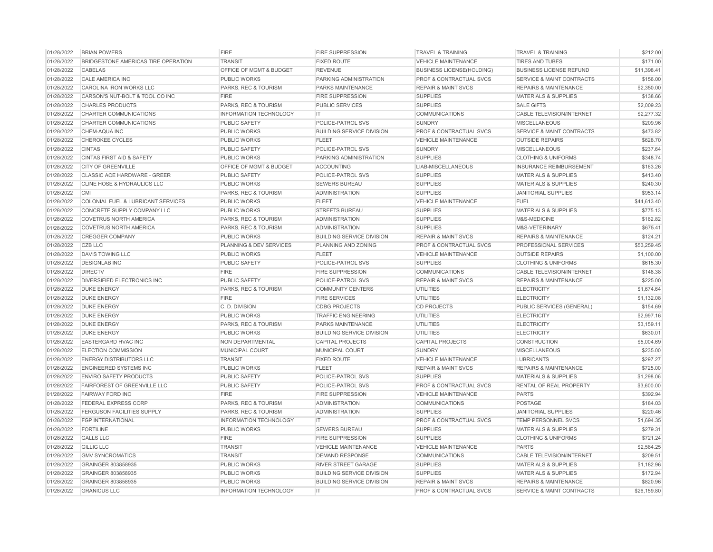| 01/28/2022 | <b>BRIAN POWERS</b>                  | <b>FIRE</b>                   | <b>FIRE SUPPRESSION</b>          | <b>TRAVEL &amp; TRAINING</b>       | <b>TRAVEL &amp; TRAINING</b>         | \$212.00    |
|------------|--------------------------------------|-------------------------------|----------------------------------|------------------------------------|--------------------------------------|-------------|
| 01/28/2022 | BRIDGESTONE AMERICAS TIRE OPERATION  | <b>TRANSIT</b>                | <b>FIXED ROUTE</b>               | <b>VEHICLE MAINTENANCE</b>         | <b>TIRES AND TUBES</b>               | \$171.00    |
| 01/28/2022 | CABELAS                              | OFFICE OF MGMT & BUDGET       | <b>REVENUE</b>                   | <b>BUSINESS LICENSE(HOLDING)</b>   | <b>BUSINESS LICENSE REFUND</b>       | \$11,398.41 |
| 01/28/2022 | <b>CALE AMERICA INC</b>              | <b>PUBLIC WORKS</b>           | PARKING ADMINISTRATION           | <b>PROF &amp; CONTRACTUAL SVCS</b> | <b>SERVICE &amp; MAINT CONTRACTS</b> | \$156.00    |
| 01/28/2022 | CAROLINA IRON WORKS LLC              | PARKS, REC & TOURISM          | PARKS MAINTENANCE                | <b>REPAIR &amp; MAINT SVCS</b>     | <b>REPAIRS &amp; MAINTENANCE</b>     | \$2,350.00  |
| 01/28/2022 | CARSON'S NUT-BOLT & TOOL CO INC      | <b>FIRE</b>                   | <b>FIRE SUPPRESSION</b>          | <b>SUPPLIES</b>                    | <b>MATERIALS &amp; SUPPLIES</b>      | \$138.66    |
| 01/28/2022 | <b>CHARLES PRODUCTS</b>              | PARKS, REC & TOURISM          | PUBLIC SERVICES                  | <b>SUPPLIES</b>                    | <b>SALE GIFTS</b>                    | \$2,009.23  |
| 01/28/2022 | CHARTER COMMUNICATIONS               | <b>INFORMATION TECHNOLOGY</b> | IT.                              | <b>COMMUNICATIONS</b>              | CABLE TELEVISION/INTERNET            | \$2,277.32  |
| 01/28/2022 | CHARTER COMMUNICATIONS               | <b>PUBLIC SAFETY</b>          | POLICE-PATROL SVS                | <b>SUNDRY</b>                      | <b>MISCELLANEOUS</b>                 | \$209.96    |
| 01/28/2022 | CHEM-AQUA INC                        | PUBLIC WORKS                  | <b>BUILDING SERVICE DIVISION</b> | <b>PROF &amp; CONTRACTUAL SVCS</b> | SERVICE & MAINT CONTRACTS            | \$473.82    |
| 01/28/2022 | <b>CHEROKEE CYCLES</b>               | <b>PUBLIC WORKS</b>           | <b>FLEET</b>                     | <b>VEHICLE MAINTENANCE</b>         | <b>OUTSIDE REPAIRS</b>               | \$628.70    |
| 01/28/2022 | <b>CINTAS</b>                        | <b>PUBLIC SAFETY</b>          | POLICE-PATROL SVS                | <b>SUNDRY</b>                      | <b>MISCELLANEOUS</b>                 | \$237.64    |
| 01/28/2022 | <b>CINTAS FIRST AID &amp; SAFETY</b> | <b>PUBLIC WORKS</b>           | PARKING ADMINISTRATION           | <b>SUPPLIES</b>                    | <b>CLOTHING &amp; UNIFORMS</b>       | \$348.74    |
| 01/28/2022 | <b>CITY OF GREENVILLE</b>            | OFFICE OF MGMT & BUDGET       | <b>ACCOUNTING</b>                | LIAB-MISCELLANEOUS                 | <b>INSURANCE REIMBURSEMENT</b>       | \$163.26    |
| 01/28/2022 | CLASSIC ACE HARDWARE - GREER         | <b>PUBLIC SAFETY</b>          | POLICE-PATROL SVS                | <b>SUPPLIES</b>                    | <b>MATERIALS &amp; SUPPLIES</b>      | \$413.40    |
| 01/28/2022 | CLINE HOSE & HYDRAULICS LLC          | <b>PUBLIC WORKS</b>           | <b>SEWERS BUREAU</b>             | <b>SUPPLIES</b>                    | <b>MATERIALS &amp; SUPPLIES</b>      | \$240.30    |
| 01/28/2022 | CMI                                  | PARKS, REC & TOURISM          | <b>ADMINISTRATION</b>            | <b>SUPPLIES</b>                    | <b>JANITORIAL SUPPLIES</b>           | \$953.14    |
| 01/28/2022 | COLONIAL FUEL & LUBRICANT SERVICES   | <b>PUBLIC WORKS</b>           | <b>FLEET</b>                     | <b>VEHICLE MAINTENANCE</b>         | <b>FUEL</b>                          | \$44,613.40 |
| 01/28/2022 | CONCRETE SUPPLY COMPANY LLC          | <b>PUBLIC WORKS</b>           | <b>STREETS BUREAU</b>            | <b>SUPPLIES</b>                    | <b>MATERIALS &amp; SUPPLIES</b>      | \$775.13    |
| 01/28/2022 | <b>COVETRUS NORTH AMERICA</b>        | PARKS, REC & TOURISM          | <b>ADMINISTRATION</b>            | <b>SUPPLIES</b>                    | M&S-MEDICINE                         | \$162.82    |
| 01/28/2022 | <b>COVETRUS NORTH AMERICA</b>        | PARKS, REC & TOURISM          | <b>ADMINISTRATION</b>            | <b>SUPPLIES</b>                    | M&S-VETERINARY                       | \$675.41    |
| 01/28/2022 | <b>CREGGER COMPANY</b>               | <b>PUBLIC WORKS</b>           | <b>BUILDING SERVICE DIVISION</b> | <b>REPAIR &amp; MAINT SVCS</b>     | <b>REPAIRS &amp; MAINTENANCE</b>     | \$124.21    |
| 01/28/2022 | CZB LLC                              | PLANNING & DEV SERVICES       | PLANNING AND ZONING              | <b>PROF &amp; CONTRACTUAL SVCS</b> | PROFESSIONAL SERVICES                | \$53,259.45 |
| 01/28/2022 | <b>DAVIS TOWING LLC</b>              | <b>PUBLIC WORKS</b>           | <b>FLEET</b>                     | <b>VEHICLE MAINTENANCE</b>         | <b>OUTSIDE REPAIRS</b>               | \$1,100.00  |
|            | <b>DESIGNLAB INC</b>                 |                               | POLICE-PATROL SVS                | <b>SUPPLIES</b>                    | <b>CLOTHING &amp; UNIFORMS</b>       |             |
| 01/28/2022 |                                      | <b>PUBLIC SAFETY</b>          |                                  |                                    |                                      | \$615.30    |
| 01/28/2022 | <b>DIRECTV</b>                       | <b>FIRE</b>                   | <b>FIRE SUPPRESSION</b>          | <b>COMMUNICATIONS</b>              | <b>CABLE TELEVISION/INTERNET</b>     | \$148.38    |
| 01/28/2022 | DIVERSIFIED ELECTRONICS INC          | PUBLIC SAFETY                 | POLICE-PATROL SVS                | <b>REPAIR &amp; MAINT SVCS</b>     | <b>REPAIRS &amp; MAINTENANCE</b>     | \$225.00    |
| 01/28/2022 | <b>DUKE ENERGY</b>                   | PARKS, REC & TOURISM          | <b>COMMUNITY CENTERS</b>         | <b>UTILITIES</b>                   | <b>ELECTRICITY</b>                   | \$1,674.64  |
| 01/28/2022 | <b>DUKE ENERGY</b>                   | <b>FIRE</b>                   | <b>FIRE SERVICES</b>             | <b>UTILITIES</b>                   | <b>ELECTRICITY</b>                   | \$1,132.08  |
| 01/28/2022 | <b>DUKE ENERGY</b>                   | C.D. DIVISION                 | <b>CDBG PROJECTS</b>             | <b>CD PROJECTS</b>                 | PUBLIC SERVICES (GENERAL)            | \$154.69    |
| 01/28/2022 | <b>DUKE ENERGY</b>                   | <b>PUBLIC WORKS</b>           | <b>TRAFFIC ENGINEERING</b>       | <b>UTILITIES</b>                   | <b>ELECTRICITY</b>                   | \$2,997.16  |
| 01/28/2022 | <b>DUKE ENERGY</b>                   | PARKS, REC & TOURISM          | PARKS MAINTENANCE                | <b>UTILITIES</b>                   | <b>ELECTRICITY</b>                   | \$3,159.11  |
| 01/28/2022 | <b>DUKE ENERGY</b>                   | <b>PUBLIC WORKS</b>           | <b>BUILDING SERVICE DIVISION</b> | <b>UTILITIES</b>                   | <b>ELECTRICITY</b>                   | \$630.01    |
| 01/28/2022 | EASTERGARD HVAC INC                  | NON DEPARTMENTAL              | <b>CAPITAL PROJECTS</b>          | <b>CAPITAL PROJECTS</b>            | <b>CONSTRUCTION</b>                  | \$5,004.69  |
| 01/28/2022 | <b>ELECTION COMMISSION</b>           | MUNICIPAL COURT               | MUNICIPAL COURT                  | <b>SUNDRY</b>                      | <b>MISCELLANEOUS</b>                 | \$235.00    |
| 01/28/2022 | <b>ENERGY DISTRIBUTORS LLC</b>       | <b>TRANSIT</b>                | <b>FIXED ROUTE</b>               | <b>VEHICLE MAINTENANCE</b>         | <b>LUBRICANTS</b>                    | \$297.27    |
| 01/28/2022 | <b>ENGINEERED SYSTEMS INC</b>        | <b>PUBLIC WORKS</b>           | <b>FLEET</b>                     | <b>REPAIR &amp; MAINT SVCS</b>     | <b>REPAIRS &amp; MAINTENANCE</b>     | \$725.00    |
| 01/28/2022 | <b>ENVIRO SAFETY PRODUCTS</b>        | PUBLIC SAFETY                 | POLICE-PATROL SVS                | <b>SUPPLIES</b>                    | <b>MATERIALS &amp; SUPPLIES</b>      | \$1,298.06  |
| 01/28/2022 | <b>FAIRFOREST OF GREENVILLE LLC</b>  | <b>PUBLIC SAFETY</b>          | POLICE-PATROL SVS                | <b>PROF &amp; CONTRACTUAL SVCS</b> | RENTAL OF REAL PROPERTY              | \$3,600.00  |
| 01/28/2022 | <b>FAIRWAY FORD INC</b>              | <b>FIRE</b>                   | <b>FIRE SUPPRESSION</b>          | <b>VEHICLE MAINTENANCE</b>         | <b>PARTS</b>                         | \$392.94    |
| 01/28/2022 | <b>FEDERAL EXPRESS CORP</b>          | PARKS, REC & TOURISM          | <b>ADMINISTRATION</b>            | <b>COMMUNICATIONS</b>              | POSTAGE                              | \$184.03    |
| 01/28/2022 | <b>FERGUSON FACILITIES SUPPLY</b>    | PARKS, REC & TOURISM          | <b>ADMINISTRATION</b>            | <b>SUPPLIES</b>                    | <b>JANITORIAL SUPPLIES</b>           | \$220.46    |
| 01/28/2022 | <b>FGP INTERNATIONAL</b>             | <b>INFORMATION TECHNOLOGY</b> | IT                               | <b>PROF &amp; CONTRACTUAL SVCS</b> | TEMP PERSONNEL SVCS                  | \$1,694.35  |
| 01/28/2022 | <b>FORTILINE</b>                     | PUBLIC WORKS                  | <b>SEWERS BUREAU</b>             | <b>SUPPLIES</b>                    | <b>MATERIALS &amp; SUPPLIES</b>      | \$279.31    |
| 01/28/2022 | <b>GALLS LLC</b>                     | <b>FIRE</b>                   | <b>FIRE SUPPRESSION</b>          | <b>SUPPLIES</b>                    | <b>CLOTHING &amp; UNIFORMS</b>       | \$721.24    |
| 01/28/2022 | <b>GILLIG LLC</b>                    | <b>TRANSIT</b>                | <b>VEHICLE MAINTENANCE</b>       | <b>VEHICLE MAINTENANCE</b>         | <b>PARTS</b>                         | \$2,584.25  |
| 01/28/2022 | <b>GMV SYNCROMATICS</b>              | <b>TRANSIT</b>                | <b>DEMAND RESPONSE</b>           | <b>COMMUNICATIONS</b>              | <b>CABLE TELEVISION/INTERNET</b>     | \$209.51    |
| 01/28/2022 | GRAINGER 803858935                   | <b>PUBLIC WORKS</b>           | <b>RIVER STREET GARAGE</b>       | <b>SUPPLIES</b>                    | <b>MATERIALS &amp; SUPPLIES</b>      | \$1,182.96  |
| 01/28/2022 | GRAINGER 803858935                   | <b>PUBLIC WORKS</b>           | <b>BUILDING SERVICE DIVISION</b> | <b>SUPPLIES</b>                    | <b>MATERIALS &amp; SUPPLIES</b>      | \$172.94    |
| 01/28/2022 | GRAINGER 803858935                   | <b>PUBLIC WORKS</b>           | <b>BUILDING SERVICE DIVISION</b> | <b>REPAIR &amp; MAINT SVCS</b>     | <b>REPAIRS &amp; MAINTENANCE</b>     | \$820.96    |
|            | <b>GRANICUS LLC</b>                  | <b>INFORMATION TECHNOLOGY</b> | IT.                              | <b>PROF &amp; CONTRACTUAL SVCS</b> | <b>SERVICE &amp; MAINT CONTRACTS</b> | \$26,159.80 |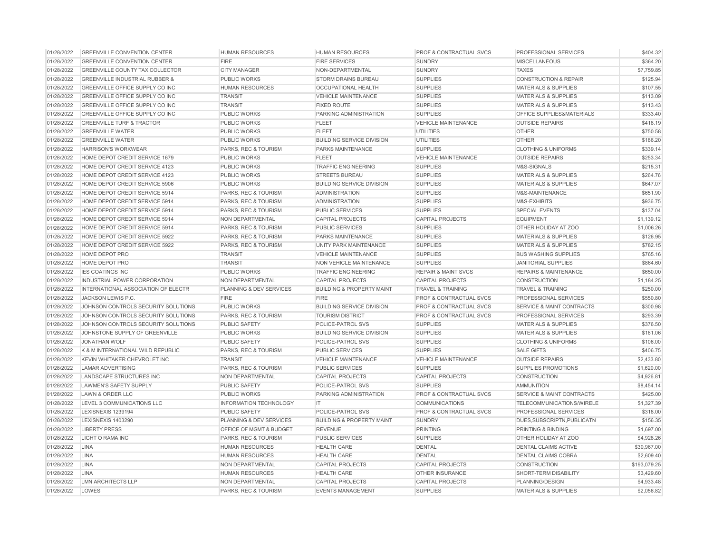| 01/28/2022 | <b>GREENVILLE CONVENTION CENTER</b>       | HUMAN RESOURCES         | <b>HUMAN RESOURCES</b>               | <b>PROF &amp; CONTRACTUAL SVCS</b> | PROFESSIONAL SERVICES                | \$404.32     |
|------------|-------------------------------------------|-------------------------|--------------------------------------|------------------------------------|--------------------------------------|--------------|
| 01/28/2022 | <b>GREENVILLE CONVENTION CENTER</b>       | <b>FIRE</b>             | <b>FIRE SERVICES</b>                 | <b>SUNDRY</b>                      | <b>MISCELLANEOUS</b>                 | \$364.20     |
| 01/28/2022 | <b>GREENVILLE COUNTY TAX COLLECTOR</b>    | <b>CITY MANAGER</b>     | NON-DEPARTMENTAL                     | <b>SUNDRY</b>                      | <b>TAXES</b>                         | \$7,759.85   |
| 01/28/2022 | <b>GREENVILLE INDUSTRIAL RUBBER &amp;</b> | PUBLIC WORKS            | <b>STORM DRAINS BUREAU</b>           | <b>SUPPLIES</b>                    | <b>CONSTRUCTION &amp; REPAIR</b>     | \$125.94     |
| 01/28/2022 | GREENVILLE OFFICE SUPPLY CO INC           | <b>HUMAN RESOURCES</b>  | <b>OCCUPATIONAL HEALTH</b>           | <b>SUPPLIES</b>                    | <b>MATERIALS &amp; SUPPLIES</b>      | \$107.55     |
| 01/28/2022 | GREENVILLE OFFICE SUPPLY CO INC           | <b>TRANSIT</b>          | <b>VEHICLE MAINTENANCE</b>           | <b>SUPPLIES</b>                    | <b>MATERIALS &amp; SUPPLIES</b>      | \$113.09     |
| 01/28/2022 | GREENVILLE OFFICE SUPPLY CO INC           | <b>TRANSIT</b>          | <b>FIXED ROUTE</b>                   | <b>SUPPLIES</b>                    | <b>MATERIALS &amp; SUPPLIES</b>      | \$113.43     |
| 01/28/2022 | GREENVILLE OFFICE SUPPLY CO INC           | PUBLIC WORKS            | PARKING ADMINISTRATION               | <b>SUPPLIES</b>                    | OFFICE SUPPLIES&MATERIALS            | \$333.40     |
| 01/28/2022 | <b>GREENVILLE TURF &amp; TRACTOR</b>      | PUBLIC WORKS            | <b>FLEET</b>                         | <b>VEHICLE MAINTENANCE</b>         | <b>OUTSIDE REPAIRS</b>               | \$418.19     |
| 01/28/2022 | <b>GREENVILLE WATER</b>                   | PUBLIC WORKS            | <b>FLEET</b>                         | <b>UTILITIES</b>                   | <b>OTHER</b>                         | \$750.58     |
| 01/28/2022 | <b>GREENVILLE WATER</b>                   | PUBLIC WORKS            | <b>BUILDING SERVICE DIVISION</b>     | <b>UTILITIES</b>                   | <b>OTHER</b>                         | \$186.20     |
| 01/28/2022 | <b>HARRISON'S WORKWEAR</b>                | PARKS, REC & TOURISM    | PARKS MAINTENANCE                    | <b>SUPPLIES</b>                    | <b>CLOTHING &amp; UNIFORMS</b>       | \$339.14     |
| 01/28/2022 | HOME DEPOT CREDIT SERVICE 1679            | <b>PUBLIC WORKS</b>     | <b>FLEET</b>                         | <b>VEHICLE MAINTENANCE</b>         | <b>OUTSIDE REPAIRS</b>               | \$253.34     |
| 01/28/2022 | HOME DEPOT CREDIT SERVICE 4123            | <b>PUBLIC WORKS</b>     | <b>TRAFFIC ENGINEERING</b>           | <b>SUPPLIES</b>                    | M&S-SIGNALS                          | \$215.31     |
| 01/28/2022 | HOME DEPOT CREDIT SERVICE 4123            | PUBLIC WORKS            | <b>STREETS BUREAU</b>                | <b>SUPPLIES</b>                    | <b>MATERIALS &amp; SUPPLIES</b>      | \$264.76     |
| 01/28/2022 | HOME DEPOT CREDIT SERVICE 5906            | PUBLIC WORKS            | <b>BUILDING SERVICE DIVISION</b>     | <b>SUPPLIES</b>                    | <b>MATERIALS &amp; SUPPLIES</b>      | \$647.07     |
| 01/28/2022 | HOME DEPOT CREDIT SERVICE 5914            | PARKS, REC & TOURISM    | ADMINISTRATION                       | <b>SUPPLIES</b>                    | M&S-MAINTENANCE                      | \$651.90     |
| 01/28/2022 | HOME DEPOT CREDIT SERVICE 5914            | PARKS, REC & TOURISM    | <b>ADMINISTRATION</b>                | <b>SUPPLIES</b>                    | M&S-EXHIBITS                         | \$936.75     |
| 01/28/2022 | HOME DEPOT CREDIT SERVICE 5914            | PARKS, REC & TOURISM    | <b>PUBLIC SERVICES</b>               | <b>SUPPLIES</b>                    | <b>SPECIAL EVENTS</b>                | \$137.04     |
| 01/28/2022 | HOME DEPOT CREDIT SERVICE 5914            | <b>NON DEPARTMENTAL</b> | <b>CAPITAL PROJECTS</b>              | <b>CAPITAL PROJECTS</b>            | <b>EQUIPMENT</b>                     | \$1,139.12   |
| 01/28/2022 | HOME DEPOT CREDIT SERVICE 5914            | PARKS, REC & TOURISM    | PUBLIC SERVICES                      | <b>SUPPLIES</b>                    | OTHER HOLIDAY AT ZOO                 | \$1,006.26   |
| 01/28/2022 | HOME DEPOT CREDIT SERVICE 5922            | PARKS, REC & TOURISM    | PARKS MAINTENANCE                    | <b>SUPPLIES</b>                    | <b>MATERIALS &amp; SUPPLIES</b>      | \$126.95     |
| 01/28/2022 | HOME DEPOT CREDIT SERVICE 5922            | PARKS, REC & TOURISM    | UNITY PARK MAINTENANCE               | <b>SUPPLIES</b>                    | <b>MATERIALS &amp; SUPPLIES</b>      | \$782.15     |
| 01/28/2022 | HOME DEPOT PRO                            | <b>TRANSIT</b>          | <b>VEHICLE MAINTENANCE</b>           | <b>SUPPLIES</b>                    | <b>BUS WASHING SUPPLIES</b>          | \$765.16     |
| 01/28/2022 | HOME DEPOT PRO                            | <b>TRANSIT</b>          | <b>NON VEHICLE MAINTENANCE</b>       | <b>SUPPLIES</b>                    | <b>JANITORIAL SUPPLIES</b>           | \$864.60     |
| 01/28/2022 | <b>IES COATINGS INC</b>                   | PUBLIC WORKS            | <b>TRAFFIC ENGINEERING</b>           | <b>REPAIR &amp; MAINT SVCS</b>     | <b>REPAIRS &amp; MAINTENANCE</b>     | \$650.00     |
| 01/28/2022 | INDUSTRIAL POWER CORPORATION              | NON DEPARTMENTAL        | <b>CAPITAL PROJECTS</b>              | <b>CAPITAL PROJECTS</b>            | <b>CONSTRUCTION</b>                  | \$1,184.25   |
| 01/28/2022 | INTERNATIONAL ASSOCIATION OF ELECTR       | PLANNING & DEV SERVICES | <b>BUILDING &amp; PROPERTY MAINT</b> | <b>TRAVEL &amp; TRAINING</b>       | <b>TRAVEL &amp; TRAINING</b>         | \$250.00     |
| 01/28/2022 | JACKSON LEWIS P.C.                        | FIRE                    | <b>FIRE</b>                          | PROF & CONTRACTUAL SVCS            | PROFESSIONAL SERVICES                | \$550.80     |
| 01/28/2022 | JOHNSON CONTROLS SECURITY SOLUTIONS       | <b>PUBLIC WORKS</b>     | <b>BUILDING SERVICE DIVISION</b>     | <b>PROF &amp; CONTRACTUAL SVCS</b> | <b>SERVICE &amp; MAINT CONTRACTS</b> | \$300.98     |
| 01/28/2022 | JOHNSON CONTROLS SECURITY SOLUTIONS       | PARKS, REC & TOURISM    | <b>TOURISM DISTRICT</b>              | <b>PROF &amp; CONTRACTUAL SVCS</b> | PROFESSIONAL SERVICES                | \$293.39     |
| 01/28/2022 | JOHNSON CONTROLS SECURITY SOLUTIONS       | <b>PUBLIC SAFETY</b>    | POLICE-PATROL SVS                    | <b>SUPPLIES</b>                    | <b>MATERIALS &amp; SUPPLIES</b>      | \$376.50     |
| 01/28/2022 | JOHNSTONE SUPPLY OF GREENVILLE            | PUBLIC WORKS            | <b>BUILDING SERVICE DIVISION</b>     | <b>SUPPLIES</b>                    | <b>MATERIALS &amp; SUPPLIES</b>      | \$161.06     |
| 01/28/2022 | <b>JONATHAN WOLF</b>                      | PUBLIC SAFETY           | POLICE-PATROL SVS                    | <b>SUPPLIES</b>                    | <b>CLOTHING &amp; UNIFORMS</b>       | \$106.00     |
| 01/28/2022 | K & M INTERNATIONAL WILD REPUBLIC         | PARKS, REC & TOURISM    | <b>PUBLIC SERVICES</b>               | <b>SUPPLIES</b>                    | <b>SALE GIFTS</b>                    | \$406.75     |
| 01/28/2022 | KEVIN WHITAKER CHEVROLET INC              | <b>TRANSIT</b>          | <b>VEHICLE MAINTENANCE</b>           | <b>VEHICLE MAINTENANCE</b>         | <b>OUTSIDE REPAIRS</b>               | \$2,433.80   |
| 01/28/2022 | <b>LAMAR ADVERTISING</b>                  | PARKS, REC & TOURISM    | PUBLIC SERVICES                      | <b>SUPPLIES</b>                    | SUPPLIES PROMOTIONS                  | \$1,620.00   |
| 01/28/2022 | <b>LANDSCAPE STRUCTURES INC</b>           | <b>NON DEPARTMENTAL</b> | <b>CAPITAL PROJECTS</b>              | <b>CAPITAL PROJECTS</b>            | <b>CONSTRUCTION</b>                  | \$4,926.81   |
| 01/28/2022 | <b>LAWMEN'S SAFETY SUPPLY</b>             | <b>PUBLIC SAFETY</b>    | POLICE-PATROL SVS                    | <b>SUPPLIES</b>                    | <b>AMMUNITION</b>                    | \$8,454.14   |
| 01/28/2022 | <b>LAWN &amp; ORDER LLC</b>               | PUBLIC WORKS            | PARKING ADMINISTRATION               | PROF & CONTRACTUAL SVCS            | <b>SERVICE &amp; MAINT CONTRACTS</b> | \$425.00     |
| 01/28/2022 | LEVEL 3 COMMUNICATIONS LLC                | INFORMATION TECHNOLOGY  | IT                                   | <b>COMMUNICATIONS</b>              | TELECOMMUNICATIONS/WIRELE            | \$1,327.39   |
| 01/28/2022 | LEXISNEXIS 1239194                        | <b>PUBLIC SAFETY</b>    | POLICE-PATROL SVS                    | <b>PROF &amp; CONTRACTUAL SVCS</b> | PROFESSIONAL SERVICES                | \$318.00     |
| 01/28/2022 | LEXISNEXIS 1403290                        | PLANNING & DEV SERVICES | <b>BUILDING &amp; PROPERTY MAINT</b> | <b>SUNDRY</b>                      | DUES, SUBSCRIPTN, PUBLICATN          | \$156.35     |
| 01/28/2022 | <b>LIBERTY PRESS</b>                      | OFFICE OF MGMT & BUDGET | <b>REVENUE</b>                       | <b>PRINTING</b>                    | PRINTING & BINDING                   | \$1,697.00   |
| 01/28/2022 | LIGHT O RAMA INC                          | PARKS, REC & TOURISM    | PUBLIC SERVICES                      | <b>SUPPLIES</b>                    | OTHER HOLIDAY AT ZOO                 | \$4,928.26   |
| 01/28/2022 | <b>LINA</b>                               | <b>HUMAN RESOURCES</b>  | <b>HEALTH CARE</b>                   | <b>DENTAL</b>                      | <b>DENTAL CLAIMS ACTIVE</b>          | \$30,967.00  |
| 01/28/2022 | <b>LINA</b>                               | <b>HUMAN RESOURCES</b>  | <b>HEALTH CARE</b>                   | <b>DENTAL</b>                      | <b>DENTAL CLAIMS COBRA</b>           | \$2,609.40   |
| 01/28/2022 | LINA                                      | <b>NON DEPARTMENTAL</b> | <b>CAPITAL PROJECTS</b>              | <b>CAPITAL PROJECTS</b>            | <b>CONSTRUCTION</b>                  | \$193,079.25 |
| 01/28/2022 | LINA                                      | <b>HUMAN RESOURCES</b>  | <b>HEALTH CARE</b>                   | <b>OTHER INSURANCE</b>             | SHORT-TERM DISABILITY                | \$3,429.60   |
| 01/28/2022 | <b>LMN ARCHITECTS LLP</b>                 | <b>NON DEPARTMENTAL</b> | <b>CAPITAL PROJECTS</b>              | <b>CAPITAL PROJECTS</b>            | PLANNING/DESIGN                      | \$4.933.48   |
| 01/28/2022 | LOWES                                     | PARKS, REC & TOURISM    | <b>EVENTS MANAGEMENT</b>             | <b>SUPPLIES</b>                    | <b>MATERIALS &amp; SUPPLIES</b>      | \$2,056.82   |
|            |                                           |                         |                                      |                                    |                                      |              |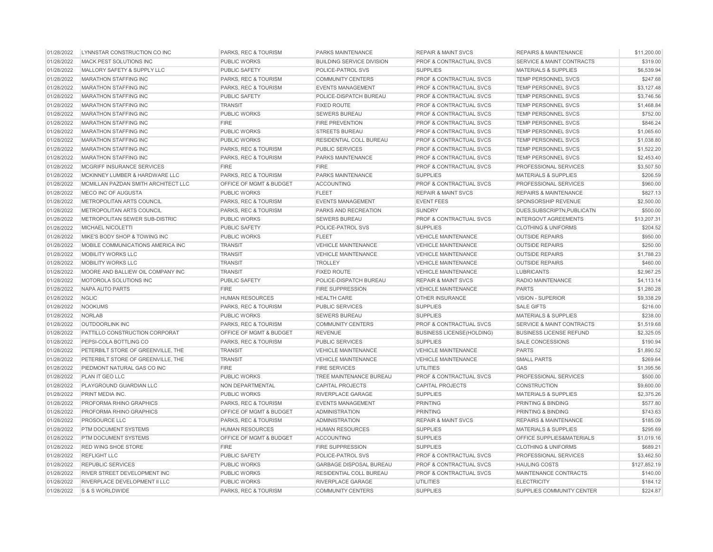| 01/28/2022 | LYNNSTAR CONSTRUCTION CO INC        | PARKS, REC & TOURISM    | PARKS MAINTENANCE                | <b>REPAIR &amp; MAINT SVCS</b>     | <b>REPAIRS &amp; MAINTENANCE</b>     | \$11,200.00  |
|------------|-------------------------------------|-------------------------|----------------------------------|------------------------------------|--------------------------------------|--------------|
| 01/28/2022 | MACK PEST SOLUTIONS INC             | PUBLIC WORKS            | <b>BUILDING SERVICE DIVISION</b> | PROF & CONTRACTUAL SVCS            | SERVICE & MAINT CONTRACTS            | \$319.00     |
| 01/28/2022 | MALLORY SAFETY & SUPPLY LLC         | PUBLIC SAFETY           | POLICE-PATROL SVS                | <b>SUPPLIES</b>                    | <b>MATERIALS &amp; SUPPLIES</b>      | \$6,539.94   |
| 01/28/2022 | <b>MARATHON STAFFING INC</b>        | PARKS, REC & TOURISM    | <b>COMMUNITY CENTERS</b>         | <b>PROF &amp; CONTRACTUAL SVCS</b> | <b>TEMP PERSONNEL SVCS</b>           | \$247.68     |
| 01/28/2022 | <b>MARATHON STAFFING INC</b>        | PARKS, REC & TOURISM    | <b>EVENTS MANAGEMENT</b>         | PROF & CONTRACTUAL SVCS            | TEMP PERSONNEL SVCS                  | \$3,127.48   |
| 01/28/2022 | <b>MARATHON STAFFING INC</b>        | <b>PUBLIC SAFETY</b>    | POLICE-DISPATCH BUREAU           | PROF & CONTRACTUAL SVCS            | TEMP PERSONNEL SVCS                  | \$3,746.56   |
| 01/28/2022 | <b>MARATHON STAFFING INC</b>        | <b>TRANSIT</b>          | <b>FIXED ROUTE</b>               | PROF & CONTRACTUAL SVCS            | <b>TEMP PERSONNEL SVCS</b>           | \$1,468.84   |
| 01/28/2022 | <b>MARATHON STAFFING INC</b>        | PUBLIC WORKS            | <b>SEWERS BUREAU</b>             | <b>PROF &amp; CONTRACTUAL SVCS</b> | TEMP PERSONNEL SVCS                  | \$752.00     |
| 01/28/2022 | <b>MARATHON STAFFING INC</b>        | <b>FIRE</b>             | <b>FIRE PREVENTION</b>           | PROF & CONTRACTUAL SVCS            | TEMP PERSONNEL SVCS                  | \$846.24     |
| 01/28/2022 | <b>MARATHON STAFFING INC</b>        | PUBLIC WORKS            | <b>STREETS BUREAU</b>            | PROF & CONTRACTUAL SVCS            | <b>TEMP PERSONNEL SVCS</b>           | \$1,065.60   |
| 01/28/2022 | <b>MARATHON STAFFING INC</b>        | <b>PUBLIC WORKS</b>     | RESIDENTIAL COLL BUREAU          | PROF & CONTRACTUAL SVCS            | TEMP PERSONNEL SVCS                  | \$1,038.80   |
| 01/28/2022 | <b>MARATHON STAFFING INC</b>        | PARKS, REC & TOURISM    | <b>PUBLIC SERVICES</b>           | <b>PROF &amp; CONTRACTUAL SVCS</b> | <b>TEMP PERSONNEL SVCS</b>           | \$1,522.20   |
| 01/28/2022 | MARATHON STAFFING INC               | PARKS, REC & TOURISM    | PARKS MAINTENANCE                | PROF & CONTRACTUAL SVCS            | TEMP PERSONNEL SVCS                  | \$2,453.40   |
| 01/28/2022 | MCGRIFF INSURANCE SERVICES          | <b>FIRE</b>             | <b>FIRE</b>                      | <b>PROF &amp; CONTRACTUAL SVCS</b> | PROFESSIONAL SERVICES                | \$3,507.50   |
| 01/28/2022 | MCKINNEY LUMBER & HARDWARE LLC      | PARKS, REC & TOURISM    | PARKS MAINTENANCE                | <b>SUPPLIES</b>                    | <b>MATERIALS &amp; SUPPLIES</b>      | \$206.59     |
| 01/28/2022 | MCMILLAN PAZDAN SMITH ARCHITECT LLC | OFFICE OF MGMT & BUDGET | <b>ACCOUNTING</b>                | <b>PROF &amp; CONTRACTUAL SVCS</b> | PROFESSIONAL SERVICES                | \$960.00     |
| 01/28/2022 | MECO INC OF AUGUSTA                 | PUBLIC WORKS            | <b>FLEET</b>                     | <b>REPAIR &amp; MAINT SVCS</b>     | <b>REPAIRS &amp; MAINTENANCE</b>     | \$827.13     |
| 01/28/2022 | METROPOLITAN ARTS COUNCIL           | PARKS, REC & TOURISM    | <b>EVENTS MANAGEMENT</b>         | <b>EVENT FEES</b>                  | SPONSORSHIP REVENUE                  | \$2,500.00   |
| 01/28/2022 | METROPOLITAN ARTS COUNCIL           | PARKS, REC & TOURISM    | PARKS AND RECREATION             | <b>SUNDRY</b>                      | DUES, SUBSCRIPTN, PUBLICATN          | \$500.00     |
| 01/28/2022 | METROPOLITAN SEWER SUB-DISTRIC      | <b>PUBLIC WORKS</b>     | <b>SEWERS BUREAU</b>             | <b>PROF &amp; CONTRACTUAL SVCS</b> | <b>INTERGOVT AGREEMENTS</b>          | \$13,207.31  |
| 01/28/2022 | MICHAEL NICOLETTI                   | <b>PUBLIC SAFETY</b>    | POLICE-PATROL SVS                | <b>SUPPLIES</b>                    | <b>CLOTHING &amp; UNIFORMS</b>       | \$204.52     |
| 01/28/2022 | MIKE'S BODY SHOP & TOWING INC       | PUBLIC WORKS            | <b>FLEET</b>                     | <b>VEHICLE MAINTENANCE</b>         | <b>OUTSIDE REPAIRS</b>               | \$950.00     |
| 01/28/2022 | MOBILE COMMUNICATIONS AMERICA INC   | <b>TRANSIT</b>          | <b>VEHICLE MAINTENANCE</b>       | <b>VEHICLE MAINTENANCE</b>         | <b>OUTSIDE REPAIRS</b>               | \$250.00     |
| 01/28/2022 | <b>MOBILITY WORKS LLC</b>           | <b>TRANSIT</b>          | <b>VEHICLE MAINTENANCE</b>       | <b>VEHICLE MAINTENANCE</b>         | <b>OUTSIDE REPAIRS</b>               | \$1,788.23   |
| 01/28/2022 | MOBILITY WORKS LLC                  | <b>TRANSIT</b>          | <b>TROLLEY</b>                   | <b>VEHICLE MAINTENANCE</b>         | <b>OUTSIDE REPAIRS</b>               | \$460.00     |
| 01/28/2022 | MOORE AND BALLIEW OIL COMPANY INC   | <b>TRANSIT</b>          | <b>FIXED ROUTE</b>               | <b>VEHICLE MAINTENANCE</b>         | <b>LUBRICANTS</b>                    | \$2,967.25   |
| 01/28/2022 | MOTOROLA SOLUTIONS INC              | PUBLIC SAFETY           | POLICE-DISPATCH BUREAU           | <b>REPAIR &amp; MAINT SVCS</b>     | RADIO MAINTENANCE                    | \$4,113,14   |
| 01/28/2022 | NAPA AUTO PARTS                     | <b>FIRE</b>             | <b>FIRE SUPPRESSION</b>          | <b>VEHICLE MAINTENANCE</b>         | <b>PARTS</b>                         | \$1,280.28   |
| 01/28/2022 | <b>NGLIC</b>                        | <b>HUMAN RESOURCES</b>  | <b>HEALTH CARE</b>               | <b>OTHER INSURANCE</b>             | VISION - SUPERIOR                    | \$9,338.29   |
| 01/28/2022 | <b>NOOKUMS</b>                      | PARKS, REC & TOURISM    | <b>PUBLIC SERVICES</b>           | <b>SUPPLIES</b>                    | <b>SALE GIFTS</b>                    | \$216.00     |
| 01/28/2022 | <b>NORLAB</b>                       | <b>PUBLIC WORKS</b>     | <b>SEWERS BUREAU</b>             | <b>SUPPLIES</b>                    | <b>MATERIALS &amp; SUPPLIES</b>      | \$238.00     |
| 01/28/2022 | <b>OUTDOORLINK INC</b>              | PARKS, REC & TOURISM    | <b>COMMUNITY CENTERS</b>         | <b>PROF &amp; CONTRACTUAL SVCS</b> | <b>SERVICE &amp; MAINT CONTRACTS</b> | \$1,519.68   |
| 01/28/2022 | PATTILLO CONSTRUCTION CORPORAT      | OFFICE OF MGMT & BUDGET | <b>REVENUE</b>                   | <b>BUSINESS LICENSE(HOLDING)</b>   | <b>BUSINESS LICENSE REFUND</b>       | \$2,325.05   |
| 01/28/2022 | PEPSI-COLA BOTTLING CO              | PARKS, REC & TOURISM    | PUBLIC SERVICES                  | <b>SUPPLIES</b>                    | <b>SALE CONCESSIONS</b>              | \$190.94     |
| 01/28/2022 | PETERBILT STORE OF GREENVILLE. THE  | <b>TRANSIT</b>          | <b>VEHICLE MAINTENANCE</b>       | <b>VEHICLE MAINTENANCE</b>         | <b>PARTS</b>                         | \$1,890.52   |
| 01/28/2022 | PETERBILT STORE OF GREENVILLE, THE  | <b>TRANSIT</b>          | <b>VEHICLE MAINTENANCE</b>       | <b>VEHICLE MAINTENANCE</b>         | <b>SMALL PARTS</b>                   | \$269.64     |
| 01/28/2022 | PIEDMONT NATURAL GAS CO INC         | <b>FIRE</b>             | <b>FIRE SERVICES</b>             | <b>UTILITIES</b>                   | GAS                                  | \$1,395.56   |
| 01/28/2022 | <b>PLAN IT GEO LLC</b>              | PUBLIC WORKS            | TREE MAINTENANCE BUREAU          | <b>PROF &amp; CONTRACTUAL SVCS</b> | PROFESSIONAL SERVICES                | \$500.00     |
| 01/28/2022 | PLAYGROUND GUARDIAN LLC             | NON DEPARTMENTAL        | <b>CAPITAL PROJECTS</b>          | <b>CAPITAL PROJECTS</b>            | <b>CONSTRUCTION</b>                  | \$9,600.00   |
| 01/28/2022 | PRINT MEDIA INC.                    | PUBLIC WORKS            | <b>RIVERPLACE GARAGE</b>         | <b>SUPPLIES</b>                    | <b>MATERIALS &amp; SUPPLIES</b>      | \$2,375.26   |
| 01/28/2022 | PROFORMA RHINO GRAPHICS             | PARKS, REC & TOURISM    | <b>EVENTS MANAGEMENT</b>         | <b>PRINTING</b>                    | <b>PRINTING &amp; BINDING</b>        | \$577.80     |
| 01/28/2022 | PROFORMA RHINO GRAPHICS             | OFFICE OF MGMT & BUDGET | <b>ADMINISTRATION</b>            | <b>PRINTING</b>                    | PRINTING & BINDING                   | \$743.63     |
| 01/28/2022 | PROSOURCE LLC                       | PARKS, REC & TOURISM    | <b>ADMINISTRATION</b>            | <b>REPAIR &amp; MAINT SVCS</b>     | <b>REPAIRS &amp; MAINTENANCE</b>     | \$185.09     |
| 01/28/2022 | <b>PTM DOCUMENT SYSTEMS</b>         | <b>HUMAN RESOURCES</b>  | <b>HUMAN RESOURCES</b>           | <b>SUPPLIES</b>                    | <b>MATERIALS &amp; SUPPLIES</b>      | \$295.69     |
| 01/28/2022 | PTM DOCUMENT SYSTEMS                | OFFICE OF MGMT & BUDGET | <b>ACCOUNTING</b>                | <b>SUPPLIES</b>                    | OFFICE SUPPLIES&MATERIALS            | \$1,019.16   |
| 01/28/2022 | <b>RED WING SHOE STORE</b>          | <b>FIRE</b>             | <b>FIRE SUPPRESSION</b>          | <b>SUPPLIES</b>                    | <b>CLOTHING &amp; UNIFORMS</b>       | \$689.21     |
| 01/28/2022 | <b>REFLIGHT LLC</b>                 | PUBLIC SAFETY           | POLICE-PATROL SVS                | PROF & CONTRACTUAL SVCS            | PROFESSIONAL SERVICES                | \$3,462.50   |
| 01/28/2022 | <b>REPUBLIC SERVICES</b>            | PUBLIC WORKS            | <b>GARBAGE DISPOSAL BUREAU</b>   | PROF & CONTRACTUAL SVCS            | <b>HAULING COSTS</b>                 | \$127,852.19 |
| 01/28/2022 | RIVER STREET DEVELOPMENT INC        | PUBLIC WORKS            | RESIDENTIAL COLL BUREAU          | PROF & CONTRACTUAL SVCS            | MAINTENANCE CONTRACTS                | \$140.00     |
| 01/28/2022 | RIVERPLACE DEVELOPMENT II LLC       | PUBLIC WORKS            | RIVERPLACE GARAGE                | <b>UTILITIES</b>                   | <b>ELECTRICITY</b>                   | \$184.12     |
| 01/28/2022 | S & S WORLDWIDE                     | PARKS, REC & TOURISM    | <b>COMMUNITY CENTERS</b>         | <b>SUPPLIES</b>                    | SUPPLIES COMMUNITY CENTER            | \$224.87     |
|            |                                     |                         |                                  |                                    |                                      |              |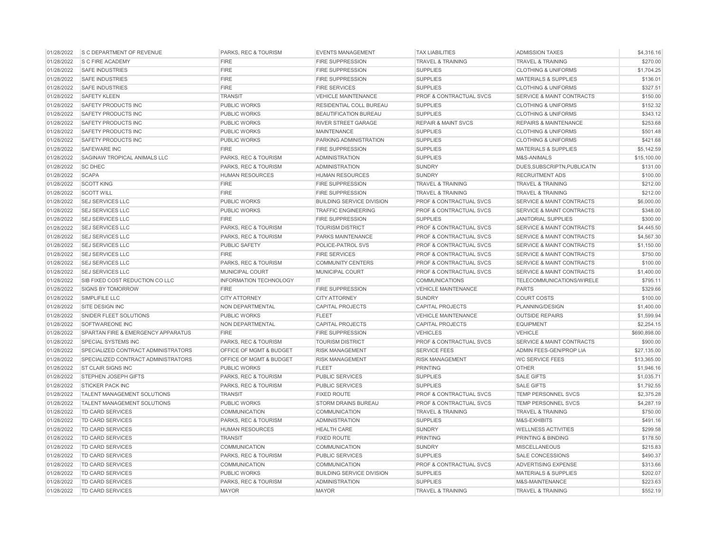| 01/28/2022 | <b>S C DEPARTMENT OF REVENUE</b>    | PARKS, REC & TOURISM            | <b>EVENTS MANAGEMENT</b>         | <b>TAX LIABILITIES</b>             | <b>ADMISSION TAXES</b>               | \$4,316.16   |
|------------|-------------------------------------|---------------------------------|----------------------------------|------------------------------------|--------------------------------------|--------------|
| 01/28/2022 | S C FIRE ACADEMY                    | <b>FIRE</b>                     | <b>FIRE SUPPRESSION</b>          | <b>TRAVEL &amp; TRAINING</b>       | <b>TRAVEL &amp; TRAINING</b>         | \$270.00     |
| 01/28/2022 | <b>SAFE INDUSTRIES</b>              | <b>FIRE</b>                     | <b>FIRE SUPPRESSION</b>          | <b>SUPPLIES</b>                    | <b>CLOTHING &amp; UNIFORMS</b>       | \$1,704.25   |
| 01/28/2022 | <b>SAFE INDUSTRIES</b>              | <b>FIRE</b>                     | <b>FIRE SUPPRESSION</b>          | <b>SUPPLIES</b>                    | <b>MATERIALS &amp; SUPPLIES</b>      | \$136.01     |
| 01/28/2022 | <b>SAFE INDUSTRIES</b>              | <b>FIRE</b>                     | <b>FIRE SERVICES</b>             | <b>SUPPLIES</b>                    | <b>CLOTHING &amp; UNIFORMS</b>       | \$327.51     |
| 01/28/2022 | <b>SAFETY KLEEN</b>                 | <b>TRANSIT</b>                  | <b>VEHICLE MAINTENANCE</b>       | <b>PROF &amp; CONTRACTUAL SVCS</b> | SERVICE & MAINT CONTRACTS            | \$150.00     |
| 01/28/2022 | <b>SAFETY PRODUCTS INC</b>          | <b>PUBLIC WORKS</b>             | RESIDENTIAL COLL BUREAU          | <b>SUPPLIES</b>                    | <b>CLOTHING &amp; UNIFORMS</b>       | \$152.32     |
| 01/28/2022 | SAFETY PRODUCTS INC                 | <b>PUBLIC WORKS</b>             | BEAUTIFICATION BUREAU            | <b>SUPPLIES</b>                    | <b>CLOTHING &amp; UNIFORMS</b>       | \$343.12     |
| 01/28/2022 | SAFETY PRODUCTS INC                 | <b>PUBLIC WORKS</b>             | <b>RIVER STREET GARAGE</b>       | <b>REPAIR &amp; MAINT SVCS</b>     | <b>REPAIRS &amp; MAINTENANCE</b>     | \$253.68     |
| 01/28/2022 | SAFETY PRODUCTS INC                 | PUBLIC WORKS                    | <b>MAINTENANCE</b>               | <b>SUPPLIES</b>                    | <b>CLOTHING &amp; UNIFORMS</b>       | \$501.48     |
| 01/28/2022 | SAFETY PRODUCTS INC                 | <b>PUBLIC WORKS</b>             | PARKING ADMINISTRATION           | <b>SUPPLIES</b>                    | <b>CLOTHING &amp; UNIFORMS</b>       | \$421.68     |
| 01/28/2022 | <b>SAFEWARE INC</b>                 | <b>FIRE</b>                     | <b>FIRE SUPPRESSION</b>          | <b>SUPPLIES</b>                    | <b>MATERIALS &amp; SUPPLIES</b>      | \$5,142.59   |
| 01/28/2022 | SAGINAW TROPICAL ANIMALS LLC        | PARKS, REC & TOURISM            | <b>ADMINISTRATION</b>            | <b>SUPPLIES</b>                    | M&S-ANIMALS                          | \$15,100.00  |
| 01/28/2022 | <b>SC DHEC</b>                      | PARKS, REC & TOURISM            | <b>ADMINISTRATION</b>            | <b>SUNDRY</b>                      | DUES, SUBSCRIPTN, PUBLICATN          | \$131.00     |
| 01/28/2022 | <b>SCAPA</b>                        | <b>HUMAN RESOURCES</b>          | <b>HUMAN RESOURCES</b>           | <b>SUNDRY</b>                      | <b>RECRUITMENT ADS</b>               | \$100.00     |
| 01/28/2022 | <b>SCOTT KING</b>                   | <b>FIRE</b>                     | <b>FIRE SUPPRESSION</b>          | <b>TRAVEL &amp; TRAINING</b>       | <b>TRAVEL &amp; TRAINING</b>         | \$212.00     |
| 01/28/2022 | <b>SCOTT WILL</b>                   | <b>FIRE</b>                     | <b>FIRE SUPPRESSION</b>          | <b>TRAVEL &amp; TRAINING</b>       | TRAVEL & TRAINING                    | \$212.00     |
| 01/28/2022 | <b>SEJ SERVICES LLC</b>             | PUBLIC WORKS                    | <b>BUILDING SERVICE DIVISION</b> | PROF & CONTRACTUAL SVCS            | SERVICE & MAINT CONTRACTS            | \$6,000.00   |
| 01/28/2022 | <b>SEJ SERVICES LLC</b>             | <b>PUBLIC WORKS</b>             | <b>TRAFFIC ENGINEERING</b>       | PROF & CONTRACTUAL SVCS            | <b>SERVICE &amp; MAINT CONTRACTS</b> | \$348.00     |
| 01/28/2022 | <b>SEJ SERVICES LLC</b>             | <b>FIRE</b>                     | <b>FIRE SUPPRESSION</b>          | <b>SUPPLIES</b>                    | <b>JANITORIAL SUPPLIES</b>           | \$300.00     |
| 01/28/2022 | <b>SEJ SERVICES LLC</b>             | PARKS, REC & TOURISM            | <b>TOURISM DISTRICT</b>          | PROF & CONTRACTUAL SVCS            | <b>SERVICE &amp; MAINT CONTRACTS</b> | \$4,445.50   |
| 01/28/2022 | <b>SEJ SERVICES LLC</b>             | PARKS, REC & TOURISM            | <b>PARKS MAINTENANCE</b>         | <b>PROF &amp; CONTRACTUAL SVCS</b> | <b>SERVICE &amp; MAINT CONTRACTS</b> | \$4,567.30   |
| 01/28/2022 | <b>SEJ SERVICES LLC</b>             | <b>PUBLIC SAFETY</b>            | POLICE-PATROL SVS                | <b>PROF &amp; CONTRACTUAL SVCS</b> | <b>SERVICE &amp; MAINT CONTRACTS</b> | \$1,150.00   |
| 01/28/2022 | <b>SEJ SERVICES LLC</b>             | <b>FIRE</b>                     | <b>FIRE SERVICES</b>             | <b>PROF &amp; CONTRACTUAL SVCS</b> | <b>SERVICE &amp; MAINT CONTRACTS</b> | \$750.00     |
| 01/28/2022 | <b>SEJ SERVICES LLC</b>             | PARKS, REC & TOURISM            | <b>COMMUNITY CENTERS</b>         | <b>PROF &amp; CONTRACTUAL SVCS</b> | <b>SERVICE &amp; MAINT CONTRACTS</b> | \$100.00     |
| 01/28/2022 | <b>SEJ SERVICES LLC</b>             | MUNICIPAL COURT                 | MUNICIPAL COURT                  | PROF & CONTRACTUAL SVCS            | <b>SERVICE &amp; MAINT CONTRACTS</b> | \$1,400.00   |
| 01/28/2022 | SIB FIXED COST REDUCTION CO LLC     | <b>INFORMATION TECHNOLOGY</b>   | $\mathsf{I}\mathsf{T}$           | <b>COMMUNICATIONS</b>              | TELECOMMUNICATIONS/WIRELE            | \$795.11     |
| 01/28/2022 | <b>SIGNS BY TOMORROW</b>            | <b>FIRE</b>                     | <b>FIRE SUPPRESSION</b>          | <b>VEHICLE MAINTENANCE</b>         | <b>PARTS</b>                         | \$329.66     |
| 01/28/2022 | SIMPLIFILE LLC                      | <b>CITY ATTORNEY</b>            | <b>CITY ATTORNEY</b>             | <b>SUNDRY</b>                      | <b>COURT COSTS</b>                   | \$100.00     |
| 01/28/2022 | SITE DESIGN INC                     | NON DEPARTMENTAL                | <b>CAPITAL PROJECTS</b>          | <b>CAPITAL PROJECTS</b>            | PLANNING/DESIGN                      | \$1,400.00   |
| 01/28/2022 | SNIDER FLEET SOLUTIONS              | PUBLIC WORKS                    | <b>FLEET</b>                     | <b>VEHICLE MAINTENANCE</b>         | <b>OUTSIDE REPAIRS</b>               | \$1,599.94   |
| 01/28/2022 | SOFTWAREONE INC                     | NON DEPARTMENTAL                | <b>CAPITAL PROJECTS</b>          | <b>CAPITAL PROJECTS</b>            | <b>EQUIPMENT</b>                     | \$2,254.15   |
| 01/28/2022 | SPARTAN FIRE & EMERGENCY APPARATUS  | <b>FIRE</b>                     | <b>FIRE SUPPRESSION</b>          | <b>VEHICLES</b>                    | <b>VEHICLE</b>                       | \$690,898.00 |
| 01/28/2022 | <b>SPECIAL SYSTEMS INC</b>          | PARKS, REC & TOURISM            | <b>TOURISM DISTRICT</b>          | PROF & CONTRACTUAL SVCS            | <b>SERVICE &amp; MAINT CONTRACTS</b> | \$900.00     |
| 01/28/2022 | SPECIALIZED CONTRACT ADMINISTRATORS | OFFICE OF MGMT & BUDGET         | <b>RISK MANAGEMENT</b>           | <b>SERVICE FEES</b>                | ADMIN FEES-GEN/PROP LIA              | \$27,135.00  |
| 01/28/2022 | SPECIALIZED CONTRACT ADMINISTRATORS | OFFICE OF MGMT & BUDGET         | <b>RISK MANAGEMENT</b>           | <b>RISK MANAGEMENT</b>             | <b>WC SERVICE FEES</b>               | \$13,365.00  |
| 01/28/2022 | ST CLAIR SIGNS INC                  | <b>PUBLIC WORKS</b>             | <b>FLEET</b>                     | <b>PRINTING</b>                    | <b>OTHER</b>                         | \$1,946.16   |
| 01/28/2022 | <b>STEPHEN JOSEPH GIFTS</b>         | PARKS, REC & TOURISM            | <b>PUBLIC SERVICES</b>           | <b>SUPPLIES</b>                    | <b>SALE GIFTS</b>                    | \$1,035.71   |
| 01/28/2022 | <b>STICKER PACK INC</b>             | <b>PARKS, REC &amp; TOURISM</b> | <b>PUBLIC SERVICES</b>           | <b>SUPPLIES</b>                    | <b>SALE GIFTS</b>                    | \$1,792.55   |
| 01/28/2022 | TALENT MANAGEMENT SOLUTIONS         | <b>TRANSIT</b>                  | <b>FIXED ROUTE</b>               | PROF & CONTRACTUAL SVCS            | TEMP PERSONNEL SVCS                  | \$2,375.28   |
| 01/28/2022 | TALENT MANAGEMENT SOLUTIONS         | <b>PUBLIC WORKS</b>             | <b>STORM DRAINS BUREAU</b>       | <b>PROF &amp; CONTRACTUAL SVCS</b> | TEMP PERSONNEL SVCS                  | \$4,287.19   |
| 01/28/2022 | <b>TD CARD SERVICES</b>             | COMMUNICATION                   | <b>COMMUNICATION</b>             | <b>TRAVEL &amp; TRAINING</b>       | <b>TRAVEL &amp; TRAINING</b>         | \$750.00     |
| 01/28/2022 | TD CARD SERVICES                    | <b>PARKS, REC &amp; TOURISM</b> | <b>ADMINISTRATION</b>            | <b>SUPPLIES</b>                    | M&S-EXHIBITS                         | \$491.16     |
| 01/28/2022 | TD CARD SERVICES                    | <b>HUMAN RESOURCES</b>          | <b>HEALTH CARE</b>               | <b>SUNDRY</b>                      | <b>WELLNESS ACTIVITIES</b>           | \$299.58     |
| 01/28/2022 | TD CARD SERVICES                    | <b>TRANSIT</b>                  | <b>FIXED ROUTE</b>               | PRINTING                           | PRINTING & BINDING                   | \$178.50     |
| 01/28/2022 | TD CARD SERVICES                    | COMMUNICATION                   | <b>COMMUNICATION</b>             | <b>SUNDRY</b>                      | <b>MISCELLANEOUS</b>                 | \$215.83     |
| 01/28/2022 | <b>TD CARD SERVICES</b>             | PARKS, REC & TOURISM            | PUBLIC SERVICES                  | <b>SUPPLIES</b>                    | <b>SALE CONCESSIONS</b>              | \$490.37     |
| 01/28/2022 | TD CARD SERVICES                    | <b>COMMUNICATION</b>            | <b>COMMUNICATION</b>             | PROF & CONTRACTUAL SVCS            | ADVERTISING EXPENSE                  | \$313.66     |
| 01/28/2022 | <b>TD CARD SERVICES</b>             | <b>PUBLIC WORKS</b>             | <b>BUILDING SERVICE DIVISION</b> | <b>SUPPLIES</b>                    | <b>MATERIALS &amp; SUPPLIES</b>      | \$202.07     |
| 01/28/2022 | <b>TD CARD SERVICES</b>             | PARKS, REC & TOURISM            | <b>ADMINISTRATION</b>            | <b>SUPPLIES</b>                    | M&S-MAINTENANCE                      | \$223.63     |
| 01/28/2022 | <b>TD CARD SERVICES</b>             | <b>MAYOR</b>                    | <b>MAYOR</b>                     | <b>TRAVEL &amp; TRAINING</b>       | <b>TRAVEL &amp; TRAINING</b>         | \$552.19     |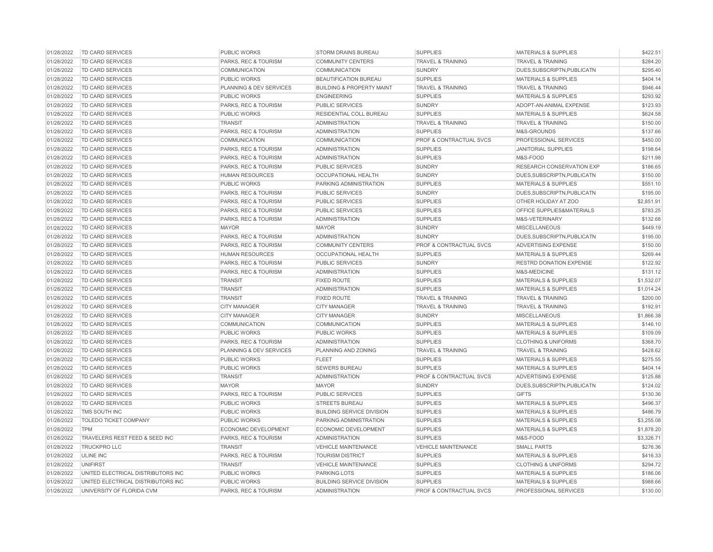| 01/28/2022               | TD CARD SERVICES                                                         | <b>PUBLIC WORKS</b>                 | <b>STORM DRAINS BUREAU</b>                              | <b>SUPPLIES</b>                    | <b>MATERIALS &amp; SUPPLIES</b>                                    | \$422.51             |
|--------------------------|--------------------------------------------------------------------------|-------------------------------------|---------------------------------------------------------|------------------------------------|--------------------------------------------------------------------|----------------------|
| 01/28/2022               | TD CARD SERVICES                                                         | PARKS, REC & TOURISM                | <b>COMMUNITY CENTERS</b>                                | TRAVEL & TRAINING                  | <b>TRAVEL &amp; TRAINING</b>                                       | \$284.20             |
| 01/28/2022               | <b>TD CARD SERVICES</b>                                                  | <b>COMMUNICATION</b>                | <b>COMMUNICATION</b>                                    | <b>SUNDRY</b>                      | DUES, SUBSCRIPTN, PUBLICATN                                        | \$295.40             |
| 01/28/2022               | <b>TD CARD SERVICES</b>                                                  | <b>PUBLIC WORKS</b>                 | <b>BEAUTIFICATION BUREAU</b>                            | <b>SUPPLIES</b>                    | <b>MATERIALS &amp; SUPPLIES</b>                                    | \$404.14             |
| 01/28/2022               | TD CARD SERVICES                                                         | <b>PLANNING &amp; DEV SERVICES</b>  | <b>BUILDING &amp; PROPERTY MAINT</b>                    | <b>TRAVEL &amp; TRAINING</b>       | <b>TRAVEL &amp; TRAINING</b>                                       | \$946.44             |
| 01/28/2022               | TD CARD SERVICES                                                         | <b>PUBLIC WORKS</b>                 | <b>ENGINEERING</b>                                      | <b>SUPPLIES</b>                    | <b>MATERIALS &amp; SUPPLIES</b>                                    | \$293.92             |
| 01/28/2022               | TD CARD SERVICES                                                         | PARKS, REC & TOURISM                | <b>PUBLIC SERVICES</b>                                  | <b>SUNDRY</b>                      | ADOPT-AN-ANIMAL EXPENSE                                            | \$123.93             |
| 01/28/2022               | TD CARD SERVICES                                                         | <b>PUBLIC WORKS</b>                 | <b>RESIDENTIAL COLL BUREAU</b>                          | <b>SUPPLIES</b>                    | <b>MATERIALS &amp; SUPPLIES</b>                                    | \$624.58             |
| 01/28/2022               | <b>TD CARD SERVICES</b>                                                  | <b>TRANSIT</b>                      | <b>ADMINISTRATION</b>                                   | <b>TRAVEL &amp; TRAINING</b>       | <b>TRAVEL &amp; TRAINING</b>                                       | \$150.00             |
| 01/28/2022               | TD CARD SERVICES                                                         | PARKS, REC & TOURISM                | <b>ADMINISTRATION</b>                                   | <b>SUPPLIES</b>                    | M&S-GROUNDS                                                        | \$137.66             |
| 01/28/2022               | TD CARD SERVICES                                                         | COMMUNICATION                       | <b>COMMUNICATION</b>                                    | PROF & CONTRACTUAL SVCS            | PROFESSIONAL SERVICES                                              | \$450.00             |
| 01/28/2022               | <b>TD CARD SERVICES</b>                                                  | <b>PARKS, REC &amp; TOURISM</b>     | <b>ADMINISTRATION</b>                                   | <b>SUPPLIES</b>                    | <b>JANITORIAL SUPPLIES</b>                                         | \$198.64             |
| 01/28/2022               | <b>TD CARD SERVICES</b>                                                  | <b>PARKS, REC &amp; TOURISM</b>     | <b>ADMINISTRATION</b>                                   | <b>SUPPLIES</b>                    | M&S-FOOD                                                           | \$211.98             |
| 01/28/2022               | <b>TD CARD SERVICES</b>                                                  | PARKS, REC & TOURISM                | <b>PUBLIC SERVICES</b>                                  | <b>SUNDRY</b>                      | <b>RESEARCH CONSERVATION EXP</b>                                   | \$186.65             |
| 01/28/2022               | TD CARD SERVICES                                                         | <b>HUMAN RESOURCES</b>              | OCCUPATIONAL HEALTH                                     | <b>SUNDRY</b>                      | DUES, SUBSCRIPTN, PUBLICATN                                        | \$150.00             |
| 01/28/2022               | TD CARD SERVICES                                                         | <b>PUBLIC WORKS</b>                 | PARKING ADMINISTRATION                                  | <b>SUPPLIES</b>                    | <b>MATERIALS &amp; SUPPLIES</b>                                    | \$551.10             |
| 01/28/2022               | <b>TD CARD SERVICES</b>                                                  | PARKS, REC & TOURISM                | <b>PUBLIC SERVICES</b>                                  | <b>SUNDRY</b>                      | DUES, SUBSCRIPTN, PUBLICATN                                        | \$195.00             |
| 01/28/2022               | TD CARD SERVICES                                                         | PARKS, REC & TOURISM                | <b>PUBLIC SERVICES</b>                                  | <b>SUPPLIES</b>                    | OTHER HOLIDAY AT ZOO                                               | \$2,851.91           |
| 01/28/2022               | TD CARD SERVICES                                                         | PARKS, REC & TOURISM                | <b>PUBLIC SERVICES</b>                                  | <b>SUPPLIES</b>                    | OFFICE SUPPLIES&MATERIALS                                          | \$783.25             |
| 01/28/2022               | <b>TD CARD SERVICES</b>                                                  | PARKS, REC & TOURISM                | <b>ADMINISTRATION</b>                                   | <b>SUPPLIES</b>                    | M&S-VETERINARY                                                     | \$132.68             |
| 01/28/2022               | <b>TD CARD SERVICES</b>                                                  | <b>MAYOR</b>                        | <b>MAYOR</b>                                            | <b>SUNDRY</b>                      | <b>MISCELLANEOUS</b>                                               | \$449.19             |
| 01/28/2022               | TD CARD SERVICES                                                         | PARKS, REC & TOURISM                | <b>ADMINISTRATION</b>                                   | <b>SUNDRY</b>                      | DUES, SUBSCRIPTN, PUBLICATN                                        | \$195.00             |
| 01/28/2022               | TD CARD SERVICES                                                         | PARKS, REC & TOURISM                | <b>COMMUNITY CENTERS</b>                                | PROF & CONTRACTUAL SVCS            | <b>ADVERTISING EXPENSE</b>                                         | \$150.00             |
| 01/28/2022               | TD CARD SERVICES                                                         | <b>HUMAN RESOURCES</b>              | <b>OCCUPATIONAL HEALTH</b>                              | <b>SUPPLIES</b>                    | MATERIALS & SUPPLIES                                               | \$269.44             |
| 01/28/2022               | TD CARD SERVICES                                                         | PARKS, REC & TOURISM                | <b>PUBLIC SERVICES</b>                                  | <b>SUNDRY</b>                      | <b>RESTRD DONATION EXPENSE</b>                                     | \$122.92             |
| 01/28/2022               | <b>TD CARD SERVICES</b>                                                  | PARKS, REC & TOURISM                | <b>ADMINISTRATION</b>                                   | <b>SUPPLIES</b>                    | M&S-MEDICINE                                                       | \$131.12             |
| 01/28/2022               | TD CARD SERVICES                                                         | <b>TRANSIT</b>                      | <b>FIXED ROUTE</b>                                      | <b>SUPPLIES</b>                    | <b>MATERIALS &amp; SUPPLIES</b>                                    | \$1,532.07           |
| 01/28/2022               | <b>TD CARD SERVICES</b>                                                  | <b>TRANSIT</b>                      | <b>ADMINISTRATION</b>                                   | <b>SUPPLIES</b>                    | <b>MATERIALS &amp; SUPPLIES</b>                                    | \$1,014.24           |
| 01/28/2022               | <b>TD CARD SERVICES</b>                                                  | <b>TRANSIT</b>                      | <b>FIXED ROUTE</b>                                      | <b>TRAVEL &amp; TRAINING</b>       | <b>TRAVEL &amp; TRAINING</b>                                       | \$200.00             |
| 01/28/2022               | TD CARD SERVICES                                                         | <b>CITY MANAGER</b>                 | <b>CITY MANAGER</b>                                     | <b>TRAVEL &amp; TRAINING</b>       | <b>TRAVEL &amp; TRAINING</b>                                       | \$192.91             |
| 01/28/2022               | TD CARD SERVICES                                                         | <b>CITY MANAGER</b>                 | <b>CITY MANAGER</b>                                     | <b>SUNDRY</b>                      | <b>MISCELLANEOUS</b>                                               | \$1,866.38           |
| 01/28/2022               | TD CARD SERVICES                                                         | <b>COMMUNICATION</b>                | <b>COMMUNICATION</b>                                    | <b>SUPPLIES</b>                    | <b>MATERIALS &amp; SUPPLIES</b>                                    | \$146.10             |
| 01/28/2022               | <b>TD CARD SERVICES</b>                                                  | PUBLIC WORKS                        | <b>PUBLIC WORKS</b>                                     | <b>SUPPLIES</b>                    | <b>MATERIALS &amp; SUPPLIES</b>                                    | \$109.09             |
| 01/28/2022               | TD CARD SERVICES                                                         | PARKS, REC & TOURISM                | <b>ADMINISTRATION</b>                                   | <b>SUPPLIES</b>                    | <b>CLOTHING &amp; UNIFORMS</b>                                     | \$368.70             |
| 01/28/2022               | TD CARD SERVICES                                                         | <b>PLANNING &amp; DEV SERVICES</b>  | PLANNING AND ZONING                                     | <b>TRAVEL &amp; TRAINING</b>       | <b>TRAVEL &amp; TRAINING</b>                                       | \$428.62             |
| 01/28/2022               | <b>TD CARD SERVICES</b>                                                  | PUBLIC WORKS                        | <b>FLEET</b>                                            | <b>SUPPLIES</b>                    | <b>MATERIALS &amp; SUPPLIES</b>                                    | \$275.55             |
| 01/28/2022               | <b>TD CARD SERVICES</b>                                                  | PUBLIC WORKS                        | <b>SEWERS BUREAU</b>                                    | <b>SUPPLIES</b>                    | <b>MATERIALS &amp; SUPPLIES</b>                                    | \$404.14             |
| 01/28/2022               | <b>TD CARD SERVICES</b>                                                  | <b>TRANSIT</b>                      | <b>ADMINISTRATION</b>                                   | <b>PROF &amp; CONTRACTUAL SVCS</b> | <b>ADVERTISING EXPENSE</b>                                         | \$125.88             |
| 01/28/2022               | TD CARD SERVICES                                                         | <b>MAYOR</b>                        | <b>MAYOR</b>                                            | <b>SUNDRY</b>                      | DUES, SUBSCRIPTN, PUBLICATN                                        | \$124.02             |
| 01/28/2022               | <b>TD CARD SERVICES</b>                                                  | PARKS, REC & TOURISM                | <b>PUBLIC SERVICES</b>                                  | <b>SUPPLIES</b>                    | <b>GIFTS</b>                                                       | \$130.36             |
| 01/28/2022               | <b>TD CARD SERVICES</b>                                                  | <b>PUBLIC WORKS</b>                 | <b>STREETS BUREAU</b>                                   | <b>SUPPLIES</b>                    | <b>MATERIALS &amp; SUPPLIES</b>                                    | \$496.37             |
| 01/28/2022               | TMS SOUTH INC                                                            | <b>PUBLIC WORKS</b>                 | <b>BUILDING SERVICE DIVISION</b>                        | <b>SUPPLIES</b>                    | <b>MATERIALS &amp; SUPPLIES</b>                                    | \$486.79             |
| 01/28/2022               | <b>TOLEDO TICKET COMPANY</b>                                             | <b>PUBLIC WORKS</b>                 | PARKING ADMINISTRATION                                  | <b>SUPPLIES</b>                    | <b>MATERIALS &amp; SUPPLIES</b>                                    | \$3,255.08           |
| 01/28/2022               | <b>TPM</b>                                                               | ECONOMIC DEVELOPMENT                | ECONOMIC DEVELOPMENT                                    | <b>SUPPLIES</b>                    | <b>MATERIALS &amp; SUPPLIES</b>                                    | \$1,878.20           |
| 01/28/2022               | TRAVELERS REST FEED & SEED INC                                           | PARKS, REC & TOURISM                | <b>ADMINISTRATION</b>                                   | <b>SUPPLIES</b>                    | M&S-FOOD                                                           | \$3,326.71           |
| 01/28/2022               | <b>TRUCKPRO LLC</b>                                                      | <b>TRANSIT</b>                      | <b>VEHICLE MAINTENANCE</b>                              | <b>VEHICLE MAINTENANCE</b>         | <b>SMALL PARTS</b>                                                 | \$276.36             |
|                          |                                                                          | PARKS, REC & TOURISM                | <b>TOURISM DISTRICT</b>                                 | <b>SUPPLIES</b>                    | <b>MATERIALS &amp; SUPPLIES</b>                                    | \$416.33             |
| 01/28/2022               | <b>ULINE INC</b>                                                         |                                     |                                                         |                                    |                                                                    |                      |
|                          | <b>UNIFIRST</b>                                                          |                                     |                                                         |                                    |                                                                    |                      |
| 01/28/2022               |                                                                          | <b>TRANSIT</b>                      | <b>VEHICLE MAINTENANCE</b>                              | <b>SUPPLIES</b>                    | <b>CLOTHING &amp; UNIFORMS</b>                                     | \$294.72             |
| 01/28/2022<br>01/28/2022 | UNITED ELECTRICAL DISTRIBUTORS INC<br>UNITED ELECTRICAL DISTRIBUTORS INC | PUBLIC WORKS<br><b>PUBLIC WORKS</b> | <b>PARKING LOTS</b><br><b>BUILDING SERVICE DIVISION</b> | <b>SUPPLIES</b><br><b>SUPPLIES</b> | <b>MATERIALS &amp; SUPPLIES</b><br><b>MATERIALS &amp; SUPPLIES</b> | \$186.06<br>\$988.66 |